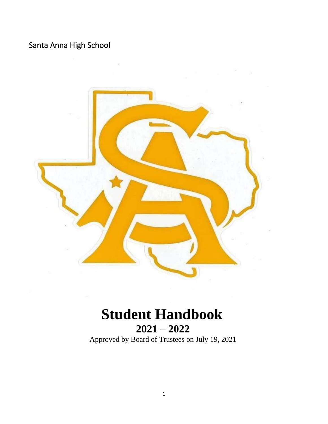# Santa Anna High School



# **Student Handbook 2021** – **2022**

Approved by Board of Trustees on July 19, 2021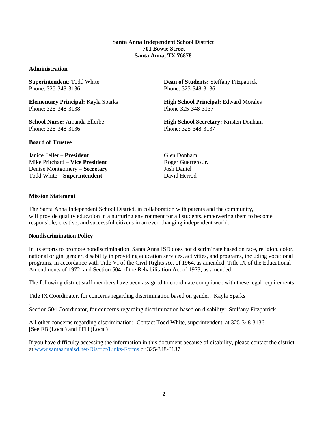#### **Santa Anna Independent School District 701 Bowie Street Santa Anna, TX 76878**

#### **Administration**

Phone: 325-348-3136 Phone: 325-348-3136

Phone: 325-348-3138 Phone 325-348-3137

Phone: 325-348-3136 Phone: 325-348-3137

**Board of Trustee**

Janice Feller – **President** Glen Donham Mike Pritchard – **Vice President** Roger Guerrero Jr. Denise Montgomery – **Secretary** Josh Daniel Todd White – **Superintendent** David Herrod

**Superintendent**: Todd White **Dean of Students:** Steffany Fitzpatrick

**Elementary Principal:** Kayla Sparks **High School Principal:** Edward Morales

**School Nurse:** Amanda Ellerbe **High School Secretary:** Kristen Donham

#### **Mission Statement**

.

The Santa Anna Independent School District, in collaboration with parents and the community, will provide quality education in a nurturing environment for all students, empowering them to become responsible, creative, and successful citizens in an ever-changing independent world.

#### **Nondiscrimination Policy**

In its efforts to promote nondiscrimination, Santa Anna ISD does not discriminate based on race, religion, color, national origin, gender, disability in providing education services, activities, and programs, including vocational programs, in accordance with Title VI of the Civil Rights Act of 1964, as amended: Title IX of the Educational Amendments of 1972; and Section 504 of the Rehabilitation Act of 1973, as amended.

The following district staff members have been assigned to coordinate compliance with these legal requirements:

Title IX Coordinator, for concerns regarding discrimination based on gender: Kayla Sparks

Section 504 Coordinator, for concerns regarding discrimination based on disability: Steffany Fitzpatrick

All other concerns regarding discrimination: Contact Todd White, superintendent, at 325-348-3136 [See FB (Local) and FFH (Local)]

If you have difficulty accessing the information in this document because of disability, please contact the district at [www.santaannaisd.net/District/Links-Forms](http://www.santaannaisd.net/District/Links-Forms) or 325-348-3137.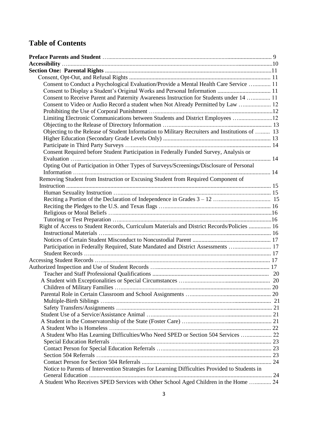# **Table of Contents**

| Consent to Conduct a Psychological Evaluation/Provide a Mental Health Care Service  11         |  |
|------------------------------------------------------------------------------------------------|--|
|                                                                                                |  |
| Consent to Receive Parent and Paternity Awareness Instruction for Students under 14  11        |  |
| Consent to Video or Audio Record a student when Not Already Permitted by Law  12               |  |
|                                                                                                |  |
| Limiting Electronic Communications between Students and District Employees 12                  |  |
|                                                                                                |  |
| Objecting to the Release of Student Information to Military Recruiters and Institutions of  13 |  |
|                                                                                                |  |
|                                                                                                |  |
| Consent Required before Student Participation in Federally Funded Survey, Analysis or          |  |
|                                                                                                |  |
| Opting Out of Participation in Other Types of Surveys/Screenings/Disclosure of Personal        |  |
|                                                                                                |  |
| Removing Student from Instruction or Excusing Student from Required Component of               |  |
|                                                                                                |  |
|                                                                                                |  |
|                                                                                                |  |
|                                                                                                |  |
|                                                                                                |  |
|                                                                                                |  |
| Right of Access to Student Records, Curriculum Materials and District Records/Policies  16     |  |
|                                                                                                |  |
|                                                                                                |  |
| Participation in Federally Required, State Mandated and District Assessments  17               |  |
|                                                                                                |  |
|                                                                                                |  |
|                                                                                                |  |
|                                                                                                |  |
|                                                                                                |  |
|                                                                                                |  |
|                                                                                                |  |
|                                                                                                |  |
|                                                                                                |  |
|                                                                                                |  |
|                                                                                                |  |
|                                                                                                |  |
|                                                                                                |  |
| A Student Who Has Learning Difficulties/Who Need SPED or Section 504 Services  22              |  |
|                                                                                                |  |
|                                                                                                |  |
|                                                                                                |  |
|                                                                                                |  |
| Notice to Parents of Intervention Strategies for Learning Difficulties Provided to Students in |  |
|                                                                                                |  |
| A Student Who Receives SPED Services with Other School Aged Children in the Home  24           |  |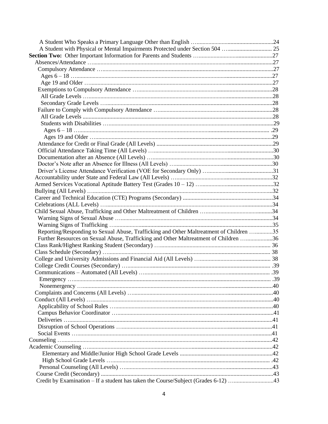| Reporting/Responding to Sexual Abuse, Trafficking and Other Maltreatment of Children 35 |  |
|-----------------------------------------------------------------------------------------|--|
|                                                                                         |  |
| Further Resources on Sexual Abuse, Trafficking and Other Maltreatment of Children 36    |  |
|                                                                                         |  |
|                                                                                         |  |
|                                                                                         |  |
|                                                                                         |  |
|                                                                                         |  |
|                                                                                         |  |
|                                                                                         |  |
|                                                                                         |  |
|                                                                                         |  |
|                                                                                         |  |
|                                                                                         |  |
|                                                                                         |  |
|                                                                                         |  |
|                                                                                         |  |
|                                                                                         |  |
|                                                                                         |  |
|                                                                                         |  |
|                                                                                         |  |
|                                                                                         |  |
|                                                                                         |  |
| Credit by Examination - If a student has taken the Course/Subject (Grades 6-12) 43      |  |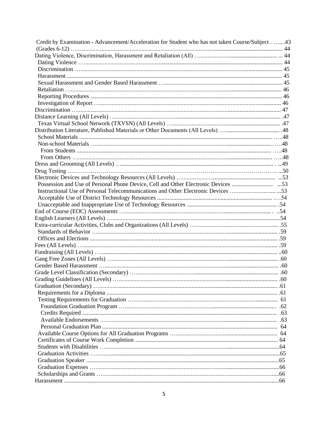| Credit by Examination - Advancement/Acceleration for Student who has not taken Course/Subject43 |  |
|-------------------------------------------------------------------------------------------------|--|
|                                                                                                 |  |
|                                                                                                 |  |
|                                                                                                 |  |
|                                                                                                 |  |
|                                                                                                 |  |
|                                                                                                 |  |
|                                                                                                 |  |
|                                                                                                 |  |
|                                                                                                 |  |
|                                                                                                 |  |
|                                                                                                 |  |
|                                                                                                 |  |
|                                                                                                 |  |
|                                                                                                 |  |
|                                                                                                 |  |
|                                                                                                 |  |
|                                                                                                 |  |
|                                                                                                 |  |
|                                                                                                 |  |
|                                                                                                 |  |
|                                                                                                 |  |
|                                                                                                 |  |
|                                                                                                 |  |
|                                                                                                 |  |
|                                                                                                 |  |
|                                                                                                 |  |
|                                                                                                 |  |
|                                                                                                 |  |
|                                                                                                 |  |
|                                                                                                 |  |
|                                                                                                 |  |
|                                                                                                 |  |
|                                                                                                 |  |
|                                                                                                 |  |
|                                                                                                 |  |
|                                                                                                 |  |
|                                                                                                 |  |
|                                                                                                 |  |
|                                                                                                 |  |
|                                                                                                 |  |
|                                                                                                 |  |
|                                                                                                 |  |
|                                                                                                 |  |
|                                                                                                 |  |
|                                                                                                 |  |
|                                                                                                 |  |
|                                                                                                 |  |
|                                                                                                 |  |
|                                                                                                 |  |
|                                                                                                 |  |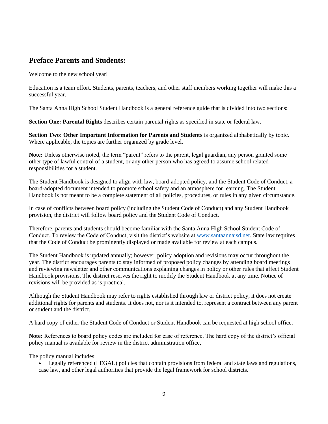# **Preface Parents and Students:**

Welcome to the new school year!

Education is a team effort. Students, parents, teachers, and other staff members working together will make this a successful year.

The Santa Anna High School Student Handbook is a general reference guide that is divided into two sections:

**Section One: Parental Rights** describes certain parental rights as specified in state or federal law.

**Section Two: Other Important Information for Parents and Students** is organized alphabetically by topic. Where applicable, the topics are further organized by grade level.

**Note:** Unless otherwise noted, the term "parent" refers to the parent, legal guardian, any person granted some other type of lawful control of a student, or any other person who has agreed to assume school related responsibilities for a student.

The Student Handbook is designed to align with law, board-adopted policy, and the Student Code of Conduct, a board-adopted document intended to promote school safety and an atmosphere for learning. The Student Handbook is not meant to be a complete statement of all policies, procedures, or rules in any given circumstance.

In case of conflicts between board policy (including the Student Code of Conduct) and any Student Handbook provision, the district will follow board policy and the Student Code of Conduct.

Therefore, parents and students should become familiar with the Santa Anna High School Student Code of Conduct. To review the Code of Conduct, visit the district's website at [www.santaannaisd.net.](http://www.santaannaisd.net/) State law requires that the Code of Conduct be prominently displayed or made available for review at each campus.

The Student Handbook is updated annually; however, policy adoption and revisions may occur throughout the year. The district encourages parents to stay informed of proposed policy changes by attending board meetings and reviewing newsletter and other communications explaining changes in policy or other rules that affect Student Handbook provisions. The district reserves the right to modify the Student Handbook at any time. Notice of revisions will be provided as is practical.

Although the Student Handbook may refer to rights established through law or district policy, it does not create additional rights for parents and students. It does not, nor is it intended to, represent a contract between any parent or student and the district.

A hard copy of either the Student Code of Conduct or Student Handbook can be requested at high school office.

**Note:** References to board policy codes are included for ease of reference. The hard copy of the district's official policy manual is available for review in the district administration office,

The policy manual includes:

• Legally referenced (LEGAL) policies that contain provisions from federal and state laws and regulations, case law, and other legal authorities that provide the legal framework for school districts.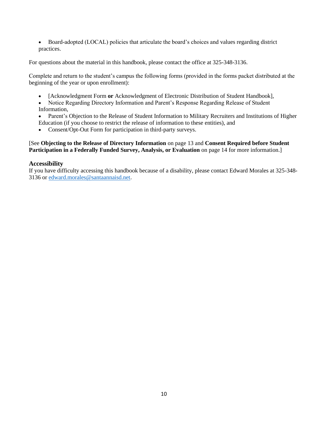• Board-adopted (LOCAL) policies that articulate the board's choices and values regarding district practices.

For questions about the material in this handbook, please contact the office at 325-348-3136.

Complete and return to the student's campus the following forms (provided in the forms packet distributed at the beginning of the year or upon enrollment):

- [Acknowledgment Form **or** Acknowledgment of Electronic Distribution of Student Handbook],
- Notice Regarding Directory Information and Parent's Response Regarding Release of Student Information,
- Parent's Objection to the Release of Student Information to Military Recruiters and Institutions of Higher Education (if you choose to restrict the release of information to these entities), and
- Consent/Opt-Out Form for participation in third-party surveys.

#### [See **Objecting to the Release of Directory Information** on page 13 and **Consent Required before Student Participation in a Federally Funded Survey, Analysis, or Evaluation** on page 14 for more information.]

# **Accessibility**

If you have difficulty accessing this handbook because of a disability, please contact Edward Morales at 325-348- 3136 or [edward.morales@santaannaisd.net](mailto:edward.morales@santaannaisd.net).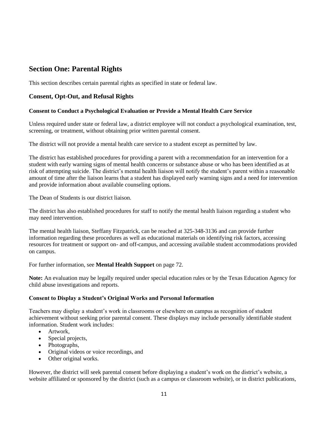# **Section One: Parental Rights**

This section describes certain parental rights as specified in state or federal law.

# **Consent, Opt-Out, and Refusal Rights**

#### **Consent to Conduct a Psychological Evaluation or Provide a Mental Health Care Service**

Unless required under state or federal law, a district employee will not conduct a psychological examination, test, screening, or treatment, without obtaining prior written parental consent.

The district will not provide a mental health care service to a student except as permitted by law.

The district has established procedures for providing a parent with a recommendation for an intervention for a student with early warning signs of mental health concerns or substance abuse or who has been identified as at risk of attempting suicide. The district's mental health liaison will notify the student's parent within a reasonable amount of time after the liaison learns that a student has displayed early warning signs and a need for intervention and provide information about available counseling options.

The Dean of Students is our district liaison.

The district has also established procedures for staff to notify the mental health liaison regarding a student who may need intervention.

The mental health liaison, Steffany Fitzpatrick, can be reached at 325-348-3136 and can provide further information regarding these procedures as well as educational materials on identifying risk factors, accessing resources for treatment or support on- and off-campus, and accessing available student accommodations provided on campus.

For further information, see **Mental Health Support** on page 72.

**Note:** An evaluation may be legally required under special education rules or by the Texas Education Agency for child abuse investigations and reports.

#### **Consent to Display a Student's Original Works and Personal Information**

Teachers may display a student's work in classrooms or elsewhere on campus as recognition of student achievement without seeking prior parental consent. These displays may include personally identifiable student information. Student work includes:

- Artwork,
- Special projects,
- Photographs,
- Original videos or voice recordings, and
- Other original works.

However, the district will seek parental consent before displaying a student's work on the district's website, a website affiliated or sponsored by the district (such as a campus or classroom website), or in district publications,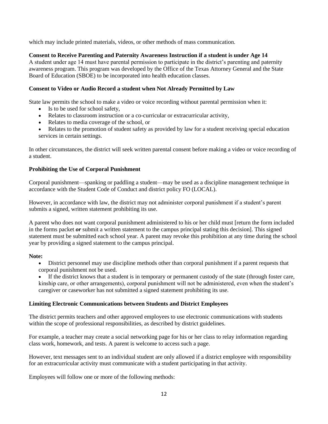which may include printed materials, videos, or other methods of mass communication.

# **Consent to Receive Parenting and Paternity Awareness Instruction if a student is under Age 14**

A student under age 14 must have parental permission to participate in the district's parenting and paternity awareness program. This program was developed by the Office of the Texas Attorney General and the State Board of Education (SBOE) to be incorporated into health education classes.

# **Consent to Video or Audio Record a student when Not Already Permitted by Law**

State law permits the school to make a video or voice recording without parental permission when it:

- Is to be used for school safety,
- Relates to classroom instruction or a co-curricular or extracurricular activity,
- Relates to media coverage of the school, or
- Relates to the promotion of student safety as provided by law for a student receiving special education services in certain settings.

In other circumstances, the district will seek written parental consent before making a video or voice recording of a student.

#### **Prohibiting the Use of Corporal Punishment**

Corporal punishment—spanking or paddling a student—may be used as a discipline management technique in accordance with the Student Code of Conduct and district policy FO (LOCAL).

However, in accordance with law, the district may not administer corporal punishment if a student's parent submits a signed, written statement prohibiting its use.

A parent who does not want corporal punishment administered to his or her child must [return the form included in the forms packet *or* submit a written statement to the campus principal stating this decision]. This signed statement must be submitted each school year. A parent may revoke this prohibition at any time during the school year by providing a signed statement to the campus principal.

#### **Note:**

• District personnel may use discipline methods other than corporal punishment if a parent requests that corporal punishment not be used.

• If the district knows that a student is in temporary or permanent custody of the state (through foster care, kinship care, or other arrangements), corporal punishment will not be administered, even when the student's caregiver or caseworker has not submitted a signed statement prohibiting its use.

#### **Limiting Electronic Communications between Students and District Employees**

The district permits teachers and other approved employees to use electronic communications with students within the scope of professional responsibilities, as described by district guidelines.

For example, a teacher may create a social networking page for his or her class to relay information regarding class work, homework, and tests. A parent is welcome to access such a page.

However, text messages sent to an individual student are only allowed if a district employee with responsibility for an extracurricular activity must communicate with a student participating in that activity.

Employees will follow one or more of the following methods: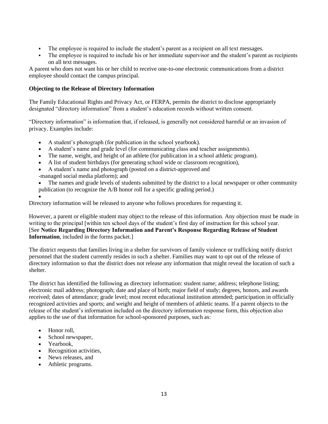- The employee is required to include the student's parent as a recipient on all text messages.
- The employee is required to include his or her immediate supervisor and the student's parent as recipients on all text messages.

A parent who does not want his or her child to receive one-to-one electronic communications from a district employee should contact the campus principal.

# **Objecting to the Release of Directory Information**

The Family Educational Rights and Privacy Act, or FERPA, permits the district to disclose appropriately designated "directory information" from a student's education records without written consent.

"Directory information" is information that, if released, is generally not considered harmful or an invasion of privacy. Examples include:

- A student's photograph (for publication in the school yearbook).
- A student's name and grade level (for communicating class and teacher assignments).
- The name, weight, and height of an athlete (for publication in a school athletic program).
- A list of student birthdays (for generating school wide or classroom recognition),
- A student's name and photograph (posted on a district-approved and
- -managed social media platform); and
- The names and grade levels of students submitted by the district to a local newspaper or other community publication (to recognize the A/B honor roll for a specific grading period.)

•

Directory information will be released to anyone who follows procedures for requesting it.

However, a parent or eligible student may object to the release of this information. Any objection must be made in writing to the principal [within ten school days of the student's first day of instruction for this school year. [See **Notice Regarding Directory Information and Parent's Response Regarding Release of Student Information**, included in the forms packet.]

The district requests that families living in a shelter for survivors of family violence or trafficking notify district personnel that the student currently resides in such a shelter. Families may want to opt out of the release of directory information so that the district does not release any information that might reveal the location of such a shelter.

The district has identified the following as directory information: student name; address; telephone listing; electronic mail address; photograph; date and place of birth; major field of study; degrees, honors, and awards received; dates of attendance; grade level; most recent educational institution attended; participation in officially recognized activities and sports; and weight and height of members of athletic teams*.* If a parent objects to the release of the student's information included on the directory information response form, this objection also applies to the use of that information for school-sponsored purposes, such as:

- Honor roll,
- School newspaper,
- Yearbook,
- Recognition activities,
- News releases, and
- Athletic programs.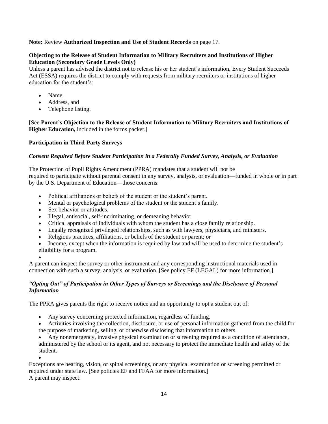# **Note:** Review **Authorized Inspection and Use of Student Records** on page 17.

# **Objecting to the Release of Student Information to Military Recruiters and Institutions of Higher Education (Secondary Grade Levels Only)**

Unless a parent has advised the district not to release his or her student's information, Every Student Succeeds Act (ESSA) requires the district to comply with requests from military recruiters or institutions of higher education for the student's:

- Name,
- Address, and
- Telephone listing.

[See **Parent's Objection to the Release of Student Information to Military Recruiters and Institutions of Higher Education,** included in the forms packet.]

# **Participation in Third-Party Surveys**

# *Consent Required Before Student Participation in a Federally Funded Survey, Analysis, or Evaluation*

The Protection of Pupil Rights Amendment (PPRA) mandates that a student will not be required to participate without parental consent in any survey, analysis, or evaluation—funded in whole or in part by the U.S. Department of Education—those concerns:

- Political affiliations or beliefs of the student or the student's parent.
- Mental or psychological problems of the student or the student's family.
- Sex behavior or attitudes.
- Illegal, antisocial, self-incriminating, or demeaning behavior.
- Critical appraisals of individuals with whom the student has a close family relationship.
- Legally recognized privileged relationships, such as with lawyers, physicians, and ministers.
- Religious practices, affiliations, or beliefs of the student or parent; or
- Income, except when the information is required by law and will be used to determine the student's eligibility for a program.

• A parent can inspect the survey or other instrument and any corresponding instructional materials used in connection with such a survey, analysis, or evaluation. [See policy EF (LEGAL) for more information.]

# *"Opting Out" of Participation in Other Types of Surveys or Screenings and the Disclosure of Personal Information*

The PPRA gives parents the right to receive notice and an opportunity to opt a student out of:

- Any survey concerning protected information, regardless of funding.
- Activities involving the collection, disclosure, or use of personal information gathered from the child for the purpose of marketing, selling, or otherwise disclosing that information to others.

• Any nonemergency, invasive physical examination or screening required as a condition of attendance, administered by the school or its agent, and not necessary to protect the immediate health and safety of the student.

•

Exceptions are hearing, vision, or spinal screenings, or any physical examination or screening permitted or required under state law. [See policies EF and FFAA for more information.] A parent may inspect: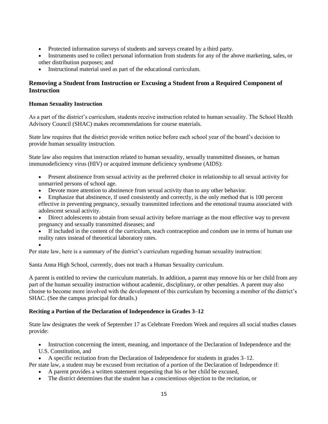- Protected information surveys of students and surveys created by a third party.
- Instruments used to collect personal information from students for any of the above marketing, sales, or other distribution purposes; and
- Instructional material used as part of the educational curriculum.

# **Removing a Student from Instruction or Excusing a Student from a Required Component of Instruction**

# **Human Sexuality Instruction**

As a part of the district's curriculum, students receive instruction related to human sexuality. The School Health Advisory Council (SHAC) makes recommendations for course materials.

State law requires that the district provide written notice before each school year of the board's decision to provide human sexuality instruction.

State law also requires that instruction related to human sexuality, sexually transmitted diseases, or human immunodeficiency virus (HIV) or acquired immune deficiency syndrome (AIDS):

- Present abstinence from sexual activity as the preferred choice in relationship to all sexual activity for unmarried persons of school age.
- Devote more attention to abstinence from sexual activity than to any other behavior.
- Emphasize that abstinence, if used consistently and correctly, is the only method that is 100 percent effective in preventing pregnancy, sexually transmitted infections and the emotional trauma associated with adolescent sexual activity.
- Direct adolescents to abstain from sexual activity before marriage as the most effective way to prevent pregnancy and sexually transmitted diseases; and
- If included in the content of the curriculum, teach contraception and condom use in terms of human use reality rates instead of theoretical laboratory rates.
- •

Per state law, here is a summary of the district's curriculum regarding human sexuality instruction:

Santa Anna High School, currently, does not teach a Human Sexuality curriculum.

A parent is entitled to review the curriculum materials. In addition, a parent may remove his or her child from any part of the human sexuality instruction without academic, disciplinary, or other penalties. A parent may also choose to become more involved with the development of this curriculum by becoming a member of the district's SHAC. (See the campus principal for details.)

# **Reciting a Portion of the Declaration of Independence in Grades 3–12**

State law designates the week of September 17 as Celebrate Freedom Week and requires all social studies classes provide:

• Instruction concerning the intent, meaning, and importance of the Declaration of Independence and the U.S. Constitution, and

• A specific recitation from the Declaration of Independence for students in grades  $3-12$ .

Per state law, a student may be excused from recitation of a portion of the Declaration of Independence if:

- A parent provides a written statement requesting that his or her child be excused,
- The district determines that the student has a conscientious objection to the recitation, or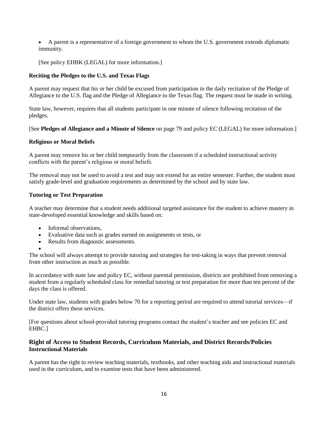• A parent is a representative of a foreign government to whom the U.S. government extends diplomatic immunity.

[See policy EHBK (LEGAL) for more information.]

# **Reciting the Pledges to the U.S. and Texas Flags**

A parent may request that his or her child be excused from participation in the daily recitation of the Pledge of Allegiance to the U.S. flag and the Pledge of Allegiance to the Texas flag. The request must be made in writing.

State law, however, requires that all students participate in one minute of silence following recitation of the pledges.

[See **Pledges of Allegiance and a Minute of Silence** on page 79 and policy EC (LEGAL) for more information.]

#### **Religious or Moral Beliefs**

A parent may remove his or her child temporarily from the classroom if a scheduled instructional activity conflicts with the parent's religious or moral beliefs.

The removal may not be used to avoid a test and may not extend for an entire semester. Further, the student must satisfy grade-level and graduation requirements as determined by the school and by state law.

#### **Tutoring or Test Preparation**

A teacher may determine that a student needs additional targeted assistance for the student to achieve mastery in state-developed essential knowledge and skills based on:

• Informal observations.

•

- Evaluative data such as grades earned on assignments or tests, or
- Results from diagnostic assessments.

The school will always attempt to provide tutoring and strategies for test-taking in ways that prevent removal from other instruction as much as possible.

In accordance with state law and policy EC, without parental permission, districts are prohibited from removing a student from a regularly scheduled class for remedial tutoring or test preparation for more than ten percent of the days the class is offered.

Under state law, students with grades below 70 for a reporting period are required to attend tutorial services—if the district offers these services.

[For questions about school-provided tutoring programs contact the student's teacher and see policies EC and EHBC.]

# **Right of Access to Student Records, Curriculum Materials, and District Records/Policies Instructional Materials**

A parent has the right to review teaching materials, textbooks, and other teaching aids and instructional materials used in the curriculum, and to examine tests that have been administered.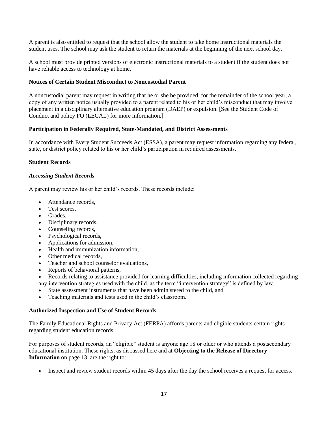A parent is also entitled to request that the school allow the student to take home instructional materials the student uses. The school may ask the student to return the materials at the beginning of the next school day.

A school must provide printed versions of electronic instructional materials to a student if the student does not have reliable access to technology at home.

#### **Notices of Certain Student Misconduct to Noncustodial Parent**

A noncustodial parent may request in writing that he or she be provided, for the remainder of the school year, a copy of any written notice usually provided to a parent related to his or her child's misconduct that may involve placement in a disciplinary alternative education program (DAEP) or expulsion. [See the Student Code of Conduct and policy FO (LEGAL) for more information.]

#### **Participation in Federally Required, State-Mandated, and District Assessments**

In accordance with Every Student Succeeds Act (ESSA), a parent may request information regarding any federal, state, or district policy related to his or her child's participation in required assessments.

#### **Student Records**

#### *Accessing Student Records*

A parent may review his or her child's records. These records include:

- Attendance records.
- Test scores.
- Grades,
- Disciplinary records,
- Counseling records,
- Psychological records,
- Applications for admission,
- Health and immunization information,
- Other medical records.
- Teacher and school counselor evaluations.
- Reports of behavioral patterns,
- Records relating to assistance provided for learning difficulties, including information collected regarding any intervention strategies used with the child, as the term "intervention strategy" is defined by law,
- State assessment instruments that have been administered to the child, and
- Teaching materials and tests used in the child's classroom.

#### **Authorized Inspection and Use of Student Records**

The Family Educational Rights and Privacy Act (FERPA) affords parents and eligible students certain rights regarding student education records.

For purposes of student records, an "eligible" student is anyone age 18 or older or who attends a postsecondary educational institution. These rights, as discussed here and at **Objecting to the Release of Directory Information** on page 13, are the right to:

Inspect and review student records within 45 days after the day the school receives a request for access.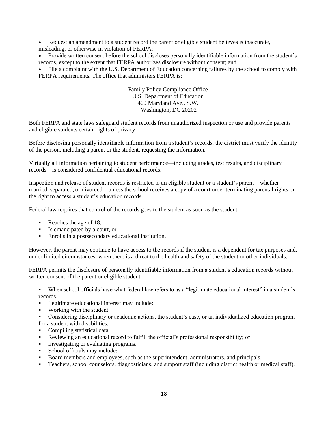• Request an amendment to a student record the parent or eligible student believes is inaccurate, misleading, or otherwise in violation of FERPA;

• Provide written consent before the school discloses personally identifiable information from the student's records, except to the extent that FERPA authorizes disclosure without consent; and

File a complaint with the U.S. Department of Education concerning failures by the school to comply with FERPA requirements. The office that administers FERPA is:

> Family Policy Compliance Office U.S. Department of Education 400 Maryland Ave., S.W. Washington, DC 20202

Both FERPA and state laws safeguard student records from unauthorized inspection or use and provide parents and eligible students certain rights of privacy.

Before disclosing personally identifiable information from a student's records, the district must verify the identity of the person, including a parent or the student, requesting the information.

Virtually all information pertaining to student performance—including grades, test results, and disciplinary records—is considered confidential educational records.

Inspection and release of student records is restricted to an eligible student or a student's parent—whether married, separated, or divorced—unless the school receives a copy of a court order terminating parental rights or the right to access a student's education records.

Federal law requires that control of the records goes to the student as soon as the student:

- $\blacksquare$  Reaches the age of 18,
- Is emancipated by a court, or
- Enrolls in a postsecondary educational institution.

However, the parent may continue to have access to the records if the student is a dependent for tax purposes and, under limited circumstances, when there is a threat to the health and safety of the student or other individuals.

FERPA permits the disclosure of personally identifiable information from a student's education records without written consent of the parent or eligible student:

When school officials have what federal law refers to as a "legitimate educational interest" in a student's records.

- Legitimate educational interest may include:
- Working with the student.

Considering disciplinary or academic actions, the student's case, or an individualized education program for a student with disabilities.

- Compiling statistical data.
- Reviewing an educational record to fulfill the official's professional responsibility; or
- Investigating or evaluating programs.
- School officials may include:
- Board members and employees, such as the superintendent, administrators, and principals.
- Teachers, school counselors, diagnosticians, and support staff (including district health or medical staff).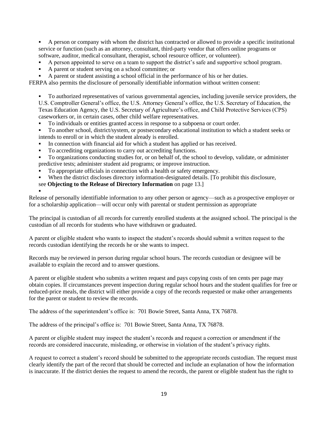A person or company with whom the district has contracted or allowed to provide a specific institutional service or function (such as an attorney, consultant, third-party vendor that offers online programs or software, auditor, medical consultant, therapist, school resource officer, or volunteer).

- A person appointed to serve on a team to support the district's safe and supportive school program.
- A parent or student serving on a school committee; or
- A parent or student assisting a school official in the performance of his or her duties.

FERPA also permits the disclosure of personally identifiable information without written consent:

To authorized representatives of various governmental agencies, including juvenile service providers, the U.S. Comptroller General's office, the U.S. Attorney General's office, the U.S. Secretary of Education, the Texas Education Agency, the U.S. Secretary of Agriculture's office, and Child Protective Services (CPS) caseworkers or, in certain cases, other child welfare representatives.

- To individuals or entities granted access in response to a subpoena or court order.
- To another school, district/system, or postsecondary educational institution to which a student seeks or intends to enroll or in which the student already is enrolled.
- In connection with financial aid for which a student has applied or has received.
- To accrediting organizations to carry out accrediting functions.
- To organizations conducting studies for, or on behalf of, the school to develop, validate, or administer predictive tests; administer student aid programs; or improve instruction.
- To appropriate officials in connection with a health or safety emergency.
- When the district discloses directory information-designated details. [To prohibit this disclosure,
- see **Objecting to the Release of Directory Information** on page 13.]

▪

Release of personally identifiable information to any other person or agency—such as a prospective employer or for a scholarship application—will occur only with parental or student permission as appropriate

The principal is custodian of all records for currently enrolled students at the assigned school. The principal is the custodian of all records for students who have withdrawn or graduated.

A parent or eligible student who wants to inspect the student's records should submit a written request to the records custodian identifying the records he or she wants to inspect.

Records may be reviewed in person during regular school hours. The records custodian or designee will be available to explain the record and to answer questions.

A parent or eligible student who submits a written request and pays copying costs of ten cents per page may obtain copies. If circumstances prevent inspection during regular school hours and the student qualifies for free or reduced-price meals, the district will either provide a copy of the records requested or make other arrangements for the parent or student to review the records.

The address of the superintendent's office is: 701 Bowie Street, Santa Anna, TX 76878.

The address of the principal's office is: 701 Bowie Street, Santa Anna, TX 76878.

A parent or eligible student may inspect the student's records and request a correction or amendment if the records are considered inaccurate, misleading, or otherwise in violation of the student's privacy rights.

A request to correct a student's record should be submitted to the appropriate records custodian. The request must clearly identify the part of the record that should be corrected and include an explanation of how the information is inaccurate. If the district denies the request to amend the records, the parent or eligible student has the right to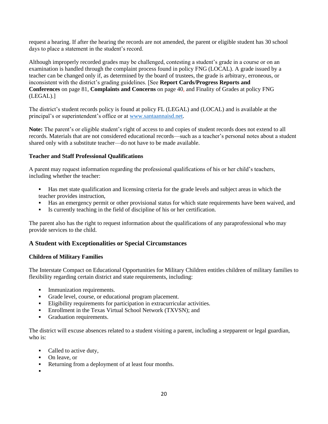request a hearing. If after the hearing the records are not amended, the parent or eligible student has 30 school days to place a statement in the student's record.

Although improperly recorded grades may be challenged, contesting a student's grade in a course or on an examination is handled through the complaint process found in policy FNG (LOCAL). A grade issued by a teacher can be changed only if, as determined by the board of trustees, the grade is arbitrary, erroneous, or inconsistent with the district's grading guidelines. [See **Report Cards/Progress Reports and Conferences** on page 81, **Complaints and Concerns** on page 40, and Finality of Grades at policy FNG (LEGAL).]

The district's student records policy is found at policy FL (LEGAL) and (LOCAL) and is available at the principal's or superintendent's office or at [www.santaannaisd.net.](http://www.santaannaisd.net/)

**Note:** The parent's or eligible student's right of access to and copies of student records does not extend to all records. Materials that are not considered educational records—such as a teacher's personal notes about a student shared only with a substitute teacher—do not have to be made available.

#### **Teacher and Staff Professional Qualifications**

A parent may request information regarding the professional qualifications of his or her child's teachers, including whether the teacher:

- Has met state qualification and licensing criteria for the grade levels and subject areas in which the teacher provides instruction,
- Has an emergency permit or other provisional status for which state requirements have been waived, and
- Is currently teaching in the field of discipline of his or her certification.

The parent also has the right to request information about the qualifications of any paraprofessional who may provide services to the child.

# **A Student with Exceptionalities or Special Circumstances**

#### **Children of Military Families**

The Interstate Compact on Educational Opportunities for Military Children entitles children of military families to flexibility regarding certain district and state requirements, including:

- **•** Immunization requirements.
- Grade level, course, or educational program placement.
- **Eligibility requirements for participation in extracurricular activities.**
- **Enrollment in the Texas Virtual School Network (TXVSN); and**
- Graduation requirements.

The district will excuse absences related to a student visiting a parent, including a stepparent or legal guardian, who is:

- Called to active duty,
- On leave, or
- Returning from a deployment of at least four months.
- ▪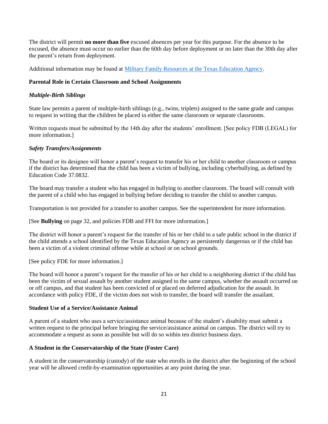The district will permit **no more than five** excused absences per year for this purpose. For the absence to be excused, the absence must occur no earlier than the 60th day before deployment or no later than the 30th day after the parent's return from deployment.

Additional information may be found at [Military Family Resources at the Texas Education Agency.](http://tea.texas.gov/index2.aspx?id=7995)

#### **Parental Role in Certain Classroom and School Assignments**

#### *Multiple-Birth Siblings*

State law permits a parent of multiple-birth siblings (e.g., twins, triplets) assigned to the same grade and campus to request in writing that the children be placed in either the same classroom or separate classrooms.

Written requests must be submitted by the 14th day after the students' enrollment. [See policy FDB (LEGAL) for more information.]

#### *Safety Transfers/Assignments*

The board or its designee will honor a parent's request to transfer his or her child to another classroom or campus if the district has determined that the child has been a victim of bullying, including cyberbullying, as defined by Education Code 37.0832.

The board may transfer a student who has engaged in bullying to another classroom. The board will consult with the parent of a child who has engaged in bullying before deciding to transfer the child to another campus.

Transportation is not provided for a transfer to another campus. See the superintendent for more information.

[See **Bullying** on page 32, and policies FDB and FFI for more information.]

The district will honor a parent's request for the transfer of his or her child to a safe public school in the district if the child attends a school identified by the Texas Education Agency as persistently dangerous or if the child has been a victim of a violent criminal offense while at school or on school grounds.

[See policy FDE for more information.]

The board will honor a parent's request for the transfer of his or her child to a neighboring district if the child has been the victim of sexual assault by another student assigned to the same campus, whether the assault occurred on or off campus, and that student has been convicted of or placed on deferred adjudication for the assault. In accordance with policy FDE, if the victim does not wish to transfer, the board will transfer the assailant.

#### **Student Use of a Service/Assistance Animal**

A parent of a student who uses a service/assistance animal because of the student's disability must submit a written request to the principal before bringing the service/assistance animal on campus. The district will try to accommodate a request as soon as possible but will do so within ten district business days.

#### **A Student in the Conservatorship of the State (Foster Care)**

A student in the conservatorship (custody) of the state who enrolls in the district after the beginning of the school year will be allowed credit-by-examination opportunities at any point during the year.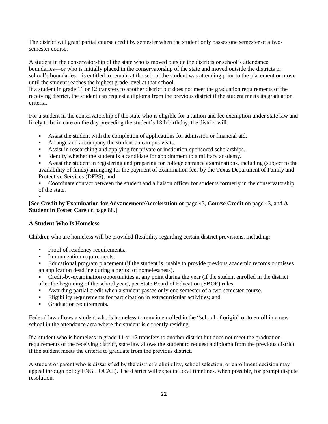The district will grant partial course credit by semester when the student only passes one semester of a twosemester course.

A student in the conservatorship of the state who is moved outside the districts or school's attendance boundaries—or who is initially placed in the conservatorship of the state and moved outside the districts or school's boundaries—is entitled to remain at the school the student was attending prior to the placement or move until the student reaches the highest grade level at that school.

If a student in grade 11 or 12 transfers to another district but does not meet the graduation requirements of the receiving district, the student can request a diploma from the previous district if the student meets its graduation criteria.

For a student in the conservatorship of the state who is eligible for a tuition and fee exemption under state law and likely to be in care on the day preceding the student's 18th birthday, the district will:

- Assist the student with the completion of applications for admission or financial aid.
- Arrange and accompany the student on campus visits.
- Assist in researching and applying for private or institution-sponsored scholarships.
- **•** Identify whether the student is a candidate for appointment to a military academy.
- Assist the student in registering and preparing for college entrance examinations, including (subject to the availability of funds) arranging for the payment of examination fees by the Texas Department of Family and Protective Services (DFPS); and
- Coordinate contact between the student and a liaison officer for students formerly in the conservatorship of the state.

[See **Credit by Examination for Advancement/Acceleration** on page 43, **Course Credit** on page 43, and **A Student in Foster Care** on page 88.]

#### **A Student Who Is Homeless**

▪

Children who are homeless will be provided flexibility regarding certain district provisions, including:

- Proof of residency requirements.
- **•** Immunization requirements.
- Educational program placement (if the student is unable to provide previous academic records or misses an application deadline during a period of homelessness).
- Credit-by-examination opportunities at any point during the year (if the student enrolled in the district after the beginning of the school year), per State Board of Education (SBOE) rules.
- Awarding partial credit when a student passes only one semester of a two-semester course.
- Eligibility requirements for participation in extracurricular activities; and
- Graduation requirements.

Federal law allows a student who is homeless to remain enrolled in the "school of origin" or to enroll in a new school in the attendance area where the student is currently residing.

If a student who is homeless in grade 11 or 12 transfers to another district but does not meet the graduation requirements of the receiving district, state law allows the student to request a diploma from the previous district if the student meets the criteria to graduate from the previous district.

A student or parent who is dissatisfied by the district's eligibility, school selection, or enrollment decision may appeal through policy FNG LOCAL). The district will expedite local timelines, when possible, for prompt dispute resolution.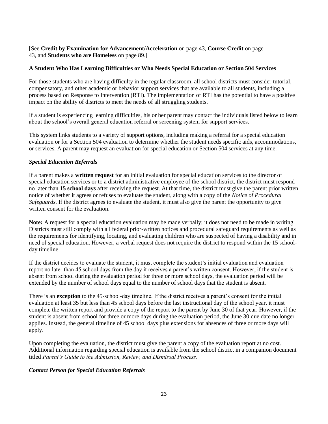#### [See **Credit by Examination for Advancement/Acceleration** on page 43, **Course Credit** on page 43, and **Students who are Homeless** on page 89.]

#### **A Student Who Has Learning Difficulties or Who Needs Special Education or Section 504 Services**

For those students who are having difficulty in the regular classroom, all school districts must consider tutorial, compensatory, and other academic or behavior support services that are available to all students, including a process based on Response to Intervention (RTI). The implementation of RTI has the potential to have a positive impact on the ability of districts to meet the needs of all struggling students.

If a student is experiencing learning difficulties, his or her parent may contact the individuals listed below to learn about the school's overall general education referral or screening system for support services.

This system links students to a variety of support options, including making a referral for a special education evaluation or for a Section 504 evaluation to determine whether the student needs specific aids, accommodations, or services. A parent may request an evaluation for special education or Section 504 services at any time.

#### *Special Education Referrals*

If a parent makes a **written request** for an initial evaluation for special education services to the director of special education services or to a district administrative employee of the school district, the district must respond no later than **15 school days** after receiving the request. At that time, the district must give the parent prior written notice of whether it agrees or refuses to evaluate the student, along with a copy of the *Notice of Procedural Safeguards*. If the district agrees to evaluate the student, it must also give the parent the opportunity to give written consent for the evaluation.

**Note:** A request for a special education evaluation may be made verbally; it does not need to be made in writing. Districts must still comply with all federal prior-written notices and procedural safeguard requirements as well as the requirements for identifying, locating, and evaluating children who are suspected of having a disability and in need of special education. However, a verbal request does not require the district to respond within the 15 schoolday timeline.

If the district decides to evaluate the student, it must complete the student's initial evaluation and evaluation report no later than 45 school days from the day it receives a parent's written consent. However, if the student is absent from school during the evaluation period for three or more school days, the evaluation period will be extended by the number of school days equal to the number of school days that the student is absent.

There is an **exception** to the 45-school-day timeline. If the district receives a parent's consent for the initial evaluation at least 35 but less than 45 school days before the last instructional day of the school year, it must complete the written report and provide a copy of the report to the parent by June 30 of that year. However, if the student is absent from school for three or more days during the evaluation period, the June 30 due date no longer applies. Instead, the general timeline of 45 school days plus extensions for absences of three or more days will apply.

Upon completing the evaluation, the district must give the parent a copy of the evaluation report at no cost. Additional information regarding special education is available from the school district in a companion document titled *Parent's Guide to the Admission, Review, and Dismissal Process*.

#### *Contact Person for Special Education Referrals*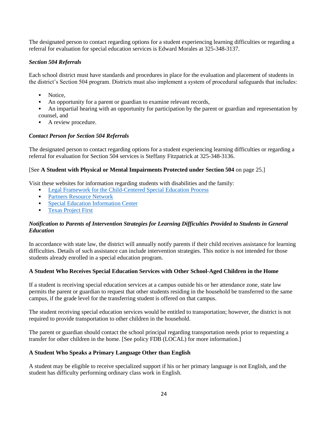The designated person to contact regarding options for a student experiencing learning difficulties or regarding a referral for evaluation for special education services is Edward Morales at 325-348-3137.

# *Section 504 Referrals*

Each school district must have standards and procedures in place for the evaluation and placement of students in the district's Section 504 program. Districts must also implement a system of procedural safeguards that includes:

- Notice,
- An opportunity for a parent or guardian to examine relevant records,
- An impartial hearing with an opportunity for participation by the parent or guardian and representation by counsel, and
- A review procedure.

#### *Contact Person for Section 504 Referrals*

The designated person to contact regarding options for a student experiencing learning difficulties or regarding a referral for evaluation for Section 504 services is Steffany Fitzpatrick at 325-348-3136.

#### [See **A Student with Physical or Mental Impairments Protected under Section 504** on page 25.]

Visit these websites for information regarding students with disabilities and the family:

- **Example 3** [Legal Framework for the Child-Centered Special Education Process](http://framework.esc18.net/display/Webforms/LandingPage.aspx)
- **[Partners Resource Network](http://www.partnerstx.org/)**
- **[Special Education Information Center](http://www.spedtex.org/)**
- **[Texas Project First](http://www.texasprojectfirst.org/)**

#### *Notification to Parents of Intervention Strategies for Learning Difficulties Provided to Students in General Education*

In accordance with state law, the district will annually notify parents if their child receives assistance for learning difficulties. Details of such assistance can include intervention strategies. This notice is not intended for those students already enrolled in a special education program.

#### **A Student Who Receives Special Education Services with Other School-Aged Children in the Home**

If a student is receiving special education services at a campus outside his or her attendance zone, state law permits the parent or guardian to request that other students residing in the household be transferred to the same campus, if the grade level for the transferring student is offered on that campus.

The student receiving special education services would be entitled to transportation; however, the district is not required to provide transportation to other children in the household.

The parent or guardian should contact the school principal regarding transportation needs prior to requesting a transfer for other children in the home. [See policy FDB (LOCAL) for more information.]

#### **A Student Who Speaks a Primary Language Other than English**

A student may be eligible to receive specialized support if his or her primary language is not English, and the student has difficulty performing ordinary class work in English.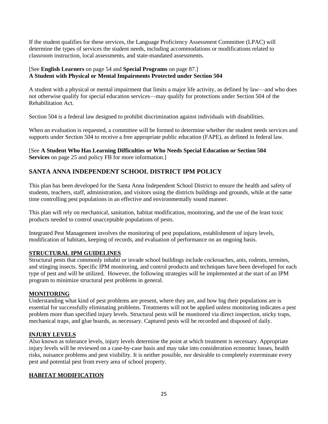If the student qualifies for these services, the Language Proficiency Assessment Committee (LPAC) will determine the types of services the student needs, including accommodations or modifications related to classroom instruction, local assessments, and state-mandated assessments.

#### [See **English Learners** on page 54 and **Special Programs** on page 87.] **A Student with Physical or Mental Impairments Protected under Section 504**

A student with a physical or mental impairment that limits a major life activity, as defined by law—and who does not otherwise qualify for special education services—may qualify for protections under Section 504 of the Rehabilitation Act.

Section 504 is a federal law designed to prohibit discrimination against individuals with disabilities.

When an evaluation is requested, a committee will be formed to determine whether the student needs services and supports under Section 504 to receive a free appropriate public education (FAPE), as defined in federal law.

#### [See **A Student Who Has Learning Difficulties or Who Needs Special Education or Section 504 Services** on page 25 and policy FB for more information.]

# **SANTA ANNA INDEPENDENT SCHOOL DISTRICT IPM POLICY**

This plan has been developed for the Santa Anna Independent School District to ensure the health and safety of students, teachers, staff, administration, and visitors using the districts buildings and grounds, while at the same time controlling pest populations in an effective and environmentally sound manner.

This plan will rely on mechanical, sanitation, habitat modification, monitoring, and the use of the least toxic products needed to control unacceptable populations of pests.

Integrated Pest Management involves the monitoring of pest populations, establishment of injury levels, modification of habitats, keeping of records, and evaluation of performance on an ongoing basis.

#### **STRUCTURAL IPM GUIDELINES**

Structural pests that commonly inhabit or invade school buildings include cockroaches, ants, rodents, termites, and stinging insects. Specific IPM monitoring, and control products and techniques have been developed for each type of pest and will be utilized. However, the following strategies will be implemented at the start of an IPM program to minimize structural pest problems in general.

#### **MONITORING**

Understanding what kind of pest problems are present, where they are, and how big their populations are is essential for successfully eliminating problems. Treatments will not be applied unless monitoring indicates a pest problem more than specified injury levels. Structural pests will be monitored via direct inspection, sticky traps, mechanical traps, and glue boards, as necessary. Captured pests will be recorded and disposed of daily.

#### **INJURY LEVELS**

Also known as tolerance levels, injury levels determine the point at which treatment is necessary. Appropriate injury levels will be reviewed on a case-by-case basis and may take into consideration economic losses, health risks, nuisance problems and pest visibility. It is neither possible, nor desirable to completely exterminate every pest and potential pest from every area of school property.

#### **HABITAT MODIFICATION**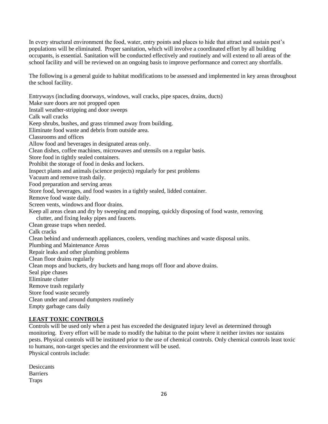In every structural environment the food, water, entry points and places to hide that attract and sustain pest's populations will be eliminated. Proper sanitation, which will involve a coordinated effort by all building occupants, is essential. Sanitation will be conducted effectively and routinely and will extend to all areas of the school facility and will be reviewed on an ongoing basis to improve performance and correct any shortfalls.

The following is a general guide to habitat modifications to be assessed and implemented in key areas throughout the school facility.

Entryways (including doorways, windows, wall cracks, pipe spaces, drains, ducts) Make sure doors are not propped open Install weather-stripping and door sweeps Calk wall cracks Keep shrubs, bushes, and grass trimmed away from building. Eliminate food waste and debris from outside area. Classrooms and offices Allow food and beverages in designated areas only. Clean dishes, coffee machines, microwaves and utensils on a regular basis. Store food in tightly sealed containers. Prohibit the storage of food in desks and lockers. Inspect plants and animals (science projects) regularly for pest problems Vacuum and remove trash daily. Food preparation and serving areas Store food, beverages, and food wastes in a tightly sealed, lidded container. Remove food waste daily. Screen vents, windows and floor drains. Keep all areas clean and dry by sweeping and mopping, quickly disposing of food waste, removing clutter, and fixing leaky pipes and faucets. Clean grease traps when needed. Calk cracks Clean behind and underneath appliances, coolers, vending machines and waste disposal units. Plumbing and Maintenance Areas Repair leaks and other plumbing problems Clean floor drains regularly Clean mops and buckets, dry buckets and hang mops off floor and above drains. Seal pipe chases Eliminate clutter Remove trash regularly Store food waste securely Clean under and around dumpsters routinely Empty garbage cans daily

# **LEAST TOXIC CONTROLS**

Controls will be used only when a pest has exceeded the designated injury level as determined through monitoring. Every effort will be made to modify the habitat to the point where it neither invites nor sustains pests. Physical controls will be instituted prior to the use of chemical controls. Only chemical controls least toxic to humans, non-target species and the environment will be used. Physical controls include:

| Desiccants      |
|-----------------|
| <b>Barriers</b> |
| <b>Traps</b>    |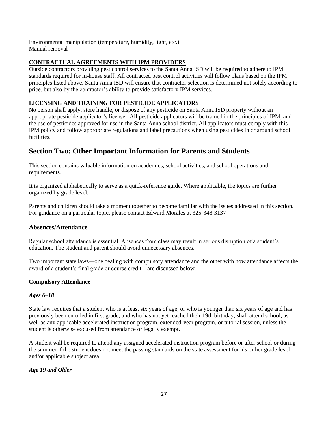Environmental manipulation (temperature, humidity, light, etc.) Manual removal

# **CONTRACTUAL AGREEMENTS WITH IPM PROVIDERS**

Outside contractors providing pest control services to the Santa Anna ISD will be required to adhere to IPM standards required for in-house staff. All contracted pest control activities will follow plans based on the IPM principles listed above. Santa Anna ISD will ensure that contractor selection is determined not solely according to price, but also by the contractor's ability to provide satisfactory IPM services.

#### **LICENSING AND TRAINING FOR PESTICIDE APPLICATORS**

No person shall apply, store handle, or dispose of any pesticide on Santa Anna ISD property without an appropriate pesticide applicator's license. All pesticide applicators will be trained in the principles of IPM, and the use of pesticides approved for use in the Santa Anna school district. All applicators must comply with this IPM policy and follow appropriate regulations and label precautions when using pesticides in or around school facilities.

# **Section Two: Other Important Information for Parents and Students**

This section contains valuable information on academics, school activities, and school operations and requirements.

It is organized alphabetically to serve as a quick-reference guide. Where applicable, the topics are further organized by grade level.

Parents and children should take a moment together to become familiar with the issues addressed in this section. For guidance on a particular topic, please contact Edward Morales at 325-348-3137

#### **Absences/Attendance**

Regular school attendance is essential. Absences from class may result in serious disruption of a student's education. The student and parent should avoid unnecessary absences.

Two important state laws—one dealing with compulsory attendance and the other with how attendance affects the award of a student's final grade or course credit—are discussed below.

#### **Compulsory Attendance**

#### *Ages 6–18*

State law requires that a student who is at least six years of age, or who is younger than six years of age and has previously been enrolled in first grade, and who has not yet reached their 19th birthday, shall attend school, as well as any applicable accelerated instruction program, extended-year program, or tutorial session, unless the student is otherwise excused from attendance or legally exempt.

A student will be required to attend any assigned accelerated instruction program before or after school or during the summer if the student does not meet the passing standards on the state assessment for his or her grade level and/or applicable subject area.

#### *Age 19 and Older*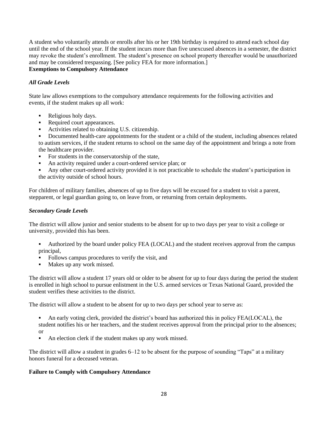A student who voluntarily attends or enrolls after his or her 19th birthday is required to attend each school day until the end of the school year. If the student incurs more than five unexcused absences in a semester, the district may revoke the student's enrollment. The student's presence on school property thereafter would be unauthorized and may be considered trespassing. [See policy FEA for more information.]

# **Exemptions to Compulsory Attendance**

# *All Grade Levels*

State law allows exemptions to the compulsory attendance requirements for the following activities and events, if the student makes up all work:

- Religious holy days.
- Required court appearances.
- Activities related to obtaining U.S. citizenship.
- Documented health-care appointments for the student or a child of the student, including absences related to autism services, if the student returns to school on the same day of the appointment and brings a note from the healthcare provider.
- For students in the conservatorship of the state,
- An activity required under a court-ordered service plan; or
- Any other court-ordered activity provided it is not practicable to schedule the student's participation in the activity outside of school hours.

For children of military families, absences of up to five days will be excused for a student to visit a parent, stepparent, or legal guardian going to, on leave from, or returning from certain deployments.

#### *Secondary Grade Levels*

The district will allow junior and senior students to be absent for up to two days per year to visit a college or university, provided this has been.

- Authorized by the board under policy FEA (LOCAL) and the student receives approval from the campus principal,
- Follows campus procedures to verify the visit, and
- **•** Makes up any work missed.

The district will allow a student 17 years old or older to be absent for up to four days during the period the student is enrolled in high school to pursue enlistment in the U.S. armed services or Texas National Guard, provided the student verifies these activities to the district.

The district will allow a student to be absent for up to two days per school year to serve as:

- An early voting clerk, provided the district's board has authorized this in policy FEA(LOCAL), the student notifies his or her teachers, and the student receives approval from the principal prior to the absences; or
- An election clerk if the student makes up any work missed.

The district will allow a student in grades 6–12 to be absent for the purpose of sounding "Taps" at a military honors funeral for a deceased veteran.

#### **Failure to Comply with Compulsory Attendance**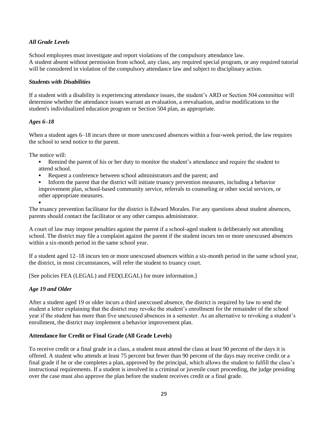# *All Grade Levels*

School employees must investigate and report violations of the compulsory attendance law. A student absent without permission from school, any class, any required special program, or any required tutorial will be considered in violation of the compulsory attendance law and subject to disciplinary action.

#### *Students with Disabilities*

If a student with a disability is experiencing attendance issues, the student's ARD or Section 504 committee will determine whether the attendance issues warrant an evaluation, a reevaluation, and/or modifications to the student's individualized education program or Section 504 plan, as appropriate.

#### *Ages 6–18*

When a student ages 6–18 incurs three or more unexcused absences within a four-week period, the law requires the school to send notice to the parent.

The notice will:

▪

- Remind the parent of his or her duty to monitor the student's attendance and require the student to attend school.
- Request a conference between school administrators and the parent; and
- Inform the parent that the district will initiate truancy prevention measures, including a behavior improvement plan, school-based community service, referrals to counseling or other social services, or other appropriate measures.

The truancy prevention facilitator for the district is Edward Morales. For any questions about student absences, parents should contact the facilitator or any other campus administrator.

A court of law may impose penalties against the parent if a school-aged student is deliberately not attending school. The district may file a complaint against the parent if the student incurs ten or more unexcused absences within a six-month period in the same school year.

If a student aged 12–18 incurs ten or more unexcused absences within a six-month period in the same school year, the district, in most circumstances, will refer the student to truancy court.

[See policies FEA (LEGAL) and FED(LEGAL) for more information.]

# *Age 19 and Older*

After a student aged 19 or older incurs a third unexcused absence, the district is required by law to send the student a letter explaining that the district may revoke the student's enrollment for the remainder of the school year if the student has more than five unexcused absences in a semester. As an alternative to revoking a student's enrollment, the district may implement a behavior improvement plan.

# **Attendance for Credit or Final Grade (All Grade Levels)**

To receive credit or a final grade in a class, a student must attend the class at least 90 percent of the days it is offered. A student who attends at least 75 percent but fewer than 90 percent of the days may receive credit or a final grade if he or she completes a plan, approved by the principal, which allows the student to fulfill the class's instructional requirements. If a student is involved in a criminal or juvenile court proceeding, the judge presiding over the case must also approve the plan before the student receives credit or a final grade.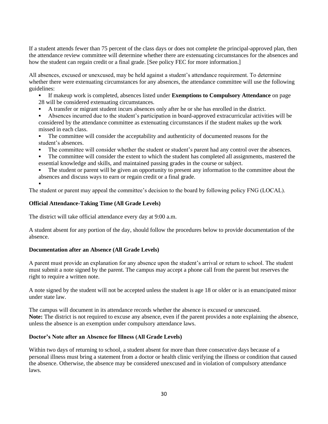If a student attends fewer than 75 percent of the class days or does not complete the principal-approved plan, then the attendance review committee will determine whether there are extenuating circumstances for the absences and how the student can regain credit or a final grade. [See policy FEC for more information.]

All absences, excused or unexcused, may be held against a student's attendance requirement. To determine whether there were extenuating circumstances for any absences, the attendance committee will use the following guidelines:

If makeup work is completed, absences listed under **Exemptions to Compulsory Attendance** on page 28 will be considered extenuating circumstances.

- A transfer or migrant student incurs absences only after he or she has enrolled in the district.
- Absences incurred due to the student's participation in board-approved extracurricular activities will be considered by the attendance committee as extenuating circumstances if the student makes up the work missed in each class.
- The committee will consider the acceptability and authenticity of documented reasons for the student's absences.
- The committee will consider whether the student or student's parent had any control over the absences.
- The committee will consider the extent to which the student has completed all assignments, mastered the essential knowledge and skills, and maintained passing grades in the course or subject.
- The student or parent will be given an opportunity to present any information to the committee about the absences and discuss ways to earn or regain credit or a final grade.

The student or parent may appeal the committee's decision to the board by following policy FNG (LOCAL).

#### **Official Attendance-Taking Time (All Grade Levels)**

▪

The district will take official attendance every day at 9:00 a.m.

A student absent for any portion of the day, should follow the procedures below to provide documentation of the absence.

#### **Documentation after an Absence (All Grade Levels)**

A parent must provide an explanation for any absence upon the student's arrival or return to school. The student must submit a note signed by the parent. The campus may accept a phone call from the parent but reserves the right to require a written note.

A note signed by the student will not be accepted unless the student is age 18 or older or is an emancipated minor under state law.

The campus will document in its attendance records whether the absence is excused or unexcused. **Note:** The district is not required to excuse any absence, even if the parent provides a note explaining the absence, unless the absence is an exemption under compulsory attendance laws.

#### **Doctor's Note after an Absence for Illness (All Grade Levels)**

Within two days of returning to school, a student absent for more than three consecutive days because of a personal illness must bring a statement from a doctor or health clinic verifying the illness or condition that caused the absence. Otherwise, the absence may be considered unexcused and in violation of compulsory attendance laws.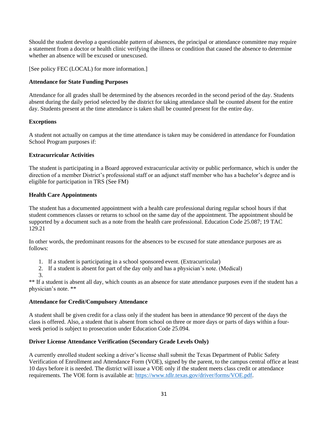Should the student develop a questionable pattern of absences, the principal or attendance committee may require a statement from a doctor or health clinic verifying the illness or condition that caused the absence to determine whether an absence will be excused or unexcused.

[See policy FEC (LOCAL) for more information.]

#### **Attendance for State Funding Purposes**

Attendance for all grades shall be determined by the absences recorded in the second period of the day. Students absent during the daily period selected by the district for taking attendance shall be counted absent for the entire day. Students present at the time attendance is taken shall be counted present for the entire day.

#### **Exceptions**

A student not actually on campus at the time attendance is taken may be considered in attendance for Foundation School Program purposes if:

#### **Extracurricular Activities**

The student is participating in a Board approved extracurricular activity or public performance, which is under the direction of a member District's professional staff or an adjunct staff member who has a bachelor's degree and is eligible for participation in TRS (See FM)

#### **Health Care Appointments**

The student has a documented appointment with a health care professional during regular school hours if that student commences classes or returns to school on the same day of the appointment. The appointment should be supported by a document such as a note from the health care professional. Education Code 25.087; 19 TAC 129.21

In other words, the predominant reasons for the absences to be excused for state attendance purposes are as follows:

- 1. If a student is participating in a school sponsored event. (Extracurricular)
- 2. If a student is absent for part of the day only and has a physician's note. (Medical) 3.

\*\* If a student is absent all day, which counts as an absence for state attendance purposes even if the student has a physician's note. \*\*

#### **Attendance for Credit/Compulsory Attendance**

A student shall be given credit for a class only if the student has been in attendance 90 percent of the days the class is offered. Also, a student that is absent from school on three or more days or parts of days within a fourweek period is subject to prosecution under Education Code 25.094.

# **Driver License Attendance Verification (Secondary Grade Levels Only)**

A currently enrolled student seeking a driver's license shall submit the Texas Department of Public Safety Verification of Enrollment and Attendance Form (VOE), signed by the parent, to the campus central office at least 10 days before it is needed. The district will issue a VOE only if the student meets class credit or attendance requirements. The VOE form is available at: [https://www.tdlr.texas.gov/driver/forms/VOE.pdf.](https://www.tdlr.texas.gov/driver/forms/VOE.pdf)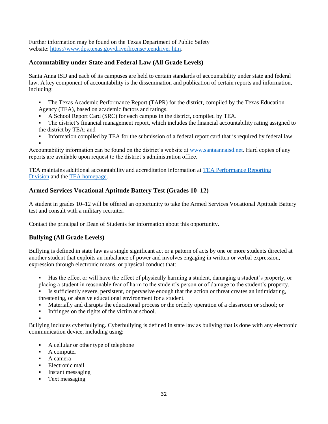Further information may be found on the Texas Department of Public Safety website: [https://www.dps.texas.gov/driverlicense/teendriver.htm.](https://www.dps.texas.gov/driverlicense/teendriver.htm)

# **Accountability under State and Federal Law (All Grade Levels)**

Santa Anna ISD and each of its campuses are held to certain standards of accountability under state and federal law. A key component of accountability is the dissemination and publication of certain reports and information, including:

- The Texas Academic Performance Report (TAPR) for the district, compiled by the Texas Education Agency (TEA), based on academic factors and ratings.
- A School Report Card (SRC) for each campus in the district, compiled by TEA.
- The district's financial management report, which includes the financial accountability rating assigned to the district by TEA; and
- Information compiled by TEA for the submission of a federal report card that is required by federal law. ▪

Accountability information can be found on the district's website at [www.santaannaisd.net.](http://www.santaannaisd.net/) Hard copies of any reports are available upon request to the district's administration office.

TEA maintains additional accountability and accreditation information at [TEA Performance Reporting](http://www.tea.texas.gov/perfreport/)  [Division](http://www.tea.texas.gov/perfreport/) and the [TEA homepage.](http://www.tea.texas.gov/)

# **Armed Services Vocational Aptitude Battery Test (Grades 10–12)**

A student in grades 10–12 will be offered an opportunity to take the Armed Services Vocational Aptitude Battery test and consult with a military recruiter.

Contact the principal or Dean of Students for information about this opportunity.

# **Bullying (All Grade Levels)**

Bullying is defined in state law as a single significant act or a pattern of acts by one or more students directed at another student that exploits an imbalance of power and involves engaging in written or verbal expression, expression through electronic means, or physical conduct that:

- Has the effect or will have the effect of physically harming a student, damaging a student's property, or placing a student in reasonable fear of harm to the student's person or of damage to the student's property.
- Is sufficiently severe, persistent, or pervasive enough that the action or threat creates an intimidating, threatening, or abusive educational environment for a student.
- Materially and disrupts the educational process or the orderly operation of a classroom or school; or
- **•** Infringes on the rights of the victim at school.
- ▪

Bullying includes cyberbullying. Cyberbullying is defined in state law as bullying that is done with any electronic communication device, including using:

- A cellular or other type of telephone
- A computer
- A camera
- **Electronic mail**
- **•** Instant messaging
- **•** Text messaging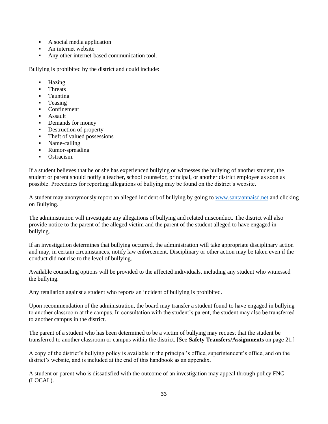- A social media application
- An internet website
- Any other internet-based communication tool.

Bullying is prohibited by the district and could include:

- **Hazing**
- **Threats**
- **Taunting**
- **•** Teasing
- **Confinement**
- Assault
- Demands for money
- Destruction of property
- **•** Theft of valued possessions
- Name-calling
- Rumor-spreading
- Ostracism.

If a student believes that he or she has experienced bullying or witnesses the bullying of another student, the student or parent should notify a teacher, school counselor, principal, or another district employee as soon as possible. Procedures for reporting allegations of bullying may be found on the district's website.

A student may anonymously report an alleged incident of bullying by going to [www.santaannaisd.net](http://www.santaannaisd.net/) and clicking on Bullying.

The administration will investigate any allegations of bullying and related misconduct. The district will also provide notice to the parent of the alleged victim and the parent of the student alleged to have engaged in bullying.

If an investigation determines that bullying occurred, the administration will take appropriate disciplinary action and may, in certain circumstances, notify law enforcement. Disciplinary or other action may be taken even if the conduct did not rise to the level of bullying.

Available counseling options will be provided to the affected individuals, including any student who witnessed the bullying.

Any retaliation against a student who reports an incident of bullying is prohibited.

Upon recommendation of the administration, the board may transfer a student found to have engaged in bullying to another classroom at the campus. In consultation with the student's parent, the student may also be transferred to another campus in the district.

The parent of a student who has been determined to be a victim of bullying may request that the student be transferred to another classroom or campus within the district. [See **Safety Transfers/Assignments** on page 21.]

A copy of the district's bullying policy is available in the principal's office, superintendent's office, and on the district's website, and is included at the end of this handbook as an appendix.

A student or parent who is dissatisfied with the outcome of an investigation may appeal through policy FNG (LOCAL).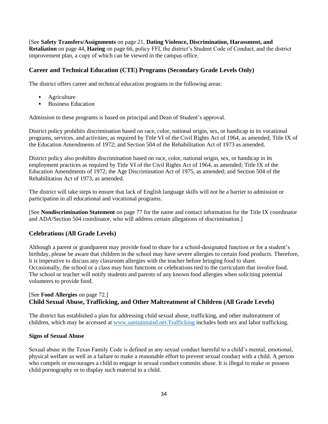[See **Safety Transfers/Assignments** on page 21, **Dating Violence, Discrimination, Harassment, and Retaliation** on page 44, **Hazing** on page 66, policy FFI, the district's Student Code of Conduct, and the district improvement plan, a copy of which can be viewed in the campus office.

# **Career and Technical Education (CTE) Programs (Secondary Grade Levels Only)**

The district offers career and technical education programs in the following areas:

- **•** Agriculture
- **Business Education**

Admission to these programs is based on principal and Dean of Student's approval.

District policy prohibits discrimination based on race, color, national origin, sex, or handicap in its vocational programs, services, and activities, as required by Title VI of the Civil Rights Act of 1964, as amended; Title IX of the Education Amendments of 1972; and Section 504 of the Rehabilitation Act of 1973 as amended.

District policy also prohibits discrimination based on race, color, national origin, sex, or handicap in its employment practices as required by Title VI of the Civil Rights Act of 1964, as amended; Title IX of the Education Amendments of 1972; the Age Discrimination Act of 1975, as amended; and Section 504 of the Rehabilitation Act of 1973, as amended.

The district will take steps to ensure that lack of English language skills will not be a barrier to admission or participation in all educational and vocational programs.

[See **Nondiscrimination Statement** on page 77 for the name and contact information for the Title IX coordinator and ADA/Section 504 coordinator, who will address certain allegations of discrimination.]

# **Celebrations (All Grade Levels)**

Although a parent or grandparent may provide food to share for a school-designated function or for a student's birthday, please be aware that children in the school may have severe allergies to certain food products. Therefore, it is imperative to discuss any classroom allergies with the teacher before bringing food to share. Occasionally, the school or a class may host functions or celebrations tied to the curriculum that involve food. The school or teacher will notify students and parents of any known food allergies when soliciting potential volunteers to provide food.

# [See **Food Allergies** on page 72.] **Child Sexual Abuse, Trafficking, and Other Maltreatment of Children (All Grade Levels)**

The district has established a plan for addressing child sexual abuse, trafficking, and other maltreatment of children, which may be accessed at [www.santaannaisd.net.Trafficking](http://www.santaannaisd.net.trafficking/) includes both sex and labor trafficking.

#### **Signs of Sexual Abuse**

Sexual abuse in the Texas Family Code is defined as any sexual conduct harmful to a child's mental, emotional, physical welfare as well as a failure to make a reasonable effort to prevent sexual conduct with a child. A person who compels or encourages a child to engage in sexual conduct commits abuse. It is illegal to make or possess child pornography or to display such material to a child.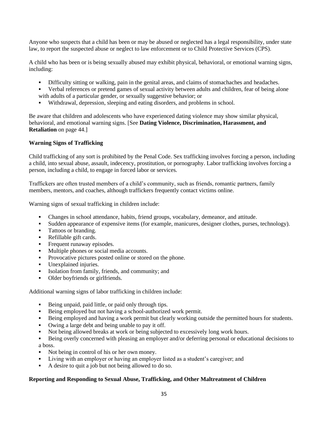Anyone who suspects that a child has been or may be abused or neglected has a legal responsibility, under state law, to report the suspected abuse or neglect to law enforcement or to Child Protective Services (CPS).

A child who has been or is being sexually abused may exhibit physical, behavioral, or emotional warning signs, including:

- **•** Difficulty sitting or walking, pain in the genital areas, and claims of stomachaches and headaches.
- Verbal references or pretend games of sexual activity between adults and children, fear of being alone with adults of a particular gender, or sexually suggestive behavior; or
- Withdrawal, depression, sleeping and eating disorders, and problems in school.

Be aware that children and adolescents who have experienced dating violence may show similar physical, behavioral, and emotional warning signs. [See **Dating Violence, Discrimination, Harassment, and Retaliation** on page 44.]

#### **Warning Signs of Trafficking**

Child trafficking of any sort is prohibited by the Penal Code. Sex trafficking involves forcing a person, including a child, into sexual abuse, assault, indecency, prostitution, or pornography. Labor trafficking involves forcing a person, including a child, to engage in forced labor or services.

Traffickers are often trusted members of a child's community, such as friends, romantic partners, family members, mentors, and coaches, although traffickers frequently contact victims online.

Warning signs of sexual trafficking in children include:

- Changes in school attendance, habits, friend groups, vocabulary, demeanor, and attitude.
- Sudden appearance of expensive items (for example, manicures, designer clothes, purses, technology).
- Tattoos or branding.
- Refillable gift cards.
- **•** Frequent runaway episodes.
- Multiple phones or social media accounts.
- Provocative pictures posted online or stored on the phone.
- **•** Unexplained injuries.
- Isolation from family, friends, and community; and
- Older boyfriends or girlfriends.

Additional warning signs of labor trafficking in children include:

- Being unpaid, paid little, or paid only through tips.
- Being employed but not having a school-authorized work permit.
- Being employed and having a work permit but clearly working outside the permitted hours for students.
- Owing a large debt and being unable to pay it off.
- Not being allowed breaks at work or being subjected to excessively long work hours.
- Being overly concerned with pleasing an employer and/or deferring personal or educational decisions to a boss.
- Not being in control of his or her own money.
- Living with an employer or having an employer listed as a student's caregiver; and
- A desire to quit a job but not being allowed to do so.

#### **Reporting and Responding to Sexual Abuse, Trafficking, and Other Maltreatment of Children**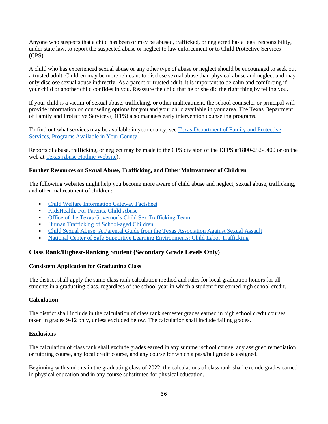Anyone who suspects that a child has been or may be abused, trafficked, or neglected has a legal responsibility, under state law, to report the suspected abuse or neglect to law enforcement or to Child Protective Services (CPS).

A child who has experienced sexual abuse or any other type of abuse or neglect should be encouraged to seek out a trusted adult. Children may be more reluctant to disclose sexual abuse than physical abuse and neglect and may only disclose sexual abuse indirectly. As a parent or trusted adult, it is important to be calm and comforting if your child or another child confides in you. Reassure the child that he or she did the right thing by telling you.

If your child is a victim of sexual abuse, trafficking, or other maltreatment, the school counselor or principal will provide information on counseling options for you and your child available in your area. The Texas Department of Family and Protective Services (DFPS) also manages early intervention counseling programs.

To find out what services may be available in your county, see [Texas Department of Family and Protective](http://www.dfps.state.tx.us/Prevention_and_Early_Intervention/Programs_Available_In_Your_County/default.asp)  [Services, Programs Available in Your County.](http://www.dfps.state.tx.us/Prevention_and_Early_Intervention/Programs_Available_In_Your_County/default.asp)

Reports of abuse, trafficking, or neglect may be made to the CPS division of the DFPS at1800-252-5400 or on the web at [Texas Abuse Hotline Website\)](http://www.txabusehotline.org/).

#### **Further Resources on Sexual Abuse, Trafficking, and Other Maltreatment of Children**

The following websites might help you become more aware of child abuse and neglect, sexual abuse, trafficking, and other maltreatment of children:

- [Child Welfare Information Gateway Factsheet](https://www.childwelfare.gov/pubs/factsheets/whatiscan.pdf)
- [KidsHealth, For Parents, Child Abuse](http://kidshealth.org/en/parents/child-abuse.html)
- [Office of the Texas Governor's Child Sex Trafficking Team](https://gov.texas.gov/organization/cjd/childsextrafficking)
- [Human Trafficking of School-aged Children](https://tea.texas.gov/About_TEA/Other_Services/Human_Trafficking_of_School-aged_Children/)
- [Child Sexual Abuse: A Parental Guide from the Texas Association Against Sexual Assault](http://taasa.org/product/child-sexual-abuse-parental-guide/)
- [National Center of Safe Supportive Learning Environments: Child Labor Trafficking](https://safesupportivelearning.ed.gov/human-trafficking-americas-schools/child-labor-trafficking)

# **Class Rank/Highest-Ranking Student (Secondary Grade Levels Only)**

#### **Consistent Application for Graduating Class**

The district shall apply the same class rank calculation method and rules for local graduation honors for all students in a graduating class, regardless of the school year in which a student first earned high school credit.

#### **Calculation**

The district shall include in the calculation of class rank semester grades earned in high school credit courses taken in grades 9-12 only, unless excluded below. The calculation shall include failing grades.

#### **Exclusions**

The calculation of class rank shall exclude grades earned in any summer school course, any assigned remediation or tutoring course, any local credit course, and any course for which a pass/fail grade is assigned.

Beginning with students in the graduating class of 2022, the calculations of class rank shall exclude grades earned in physical education and in any course substituted for physical education.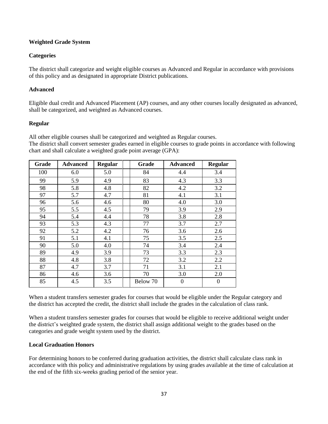### **Weighted Grade System**

### **Categories**

The district shall categorize and weight eligible courses as Advanced and Regular in accordance with provisions of this policy and as designated in appropriate District publications.

### **Advanced**

Eligible dual credit and Advanced Placement (AP) courses, and any other courses locally designated as advanced, shall be categorized, and weighted as Advanced courses.

### **Regular**

All other eligible courses shall be categorized and weighted as Regular courses.

The district shall convert semester grades earned in eligible courses to grade points in accordance with following chart and shall calculate a weighted grade point average (GPA):

| Grade | <b>Advanced</b> | <b>Regular</b> | Grade    | <b>Advanced</b>  | <b>Regular</b>   |
|-------|-----------------|----------------|----------|------------------|------------------|
| 100   | 6.0             | 5.0            | 84       | 4.4              | 3.4              |
| 99    | 5.9             | 4.9            | 83       | 4.3              | 3.3              |
| 98    | 5.8             | 4.8            | 82       | 4.2              | 3.2              |
| 97    | 5.7             | 4.7            | 81       | 4.1              | 3.1              |
| 96    | 5.6             | 4.6            | 80       | 4.0              | 3.0              |
| 95    | 5.5             | 4.5            | 79       | 3.9              | 2.9              |
| 94    | 5.4             | 4.4            | 78       | 3.8              | 2.8              |
| 93    | 5.3             | 4.3            | 77       | 3.7              | 2.7              |
| 92    | 5.2             | 4.2            | 76       | 3.6              | 2.6              |
| 91    | 5.1             | 4.1            | 75       | 3.5              | 2.5              |
| 90    | 5.0             | 4.0            | 74       | 3.4              | 2.4              |
| 89    | 4.9             | 3.9            | 73       | 3.3              | 2.3              |
| 88    | 4.8             | 3.8            | 72       | 3.2              | 2.2              |
| 87    | 4.7             | 3.7            | 71       | 3.1              | 2.1              |
| 86    | 4.6             | 3.6            | 70       | 3.0              | 2.0              |
| 85    | 4.5             | 3.5            | Below 70 | $\boldsymbol{0}$ | $\boldsymbol{0}$ |

When a student transfers semester grades for courses that would be eligible under the Regular category and the district has accepted the credit, the district shall include the grades in the calculation of class rank.

When a student transfers semester grades for courses that would be eligible to receive additional weight under the district's weighted grade system, the district shall assign additional weight to the grades based on the categories and grade weight system used by the district.

# **Local Graduation Honors**

For determining honors to be conferred during graduation activities, the district shall calculate class rank in accordance with this policy and administrative regulations by using grades available at the time of calculation at the end of the fifth six-weeks grading period of the senior year.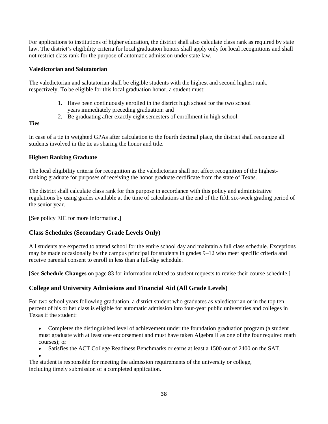For applications to institutions of higher education, the district shall also calculate class rank as required by state law. The district's eligibility criteria for local graduation honors shall apply only for local recognitions and shall not restrict class rank for the purpose of automatic admission under state law.

### **Valedictorian and Salutatorian**

The valedictorian and salutatorian shall be eligible students with the highest and second highest rank, respectively. To be eligible for this local graduation honor, a student must:

- 1. Have been continuously enrolled in the district high school for the two school years immediately preceding graduation: and
- 2. Be graduating after exactly eight semesters of enrollment in high school.

### **Ties**

In case of a tie in weighted GPAs after calculation to the fourth decimal place, the district shall recognize all students involved in the tie as sharing the honor and title.

### **Highest Ranking Graduate**

The local eligibility criteria for recognition as the valedictorian shall not affect recognition of the highestranking graduate for purposes of receiving the honor graduate certificate from the state of Texas.

The district shall calculate class rank for this purpose in accordance with this policy and administrative regulations by using grades available at the time of calculations at the end of the fifth six-week grading period of the senior year.

[See policy EIC for more information.]

# **Class Schedules (Secondary Grade Levels Only)**

All students are expected to attend school for the entire school day and maintain a full class schedule. Exceptions may be made occasionally by the campus principal for students in grades 9–12 who meet specific criteria and receive parental consent to enroll in less than a full-day schedule.

[See **Schedule Changes** on page 83 for information related to student requests to revise their course schedule.]

# **College and University Admissions and Financial Aid (All Grade Levels)**

For two school years following graduation, a district student who graduates as valedictorian or in the top ten percent of his or her class is eligible for automatic admission into four-year public universities and colleges in Texas if the student:

- Completes the distinguished level of achievement under the foundation graduation program (a student must graduate with at least one endorsement and must have taken Algebra II as one of the four required math courses); or
- Satisfies the ACT College Readiness Benchmarks or earns at least a 1500 out of 2400 on the SAT.

• The student is responsible for meeting the admission requirements of the university or college, including timely submission of a completed application.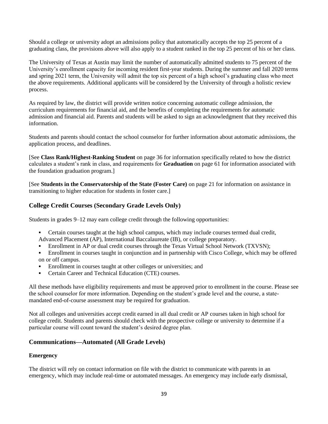Should a college or university adopt an admissions policy that automatically accepts the top 25 percent of a graduating class, the provisions above will also apply to a student ranked in the top 25 percent of his or her class.

The University of Texas at Austin may limit the number of automatically admitted students to 75 percent of the University's enrollment capacity for incoming resident first-year students. During the summer and fall 2020 terms and spring 2021 term, the University will admit the top six percent of a high school's graduating class who meet the above requirements. Additional applicants will be considered by the University of through a holistic review process.

As required by law, the district will provide written notice concerning automatic college admission, the curriculum requirements for financial aid, and the benefits of completing the requirements for automatic admission and financial aid. Parents and students will be asked to sign an acknowledgment that they received this information.

Students and parents should contact the school counselor for further information about automatic admissions, the application process, and deadlines.

[See **Class Rank/Highest-Ranking Student** on page 36 for information specifically related to how the district calculates a student's rank in class, and requirements for **Graduation** on page 61 for information associated with the foundation graduation program.]

[See **Students in the Conservatorship of the State (Foster Care)** on page 21 for information on assistance in transitioning to higher education for students in foster care.]

# **College Credit Courses (Secondary Grade Levels Only)**

Students in grades 9–12 may earn college credit through the following opportunities:

- **•** Certain courses taught at the high school campus, which may include courses termed dual credit, Advanced Placement (AP), International Baccalaureate (IB), or college preparatory.
- Enrollment in AP or dual credit courses through the Texas Virtual School Network (TXVSN);
- Enrollment in courses taught in conjunction and in partnership with Cisco College*,* which may be offered on or off campus.
- Enrollment in courses taught at other colleges or universities; and
- Certain Career and Technical Education (CTE) courses.

All these methods have eligibility requirements and must be approved prior to enrollment in the course. Please see the school counselor for more information. Depending on the student's grade level and the course, a statemandated end-of-course assessment may be required for graduation.

Not all colleges and universities accept credit earned in all dual credit or AP courses taken in high school for college credit. Students and parents should check with the prospective college or university to determine if a particular course will count toward the student's desired degree plan.

# **Communications—Automated (All Grade Levels)**

### **Emergency**

The district will rely on contact information on file with the district to communicate with parents in an emergency, which may include real-time or automated messages. An emergency may include early dismissal,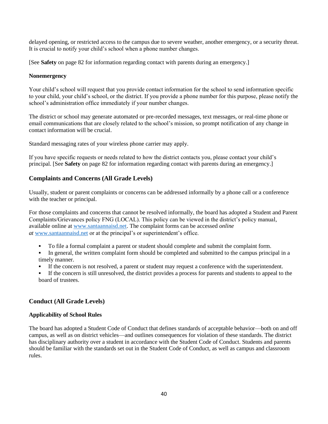delayed opening, or restricted access to the campus due to severe weather, another emergency, or a security threat. It is crucial to notify your child's school when a phone number changes.

[See **Safety** on page 82 for information regarding contact with parents during an emergency.]

### **Nonemergency**

Your child's school will request that you provide contact information for the school to send information specific to your child, your child's school, or the district. If you provide a phone number for this purpose, please notify the school's administration office immediately if your number changes.

The district or school may generate automated or pre-recorded messages, text messages, or real-time phone or email communications that are closely related to the school's mission, so prompt notification of any change in contact information will be crucial.

Standard messaging rates of your wireless phone carrier may apply.

If you have specific requests or needs related to how the district contacts you, please contact your child's principal. [See **Safety** on page 82 for information regarding contact with parents during an emergency.]

# **Complaints and Concerns (All Grade Levels)**

Usually, student or parent complaints or concerns can be addressed informally by a phone call or a conference with the teacher or principal.

For those complaints and concerns that cannot be resolved informally, the board has adopted a Student and Parent Complaints/Grievances policy FNG (LOCAL). This policy can be viewed in the district's policy manual, available online at [www.santaannaisd.net.](http://www.santaannaisd.net/) The complaint forms can be accessed *online at* [www.santaannaisd.net](http://www.santaannaisd.net/) or at the principal's or superintendent's office.

- To file a formal complaint a parent or student should complete and submit the complaint form.
- In general, the written complaint form should be completed and submitted to the campus principal in a timely manner.
- If the concern is not resolved, a parent or student may request a conference with the superintendent.
- If the concern is still unresolved, the district provides a process for parents and students to appeal to the board of trustees.

# **Conduct (All Grade Levels)**

# **Applicability of School Rules**

The board has adopted a Student Code of Conduct that defines standards of acceptable behavior—both on and off campus, as well as on district vehicles—and outlines consequences for violation of these standards. The district has disciplinary authority over a student in accordance with the Student Code of Conduct. Students and parents should be familiar with the standards set out in the Student Code of Conduct, as well as campus and classroom rules.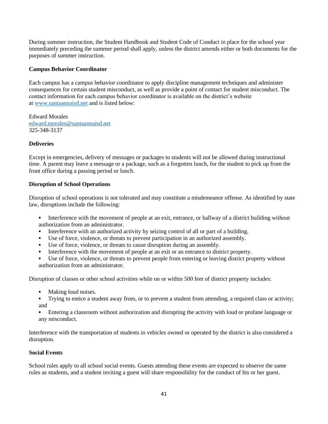During summer instruction, the Student Handbook and Student Code of Conduct in place for the school year immediately preceding the summer period shall apply, unless the district amends either or both documents for the purposes of summer instruction.

### **Campus Behavior Coordinator**

Each campus has a campus behavior coordinator to apply discipline management techniques and administer consequences for certain student misconduct, as well as provide a point of contact for student misconduct. The contact information for each campus behavior coordinator is available on the district's website at [www.santaannaisd.net](http://www.santaannaisd.net/) and is listed below:

Edward Morales [edward.morales@santaannaisd.net](mailto:edward.morales@santaannaisd.net) 325-348-3137

### **Deliveries**

Except in emergencies, delivery of messages or packages to students will not be allowed during instructional time. A parent may leave a message or a package, such as a forgotten lunch, for the student to pick up from the front office during a passing period or lunch.

### **Disruption of School Operations**

Disruption of school operations is not tolerated and may constitute a misdemeanor offense. As identified by state law, disruptions include the following:

- Interference with the movement of people at an exit, entrance, or hallway of a district building without authorization from an administrator.
- Interference with an authorized activity by seizing control of all or part of a building.
- Use of force, violence, or threats to prevent participation in an authorized assembly.
- Use of force, violence, or threats to cause disruption during an assembly.
- Interference with the movement of people at an exit or an entrance to district property.
- Use of force, violence, or threats to prevent people from entering or leaving district property without authorization from an administrator.

Disruption of classes or other school activities while on or within 500 feet of district property includes:

- Making loud noises.
- Trying to entice a student away from, or to prevent a student from attending, a required class or activity; and
- Entering a classroom without authorization and disrupting the activity with loud or profane language or any misconduct.

Interference with the transportation of students in vehicles owned or operated by the district is also considered a disruption.

### **Social Events**

School rules apply to all school social events. Guests attending these events are expected to observe the same rules as students, and a student inviting a guest will share responsibility for the conduct of his or her guest.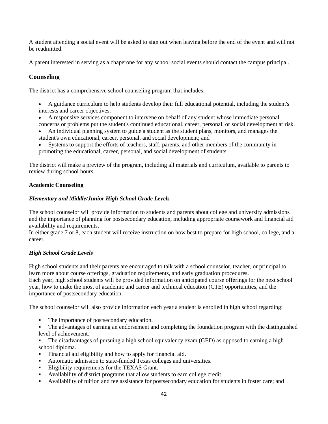A student attending a social event will be asked to sign out when leaving before the end of the event and will not be readmitted.

A parent interested in serving as a chaperone for any school social events should contact the campus principal.

# **Counseling**

The district has a comprehensive school counseling program that includes:

- A guidance curriculum to help students develop their full educational potential, including the student's interests and career objectives.
- A responsive services component to intervene on behalf of any student whose immediate personal
- concerns or problems put the student's continued educational, career, personal, or social development at risk. • An individual planning system to guide a student as the student plans, monitors, and manages the student's own educational, career, personal, and social development; and
- Systems to support the efforts of teachers, staff, parents, and other members of the community in promoting the educational, career, personal, and social development of students.

The district will make a preview of the program, including all materials and curriculum, available to parents to review during school hours.

### **Academic Counseling**

### *Elementary and Middle/Junior High School Grade Levels*

The school counselor will provide information to students and parents about college and university admissions and the importance of planning for postsecondary education, including appropriate coursework and financial aid availability and requirements.

In either grade 7 or 8, each student will receive instruction on how best to prepare for high school, college, and a career.

# *High School Grade Levels*

High school students and their parents are encouraged to talk with a school counselor, teacher, or principal to learn more about course offerings, graduation requirements, and early graduation procedures. Each year, high school students will be provided information on anticipated course offerings for the next school year, how to make the most of academic and career and technical education (CTE) opportunities, and the importance of postsecondary education.

The school counselor will also provide information each year a student is enrolled in high school regarding:

- The importance of postsecondary education.
- The advantages of earning an endorsement and completing the foundation program with the distinguished level of achievement.
- The disadvantages of pursuing a high school equivalency exam (GED) as opposed to earning a high school diploma.
- Financial aid eligibility and how to apply for financial aid.
- Automatic admission to state-funded Texas colleges and universities.
- Eligibility requirements for the TEXAS Grant.
- Availability of district programs that allow students to earn college credit.
- Availability of tuition and fee assistance for postsecondary education for students in foster care; and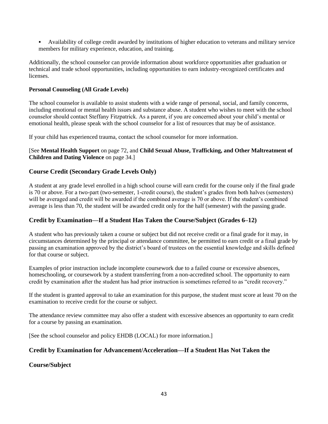Availability of college credit awarded by institutions of higher education to veterans and military service members for military experience, education, and training.

Additionally, the school counselor can provide information about workforce opportunities after graduation or technical and trade school opportunities, including opportunities to earn industry-recognized certificates and licenses.

### **Personal Counseling (All Grade Levels)**

The school counselor is available to assist students with a wide range of personal, social, and family concerns, including emotional or mental health issues and substance abuse. A student who wishes to meet with the school counselor should contact Steffany Fitzpatrick. As a parent, if you are concerned about your child's mental or emotional health, please speak with the school counselor for a list of resources that may be of assistance.

If your child has experienced trauma, contact the school counselor for more information.

### [See **Mental Health Support** on page 72, and **Child Sexual Abuse, Trafficking, and Other Maltreatment of Children and Dating Violence** on page 34.]

# **Course Credit (Secondary Grade Levels Only)**

A student at any grade level enrolled in a high school course will earn credit for the course only if the final grade is 70 or above. For a two-part (two-semester, 1-credit course), the student's grades from both halves (semesters) will be averaged and credit will be awarded if the combined average is 70 or above. If the student's combined average is less than 70, the student will be awarded credit only for the half (semester) with the passing grade.

# **Credit by Examination—If a Student Has Taken the Course/Subject (Grades 6–12)**

A student who has previously taken a course or subject but did not receive credit or a final grade for it may, in circumstances determined by the principal or attendance committee, be permitted to earn credit or a final grade by passing an examination approved by the district's board of trustees on the essential knowledge and skills defined for that course or subject.

Examples of prior instruction include incomplete coursework due to a failed course or excessive absences, homeschooling, or coursework by a student transferring from a non-accredited school. The opportunity to earn credit by examination after the student has had prior instruction is sometimes referred to as "credit recovery."

If the student is granted approval to take an examination for this purpose, the student must score at least 70 on the examination to receive credit for the course or subject.

The attendance review committee may also offer a student with excessive absences an opportunity to earn credit for a course by passing an examination.

[See the school counselor and policy EHDB (LOCAL) for more information.]

# **Credit by Examination for Advancement/Acceleration—If a Student Has Not Taken the**

# **Course/Subject**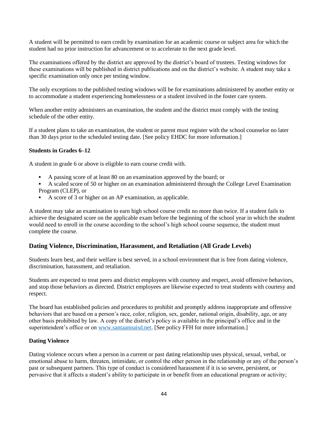A student will be permitted to earn credit by examination for an academic course or subject area for which the student had no prior instruction for advancement or to accelerate to the next grade level.

The examinations offered by the district are approved by the district's board of trustees. Testing windows for these examinations will be published in district publications and on the district's website. A student may take a specific examination only once per testing window.

The only exceptions to the published testing windows will be for examinations administered by another entity or to accommodate a student experiencing homelessness or a student involved in the foster care system.

When another entity administers an examination, the student and the district must comply with the testing schedule of the other entity.

If a student plans to take an examination, the student or parent must register with the school counselor no later than 30 days prior to the scheduled testing date. [See policy EHDC for more information.]

### **Students in Grades 6–12**

A student in grade 6 or above is eligible to earn course credit with.

- A passing score of at least 80 on an examination approved by the board; or
- A scaled score of 50 or higher on an examination administered through the College Level Examination Program (CLEP), or
- A score of 3 or higher on an AP examination, as applicable.

A student may take an examination to earn high school course credit no more than twice. If a student fails to achieve the designated score on the applicable exam before the beginning of the school year in which the student would need to enroll in the course according to the school's high school course sequence, the student must complete the course.

### **Dating Violence, Discrimination, Harassment, and Retaliation (All Grade Levels)**

Students learn best, and their welfare is best served, in a school environment that is free from dating violence, discrimination, harassment, and retaliation.

Students are expected to treat peers and district employees with courtesy and respect, avoid offensive behaviors, and stop those behaviors as directed. District employees are likewise expected to treat students with courtesy and respect.

The board has established policies and procedures to prohibit and promptly address inappropriate and offensive behaviors that are based on a person's race, color, religion, sex, gender, national origin, disability, age, or any other basis prohibited by law. A copy of the district's policy is available in the principal's office and in the superintendent's office or on [www.santaannaisd.net.](http://www.santaannaisd.net/) [See policy FFH for more information.]

#### **Dating Violence**

Dating violence occurs when a person in a current or past dating relationship uses physical, sexual, verbal, or emotional abuse to harm, threaten, intimidate, or control the other person in the relationship or any of the person's past or subsequent partners. This type of conduct is considered harassment if it is so severe, persistent, or pervasive that it affects a student's ability to participate in or benefit from an educational program or activity;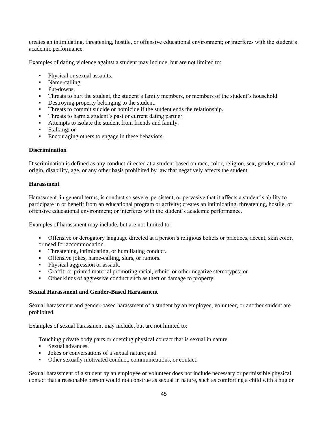creates an intimidating, threatening, hostile, or offensive educational environment; or interferes with the student's academic performance.

Examples of dating violence against a student may include, but are not limited to:

- Physical or sexual assaults.
- Name-calling.
- Put-downs.
- Threats to hurt the student, the student's family members, or members of the student's household.
- **•** Destroying property belonging to the student.
- Threats to commit suicide or homicide if the student ends the relationship.
- Threats to harm a student's past or current dating partner.
- Attempts to isolate the student from friends and family.
- Stalking; or
- Encouraging others to engage in these behaviors.

### **Discrimination**

Discrimination is defined as any conduct directed at a student based on race, color, religion, sex, gender, national origin, disability, age, or any other basis prohibited by law that negatively affects the student.

### **Harassment**

Harassment, in general terms, is conduct so severe, persistent, or pervasive that it affects a student's ability to participate in or benefit from an educational program or activity; creates an intimidating, threatening, hostile, or offensive educational environment; or interferes with the student's academic performance.

Examples of harassment may include, but are not limited to:

- Offensive or derogatory language directed at a person's religious beliefs or practices, accent, skin color, or need for accommodation.
- Threatening, intimidating, or humiliating conduct.
- **•** Offensive jokes, name-calling, slurs, or rumors.
- **•** Physical aggression or assault.
- Graffiti or printed material promoting racial, ethnic, or other negative stereotypes; or
- Other kinds of aggressive conduct such as theft or damage to property.

#### **Sexual Harassment and Gender-Based Harassment**

Sexual harassment and gender-based harassment of a student by an employee, volunteer, or another student are prohibited.

Examples of sexual harassment may include, but are not limited to:

Touching private body parts or coercing physical contact that is sexual in nature.

- Sexual advances.
- Jokes or conversations of a sexual nature; and
- Other sexually motivated conduct, communications, or contact.

Sexual harassment of a student by an employee or volunteer does not include necessary or permissible physical contact that a reasonable person would not construe as sexual in nature, such as comforting a child with a hug or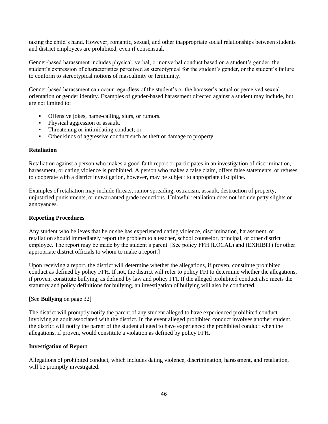taking the child's hand. However, romantic, sexual, and other inappropriate social relationships between students and district employees are prohibited, even if consensual.

Gender-based harassment includes physical, verbal, or nonverbal conduct based on a student's gender, the student's expression of characteristics perceived as stereotypical for the student's gender, or the student's failure to conform to stereotypical notions of masculinity or femininity.

Gender-based harassment can occur regardless of the student's or the harasser's actual or perceived sexual orientation or gender identity. Examples of gender-based harassment directed against a student may include, but are not limited to:

- Offensive jokes, name-calling, slurs, or rumors.
- Physical aggression or assault.
- **•** Threatening or intimidating conduct; or
- Other kinds of aggressive conduct such as theft or damage to property.

### **Retaliation**

Retaliation against a person who makes a good-faith report or participates in an investigation of discrimination, harassment, or dating violence is prohibited. A person who makes a false claim, offers false statements, or refuses to cooperate with a district investigation, however, may be subject to appropriate discipline.

Examples of retaliation may include threats, rumor spreading, ostracism, assault, destruction of property, unjustified punishments, or unwarranted grade reductions. Unlawful retaliation does not include petty slights or annoyances.

### **Reporting Procedures**

Any student who believes that he or she has experienced dating violence, discrimination, harassment, or retaliation should immediately report the problem to a teacher, school counselor, principal, or other district employee. The report may be made by the student's parent. [See policy FFH (LOCAL) and (EXHIBIT) for other appropriate district officials to whom to make a report.]

Upon receiving a report, the district will determine whether the allegations, if proven, constitute prohibited conduct as defined by policy FFH. If not, the district will refer to policy FFI to determine whether the allegations, if proven, constitute bullying, as defined by law and policy FFI. If the alleged prohibited conduct also meets the statutory and policy definitions for bullying, an investigation of bullying will also be conducted.

### [See **Bullying** on page 32]

The district will promptly notify the parent of any student alleged to have experienced prohibited conduct involving an adult associated with the district. In the event alleged prohibited conduct involves another student, the district will notify the parent of the student alleged to have experienced the prohibited conduct when the allegations, if proven, would constitute a violation as defined by policy FFH.

### **Investigation of Report**

Allegations of prohibited conduct, which includes dating violence, discrimination, harassment, and retaliation, will be promptly investigated.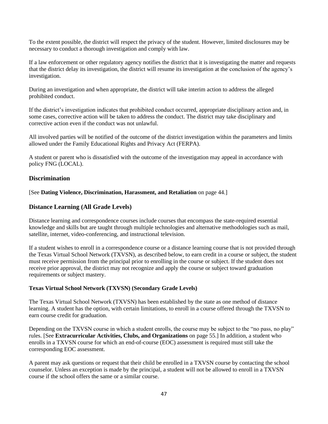To the extent possible, the district will respect the privacy of the student. However, limited disclosures may be necessary to conduct a thorough investigation and comply with law.

If a law enforcement or other regulatory agency notifies the district that it is investigating the matter and requests that the district delay its investigation, the district will resume its investigation at the conclusion of the agency's investigation.

During an investigation and when appropriate, the district will take interim action to address the alleged prohibited conduct.

If the district's investigation indicates that prohibited conduct occurred, appropriate disciplinary action and, in some cases, corrective action will be taken to address the conduct. The district may take disciplinary and corrective action even if the conduct was not unlawful.

All involved parties will be notified of the outcome of the district investigation within the parameters and limits allowed under the Family Educational Rights and Privacy Act (FERPA).

A student or parent who is dissatisfied with the outcome of the investigation may appeal in accordance with policy FNG (LOCAL).

# **Discrimination**

[See **Dating Violence, Discrimination, Harassment, and Retaliation** on page 44.]

### **Distance Learning (All Grade Levels)**

Distance learning and correspondence courses include courses that encompass the state-required essential knowledge and skills but are taught through multiple technologies and alternative methodologies such as mail, satellite, internet, video-conferencing, and instructional television.

If a student wishes to enroll in a correspondence course or a distance learning course that is not provided through the Texas Virtual School Network (TXVSN), as described below, to earn credit in a course or subject, the student must receive permission from the principal prior to enrolling in the course or subject. If the student does not receive prior approval, the district may not recognize and apply the course or subject toward graduation requirements or subject mastery.

### **Texas Virtual School Network (TXVSN) (Secondary Grade Levels)**

The Texas Virtual School Network (TXVSN) has been established by the state as one method of distance learning. A student has the option, with certain limitations, to enroll in a course offered through the TXVSN to earn course credit for graduation.

Depending on the TXVSN course in which a student enrolls, the course may be subject to the "no pass, no play" rules. [See **Extracurricular Activities, Clubs, and Organizations** on page 55.] In addition, a student who enrolls in a TXVSN course for which an end-of-course (EOC) assessment is required must still take the corresponding EOC assessment.

A parent may ask questions or request that their child be enrolled in a TXVSN course by contacting the school counselor. Unless an exception is made by the principal, a student will not be allowed to enroll in a TXVSN course if the school offers the same or a similar course.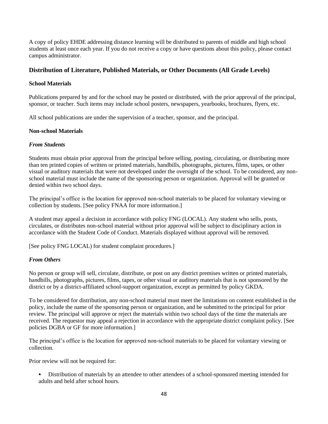A copy of policy EHDE addressing distance learning will be distributed to parents of middle and high school students at least once each year. If you do not receive a copy or have questions about this policy, please contact campus administrator.

### **Distribution of Literature, Published Materials, or Other Documents (All Grade Levels)**

### **School Materials**

Publications prepared by and for the school may be posted or distributed, with the prior approval of the principal, sponsor, or teacher. Such items may include school posters, newspapers, yearbooks, brochures, flyers, etc.

All school publications are under the supervision of a teacher, sponsor, and the principal.

#### **Non-school Materials**

### *From Students*

Students must obtain prior approval from the principal before selling, posting, circulating, or distributing more than ten printed copies of written or printed materials, handbills, photographs, pictures, films, tapes, or other visual or auditory materials that were not developed under the oversight of the school. To be considered, any nonschool material must include the name of the sponsoring person or organization. Approval will be granted or denied within two school days.

The principal's office is the location for approved non-school materials to be placed for voluntary viewing or collection by students. [See policy FNAA for more information.]

A student may appeal a decision in accordance with policy FNG (LOCAL). Any student who sells, posts, circulates, or distributes non-school material without prior approval will be subject to disciplinary action in accordance with the Student Code of Conduct. Materials displayed without approval will be removed.

[See policy FNG LOCAL] for student complaint procedures.]

#### *From Others*

No person or group will sell, circulate, distribute, or post on any district premises written or printed materials, handbills, photographs, pictures, films, tapes, or other visual or auditory materials that is not sponsored by the district or by a district-affiliated school-support organization, except as permitted by policy GKDA.

To be considered for distribution, any non-school material must meet the limitations on content established in the policy, include the name of the sponsoring person or organization, and be submitted to the principal for prior review. The principal will approve or reject the materials within two school days of the time the materials are received. The requestor may appeal a rejection in accordance with the appropriate district complaint policy. [See policies DGBA or GF for more information.]

The principal's office is the location for approved non-school materials to be placed for voluntary viewing or collection.

Prior review will not be required for:

▪ Distribution of materials by an attendee to other attendees of a school-sponsored meeting intended for adults and held after school hours.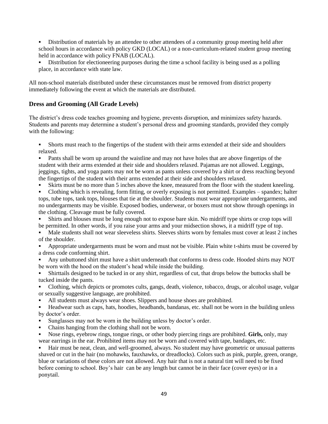- Distribution of materials by an attendee to other attendees of a community group meeting held after school hours in accordance with policy GKD (LOCAL) or a non-curriculum-related student group meeting held in accordance with policy FNAB (LOCAL).
- Distribution for electioneering purposes during the time a school facility is being used as a polling place, in accordance with state law.

All non-school materials distributed under these circumstances must be removed from district property immediately following the event at which the materials are distributed.

# **Dress and Grooming (All Grade Levels)**

The district's dress code teaches grooming and hygiene, prevents disruption, and minimizes safety hazards. Students and parents may determine a student's personal dress and grooming standards, provided they comply with the following:

Shorts must reach to the fingertips of the student with their arms extended at their side and shoulders relaxed.

Pants shall be worn up around the waistline and may not have holes that are above fingertips of the student with their arms extended at their side and shoulders relaxed. Pajamas are not allowed. Leggings, jeggings, tights, and yoga pants may not be worn as pants unless covered by a shirt or dress reaching beyond the fingertips of the student with their arms extended at their side and shoulders relaxed.

- Skirts must be no more than 5 inches above the knee, measured from the floor with the student kneeling.
- Clothing which is revealing, form fitting, or overly exposing is not permitted. Examples spandex; halter tops, tube tops, tank tops, blouses that tie at the shoulder. Students must wear appropriate undergarments, and no undergarments may be visible. Exposed bodies, underwear, or boxers must not show through openings in the clothing. Cleavage must be fully covered.
- Shirts and blouses must be long enough not to expose bare skin. No midriff type shirts or crop tops will be permitted. In other words, if you raise your arms and your midsection shows, it a midriff type of top.
- Male students shall not wear sleeveless shirts. Sleeves shirts worn by females must cover at least 2 inches of the shoulder.
- Appropriate undergarments must be worn and must not be visible. Plain white t-shirts must be covered by a dress code conforming shirt.
- Any unbuttoned shirt must have a shirt underneath that conforms to dress code. Hooded shirts may NOT be worn with the hood on the student's head while inside the building.
- Shirttails designed to be tucked in or any shirt, regardless of cut, that drops below the buttocks shall be tucked inside the pants.
- Clothing, which depicts or promotes cults, gangs, death, violence, tobacco, drugs, or alcohol usage, vulgar or sexually suggestive language, are prohibited.
- All students must always wear shoes. Slippers and house shoes are prohibited.
- Headwear such as caps, hats, hoodies, headbands, bandanas, etc. shall not be worn in the building unless by doctor's order.
- Sunglasses may not be worn in the building unless by doctor's order.
- Chains hanging from the clothing shall not be worn.
- Nose rings, eyebrow rings, tongue rings, or other body piercing rings are prohibited. Girls, only, may wear earrings in the ear. Prohibited items may not be worn and covered with tape, bandages, etc.

Hair must be neat, clean, and well-groomed, always. No student may have geometric or unusual patterns shaved or cut in the hair (no mohawks, fauxhawks, or dreadlocks). Colors such as pink, purple, green, orange, blue or variations of these colors are not allowed. Any hair that is not a natural tint will need to be fixed before coming to school. Boy's hair can be any length but cannot be in their face (cover eyes) or in a ponytail.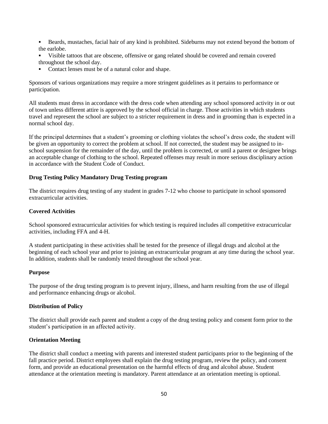- Beards, mustaches, facial hair of any kind is prohibited. Sideburns may not extend beyond the bottom of the earlobe.
- Visible tattoos that are obscene, offensive or gang related should be covered and remain covered throughout the school day.
- Contact lenses must be of a natural color and shape.

Sponsors of various organizations may require a more stringent guidelines as it pertains to performance or participation.

All students must dress in accordance with the dress code when attending any school sponsored activity in or out of town unless different attire is approved by the school official in charge. Those activities in which students travel and represent the school are subject to a stricter requirement in dress and in grooming than is expected in a normal school day.

If the principal determines that a student's grooming or clothing violates the school's dress code, the student will be given an opportunity to correct the problem at school. If not corrected, the student may be assigned to inschool suspension for the remainder of the day, until the problem is corrected, or until a parent or designee brings an acceptable change of clothing to the school. Repeated offenses may result in more serious disciplinary action in accordance with the Student Code of Conduct.

### **Drug Testing Policy Mandatory Drug Testing program**

The district requires drug testing of any student in grades 7-12 who choose to participate in school sponsored extracurricular activities.

#### **Covered Activities**

School sponsored extracurricular activities for which testing is required includes all competitive extracurricular activities, including FFA and 4-H.

A student participating in these activities shall be tested for the presence of illegal drugs and alcohol at the beginning of each school year and prior to joining an extracurricular program at any time during the school year. In addition, students shall be randomly tested throughout the school year.

### **Purpose**

The purpose of the drug testing program is to prevent injury, illness, and harm resulting from the use of illegal and performance enhancing drugs or alcohol.

### **Distribution of Policy**

The district shall provide each parent and student a copy of the drug testing policy and consent form prior to the student's participation in an affected activity.

### **Orientation Meeting**

The district shall conduct a meeting with parents and interested student participants prior to the beginning of the fall practice period. District employees shall explain the drug testing program, review the policy, and consent form, and provide an educational presentation on the harmful effects of drug and alcohol abuse. Student attendance at the orientation meeting is mandatory. Parent attendance at an orientation meeting is optional.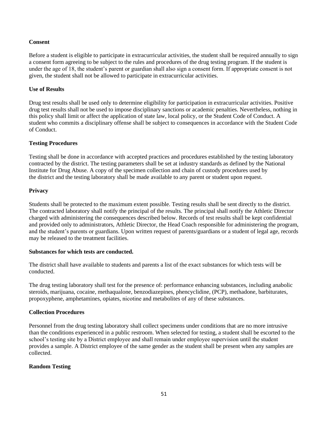### **Consent**

Before a student is eligible to participate in extracurricular activities, the student shall be required annually to sign a consent form agreeing to be subject to the rules and procedures of the drug testing program. If the student is under the age of 18, the student's parent or guardian shall also sign a consent form. If appropriate consent is not given, the student shall not be allowed to participate in extracurricular activities.

### **Use of Results**

Drug test results shall be used only to determine eligibility for participation in extracurricular activities. Positive drug test results shall not be used to impose disciplinary sanctions or academic penalties. Nevertheless, nothing in this policy shall limit or affect the application of state law, local policy, or the Student Code of Conduct. A student who commits a disciplinary offense shall be subject to consequences in accordance with the Student Code of Conduct.

### **Testing Procedures**

Testing shall be done in accordance with accepted practices and procedures established by the testing laboratory contracted by the district. The testing parameters shall be set at industry standards as defined by the National Institute for Drug Abuse. A copy of the specimen collection and chain of custody procedures used by the district and the testing laboratory shall be made available to any parent or student upon request.

### **Privacy**

Students shall be protected to the maximum extent possible. Testing results shall be sent directly to the district. The contracted laboratory shall notify the principal of the results. The principal shall notify the Athletic Director charged with administering the consequences described below. Records of test results shall be kept confidential and provided only to administrators, Athletic Director, the Head Coach responsible for administering the program, and the student's parents or guardians. Upon written request of parents/guardians or a student of legal age, records may be released to the treatment facilities.

### **Substances for which tests are conducted.**

The district shall have available to students and parents a list of the exact substances for which tests will be conducted.

The drug testing laboratory shall test for the presence of: performance enhancing substances, including anabolic steroids, marijuana, cocaine, methaqualone, benzodiazepines, phencyclidine, (PCP), methadone, barbiturates, propoxyphene, amphetamines, opiates, nicotine and metabolites of any of these substances.

# **Collection Procedures**

Personnel from the drug testing laboratory shall collect specimens under conditions that are no more intrusive than the conditions experienced in a public restroom. When selected for testing, a student shall be escorted to the school's testing site by a District employee and shall remain under employee supervision until the student provides a sample. A District employee of the same gender as the student shall be present when any samples are collected.

### **Random Testing**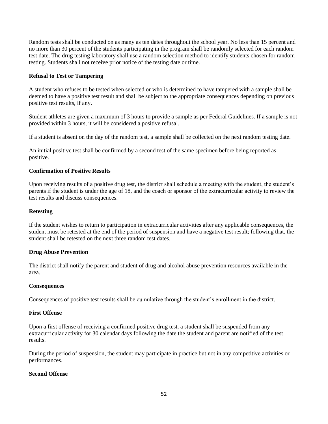Random tests shall be conducted on as many as ten dates throughout the school year. No less than 15 percent and no more than 30 percent of the students participating in the program shall be randomly selected for each random test date. The drug testing laboratory shall use a random selection method to identify students chosen for random testing. Students shall not receive prior notice of the testing date or time.

#### **Refusal to Test or Tampering**

A student who refuses to be tested when selected or who is determined to have tampered with a sample shall be deemed to have a positive test result and shall be subject to the appropriate consequences depending on previous positive test results, if any.

Student athletes are given a maximum of 3 hours to provide a sample as per Federal Guidelines. If a sample is not provided within 3 hours, it will be considered a positive refusal.

If a student is absent on the day of the random test, a sample shall be collected on the next random testing date.

An initial positive test shall be confirmed by a second test of the same specimen before being reported as positive.

#### **Confirmation of Positive Results**

Upon receiving results of a positive drug test, the district shall schedule a meeting with the student, the student's parents if the student is under the age of 18, and the coach or sponsor of the extracurricular activity to review the test results and discuss consequences.

#### **Retesting**

If the student wishes to return to participation in extracurricular activities after any applicable consequences, the student must be retested at the end of the period of suspension and have a negative test result; following that, the student shall be retested on the next three random test dates.

#### **Drug Abuse Prevention**

The district shall notify the parent and student of drug and alcohol abuse prevention resources available in the area.

#### **Consequences**

Consequences of positive test results shall be cumulative through the student's enrollment in the district.

#### **First Offense**

Upon a first offense of receiving a confirmed positive drug test, a student shall be suspended from any extracurricular activity for 30 calendar days following the date the student and parent are notified of the test results.

During the period of suspension, the student may participate in practice but not in any competitive activities or performances.

### **Second Offense**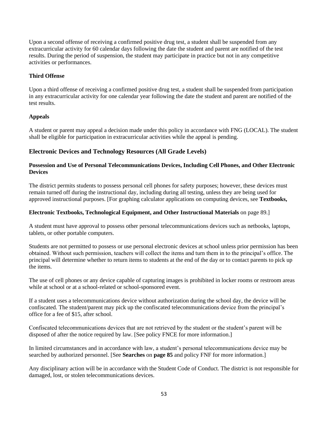Upon a second offense of receiving a confirmed positive drug test, a student shall be suspended from any extracurricular activity for 60 calendar days following the date the student and parent are notified of the test results. During the period of suspension, the student may participate in practice but not in any competitive activities or performances.

### **Third Offense**

Upon a third offense of receiving a confirmed positive drug test, a student shall be suspended from participation in any extracurricular activity for one calendar year following the date the student and parent are notified of the test results.

### **Appeals**

A student or parent may appeal a decision made under this policy in accordance with FNG (LOCAL). The student shall be eligible for participation in extracurricular activities while the appeal is pending.

# **Electronic Devices and Technology Resources (All Grade Levels)**

### **Possession and Use of Personal Telecommunications Devices, Including Cell Phones, and Other Electronic Devices**

The district permits students to possess personal cell phones for safety purposes; however, these devices must remain turned off during the instructional day, including during all testing, unless they are being used for approved instructional purposes. [For graphing calculator applications on computing devices, see **Textbooks,** 

### **Electronic Textbooks, Technological Equipment, and Other Instructional Materials** on page 89.]

A student must have approval to possess other personal telecommunications devices such as netbooks, laptops, tablets, or other portable computers.

Students are not permitted to possess or use personal electronic devices at school unless prior permission has been obtained. Without such permission, teachers will collect the items and turn them in to the principal's office. The principal will determine whether to return items to students at the end of the day or to contact parents to pick up the items.

The use of cell phones or any device capable of capturing images is prohibited in locker rooms or restroom areas while at school or at a school-related or school-sponsored event.

If a student uses a telecommunications device without authorization during the school day, the device will be confiscated. The student/parent may pick up the confiscated telecommunications device from the principal's office for a fee of \$15, after school.

Confiscated telecommunications devices that are not retrieved by the student or the student's parent will be disposed of after the notice required by law. [See policy FNCE for more information.]

In limited circumstances and in accordance with law, a student's personal telecommunications device may be searched by authorized personnel. [See **Searches** on **page 85** and policy FNF for more information.]

Any disciplinary action will be in accordance with the Student Code of Conduct. The district is not responsible for damaged, lost, or stolen telecommunications devices.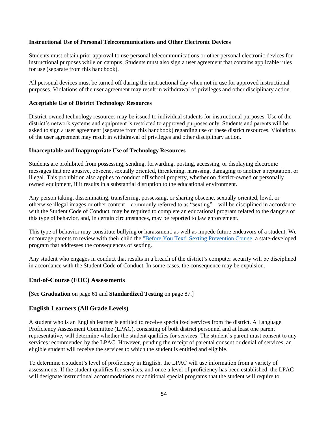#### **Instructional Use of Personal Telecommunications and Other Electronic Devices**

Students must obtain prior approval to use personal telecommunications or other personal electronic devices for instructional purposes while on campus. Students must also sign a user agreement that contains applicable rules for use (separate from this handbook).

All personal devices must be turned off during the instructional day when not in use for approved instructional purposes. Violations of the user agreement may result in withdrawal of privileges and other disciplinary action.

#### **Acceptable Use of District Technology Resources**

District-owned technology resources may be issued to individual students for instructional purposes. Use of the district's network systems and equipment is restricted to approved purposes only. Students and parents will be asked to sign a user agreement (separate from this handbook) regarding use of these district resources. Violations of the user agreement may result in withdrawal of privileges and other disciplinary action.

#### **Unacceptable and Inappropriate Use of Technology Resources**

Students are prohibited from possessing, sending, forwarding, posting, accessing, or displaying electronic messages that are abusive, obscene, sexually oriented, threatening, harassing, damaging to another's reputation, or illegal. This prohibition also applies to conduct off school property, whether on district-owned or personally owned equipment, if it results in a substantial disruption to the educational environment.

Any person taking, disseminating, transferring, possessing, or sharing obscene, sexually oriented, lewd, or otherwise illegal images or other content—commonly referred to as "sexting"—will be disciplined in accordance with the Student Code of Conduct, may be required to complete an educational program related to the dangers of this type of behavior, and, in certain circumstances, may be reported to law enforcement.

This type of behavior may constitute bullying or harassment, as well as impede future endeavors of a student. We encourage parents to review with their child the ["Before You Text" Sexting Prevention Course,](https://txssc.txstate.edu/tools/courses/before-you-text/) a state-developed program that addresses the consequences of sexting.

Any student who engages in conduct that results in a breach of the district's computer security will be disciplined in accordance with the Student Code of Conduct. In some cases, the consequence may be expulsion.

### **End-of-Course (EOC) Assessments**

### [See **Graduation** on page 61 and **Standardized Testing** on page 87.]

### **English Learners (All Grade Levels)**

A student who is an English learner is entitled to receive specialized services from the district. A Language Proficiency Assessment Committee (LPAC), consisting of both district personnel and at least one parent representative, will determine whether the student qualifies for services. The student's parent must consent to any services recommended by the LPAC. However, pending the receipt of parental consent or denial of services, an eligible student will receive the services to which the student is entitled and eligible.

To determine a student's level of proficiency in English, the LPAC will use information from a variety of assessments. If the student qualifies for services, and once a level of proficiency has been established, the LPAC will designate instructional accommodations or additional special programs that the student will require to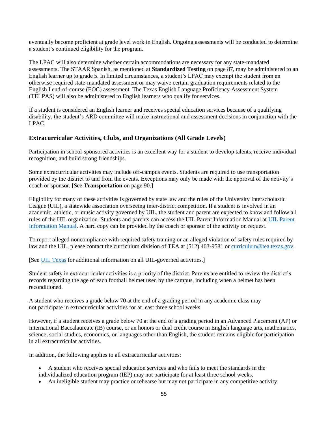eventually become proficient at grade level work in English. Ongoing assessments will be conducted to determine a student's continued eligibility for the program.

The LPAC will also determine whether certain accommodations are necessary for any state-mandated assessments. The STAAR Spanish, as mentioned at **Standardized Testing** on page 87, may be administered to an English learner up to grade 5. In limited circumstances, a student's LPAC may exempt the student from an otherwise required state-mandated assessment or may waive certain graduation requirements related to the English I end-of-course (EOC) assessment. The Texas English Language Proficiency Assessment System (TELPAS) will also be administered to English learners who qualify for services.

If a student is considered an English learner and receives special education services because of a qualifying disability, the student's ARD committee will make instructional and assessment decisions in conjunction with the LPAC.

# **Extracurricular Activities, Clubs, and Organizations (All Grade Levels)**

Participation in school-sponsored activities is an excellent way for a student to develop talents, receive individual recognition, and build strong friendships.

Some extracurricular activities may include off-campus events. Students are required to use transportation provided by the district to and from the events. Exceptions may only be made with the approval of the activity's coach or sponsor. [See **Transportation** on page 90.]

Eligibility for many of these activities is governed by state law and the rules of the University Interscholastic League (UIL), a statewide association overseeing inter-district competition. If a student is involved in an academic, athletic, or music activity governed by UIL, the student and parent are expected to know and follow all rules of the UIL organization. Students and parents can access the UIL Parent Information Manual at [UIL Parent](https://www.uiltexas.org/athletics/manuals)  [Information Manual.](https://www.uiltexas.org/athletics/manuals) A hard copy can be provided by the coach or sponsor of the activity on request.

To report alleged noncompliance with required safety training or an alleged violation of safety rules required by law and the UIL, please contact the curriculum division of TEA at (512) 463-9581 or [curriculum@tea.texas.gov.](mailto:curriculum@tea.state.tx.us)

[See UIL [Texas](http://www.uiltexas.org/) for additional information on all UIL-governed activities.]

Student safety in extracurricular activities is a priority of the district. Parents are entitled to review the district's records regarding the age of each football helmet used by the campus, including when a helmet has been reconditioned.

A student who receives a grade below 70 at the end of a grading period in any academic class may not participate in extracurricular activities for at least three school weeks.

However, if a student receives a grade below 70 at the end of a grading period in an Advanced Placement (AP) or International Baccalaureate (IB) course, or an honors or dual credit course in English language arts, mathematics, science, social studies, economics, or languages other than English, the student remains eligible for participation in all extracurricular activities.

In addition, the following applies to all extracurricular activities:

- A student who receives special education services and who fails to meet the standards in the individualized education program (IEP) may not participate for at least three school weeks.
- An ineligible student may practice or rehearse but may not participate in any competitive activity.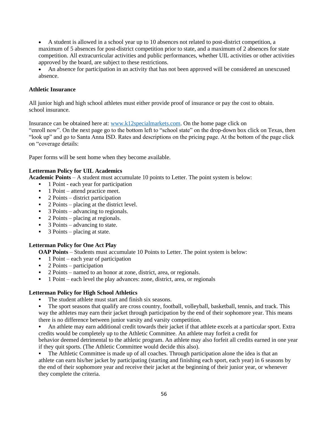• A student is allowed in a school year up to 10 absences not related to post-district competition, a maximum of 5 absences for post-district competition prior to state, and a maximum of 2 absences for state competition. All extracurricular activities and public performances, whether UIL activities or other activities approved by the board, are subject to these restrictions.

• An absence for participation in an activity that has not been approved will be considered an unexcused absence.

### **Athletic Insurance**

All junior high and high school athletes must either provide proof of insurance or pay the cost to obtain. school insurance.

Insurance can be obtained here at: [www.k12specialmarkets.com.](http://www.k12specialmarkets.com/) On the home page click on "enroll now". On the next page go to the bottom left to "school state" on the drop-down box click on Texas, then "look up" and go to Santa Anna ISD. Rates and descriptions on the pricing page. At the bottom of the page click on "coverage details:

Paper forms will be sent home when they become available.

### **Letterman Policy for UIL Academics**

**Academic Points** – A student must accumulate 10 points to Letter. The point system is below:

- 1 Point each year for participation
- 1 Point attend practice meet.
- 2 Points district participation
- $\blacksquare$  2 Points placing at the district level.
- $\blacksquare$  3 Points advancing to regionals.
- $\blacksquare$  2 Points placing at regionals.
- $\blacksquare$  3 Points advancing to state.
- $\blacksquare$  3 Points placing at state.

### **Letterman Policy for One Act Play**

**OAP Points** – Students must accumulate 10 Points to Letter. The point system is below:

- 1 Point each year of participation
- $\blacksquare$  2 Points participation
- 2 Points named to an honor at zone, district, area, or regionals.
- 1 Point each level the play advances: zone, district, area, or regionals

#### **Letterman Policy for High School Athletics**

- The student athlete must start and finish six seasons.
- The sport seasons that qualify are cross country, football, volleyball, basketball, tennis, and track. This way the athletes may earn their jacket through participation by the end of their sophomore year. This means there is no difference between junior varsity and varsity competition.
- An athlete may earn additional credit towards their jacket if that athlete excels at a particular sport. Extra credits would be completely up to the Athletic Committee. An athlete may forfeit a credit for behavior deemed detrimental to the athletic program. An athlete may also forfeit all credits earned in one year if they quit sports. (The Athletic Committee would decide this also).

The Athletic Committee is made up of all coaches. Through participation alone the idea is that an athlete can earn his/her jacket by participating (starting and finishing each sport, each year) in 6 seasons by the end of their sophomore year and receive their jacket at the beginning of their junior year, or whenever they complete the criteria.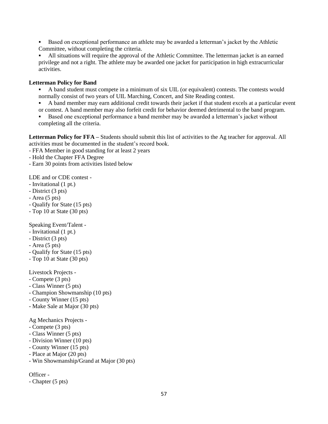- Based on exceptional performance an athlete may be awarded a letterman's jacket by the Athletic Committee, without completing the criteria.
- All situations will require the approval of the Athletic Committee. The letterman jacket is an earned privilege and not a right. The athlete may be awarded one jacket for participation in high extracurricular activities.

### **Letterman Policy for Band**

- A band student must compete in a minimum of six UIL (or equivalent) contests. The contests would normally consist of two years of UIL Marching, Concert, and Site Reading contest.
- A band member may earn additional credit towards their jacket if that student excels at a particular event or contest. A band member may also forfeit credit for behavior deemed detrimental to the band program.
- Based one exceptional performance a band member may be awarded a letterman's jacket without completing all the criteria.

**Letterman Policy for FFA –** Students should submit this list of activities to the Ag teacher for approval. All activities must be documented in the student's record book.

- FFA Member in good standing for at least 2 years
- Hold the Chapter FFA Degree
- Earn 30 points from activities listed below

LDE and or CDE contest -

- Invitational (1 pt.)
- District (3 pts)
- $-Area (5 pts)$
- Qualify for State (15 pts)
- Top 10 at State (30 pts)

Speaking Event/Talent -

- Invitational (1 pt.)
- District (3 pts)
- Area (5 pts)
- Qualify for State (15 pts)
- Top 10 at State (30 pts)

Livestock Projects -

- Compete (3 pts)
- Class Winner (5 pts)
- Champion Showmanship (10 pts)
- County Winner (15 pts)
- Make Sale at Major (30 pts)

Ag Mechanics Projects -

- Compete (3 pts)
- Class Winner (5 pts)
- Division Winner (10 pts)
- County Winner (15 pts)
- Place at Major (20 pts)
- Win Showmanship/Grand at Major (30 pts)

Officer -

- Chapter (5 pts)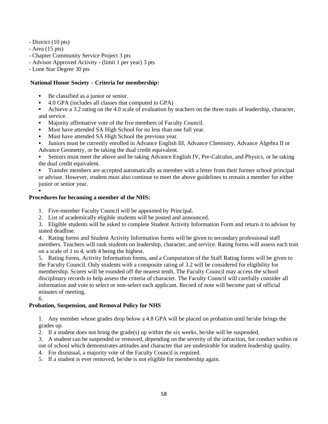- District (10 pts)
- Area (15 pts)
- Chapter Community Service Project 3 pts
- Advisor Approved Activity (limit 1 per year) 3 pts
- Lone Star Degree 30 pts

# **National Honor Society – Criteria for membership:**

- Be classified as a junior or senior.
- 4.0 GPA (includes all classes that computed in GPA)

Achieve a 3.2 rating on the 4.0 scale of evaluation by teachers on the three traits of leadership, character, and service.

- Majority affirmative vote of the five members of Faculty Council.
- Must have attended SA High School for no less than one full year.
- Must have attended SA High School the previous year.
- Juniors must be currently enrolled in Advance English III, Advance Chemistry, Advance Algebra II or Advance Geometry, or be taking the dual credit equivalent.
- Seniors must meet the above and be taking Advance English IV, Pre-Calculus, and Physics, or be taking the dual credit equivalent.
- Transfer members are accepted automatically as member with a letter from their former school principal or advisor. However, student must also continue to meet the above guidelines to remain a member for either junior or senior year.
- ▪

# **Procedures for becoming a member of the NHS:**

- 1. Five-member Faculty Council will be appointed by Principal.
- 2. List of academically eligible students will be posted and announced.
- 3. Eligible students will be asked to complete Student Activity Information Form and return it to advisor by stated deadline.
- 4. Rating forms and Student Activity Information forms will be given to secondary professional staff members. Teachers will rank students on leadership, character, and service. Rating forms will assess each trait on a scale of 1 to 4, with 4 being the highest.

5. Rating forms, Activity Information forms, and a Computation of the Staff Rating forms will be given to the Faculty Council. Only students with a composite rating of 3.2 will be considered for eligibility for membership. Scores will be rounded off the nearest tenth, The Faculty Council may access the school disciplinary records to help assess the criteria of character. The Faculty Council will carefully consider all information and vote to select or non-select each applicant. Record of note will become part of official minutes of meeting.

6.

# **Probation, Suspension, and Removal Policy for NHS**

1. Any member whose grades drop below a 4.8 GPA will be placed on probation until he/she brings the grades up.

- 2. If a student does not bring the grade(s) up within the six weeks, he/she will be suspended.
- 3. A student can be suspended or removed, depending on the severity of the infraction, for conduct within or

out of school which demonstrates attitudes and character that are undesirable for student leadership quality.

- 4. For dismissal, a majority vote of the Faculty Council is required.
- 5. If a student is ever removed, he/she is not eligible for membership again.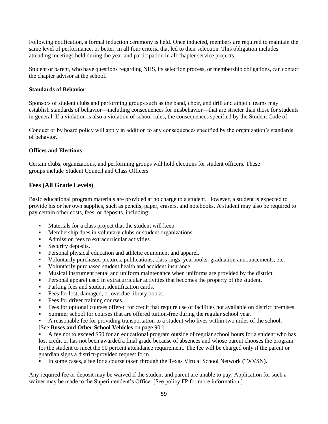Following notification, a formal induction ceremony is held. Once inducted, members are required to maintain the same level of performance, or better, in all four criteria that led to their selection. This obligation includes attending meetings held during the year and participation in all chapter service projects.

Student or parent, who have questions regarding NHS, its selection process, or membership obligations, can contact the chapter advisor at the school.

### **Standards of Behavior**

Sponsors of student clubs and performing groups such as the band, choir, and drill and athletic teams may establish standards of behavior—including consequences for misbehavior—that are stricter than those for students in general. If a violation is also a violation of school rules, the consequences specified by the Student Code of

Conduct or by board policy will apply in addition to any consequences specified by the organization's standards of behavior.

#### **Offices and Elections**

Certain clubs, organizations, and performing groups will hold elections for student officers. These groups include Student Council and Class Officers

# **Fees (All Grade Levels)**

Basic educational program materials are provided at no charge to a student. However, a student is expected to provide his or her own supplies, such as pencils, paper, erasers, and notebooks. A student may also be required to pay certain other costs, fees, or deposits, including:

- Materials for a class project that the student will keep.
- **•** Membership dues in voluntary clubs or student organizations.
- Admission fees to extracurricular activities.
- Security deposits.
- Personal physical education and athletic equipment and apparel.
- Voluntarily purchased pictures, publications, class rings, yearbooks, graduation announcements, etc.
- Voluntarily purchased student health and accident insurance.
- Musical instrument rental and uniform maintenance when uniforms are provided by the district.
- Personal apparel used in extracurricular activities that becomes the property of the student.
- Parking fees and student identification cards.
- Fees for lost, damaged, or overdue library books.
- **•** Fees for driver training courses.
- Fees for optional courses offered for credit that require use of facilities not available on district premises.
- Summer school for courses that are offered tuition-free during the regular school year.
- A reasonable fee for providing transportation to a student who lives within two miles of the school.

#### [See **Buses and Other School Vehicles** on page 90.]

A fee not to exceed \$50 for an educational program outside of regular school hours for a student who has lost credit or has not been awarded a final grade because of absences and whose parent chooses the program for the student to meet the 90 percent attendance requirement. The fee will be charged only if the parent or guardian signs a district-provided request form.

In some cases, a fee for a course taken through the Texas Virtual School Network (TXVSN).

Any required fee or deposit may be waived if the student and parent are unable to pay. Application for such a waiver may be made to the Superintendent's Office. [See policy FP for more information.]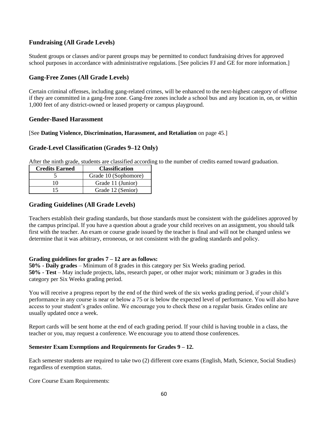# **Fundraising (All Grade Levels)**

Student groups or classes and/or parent groups may be permitted to conduct fundraising drives for approved school purposes in accordance with administrative regulations. [See policies FJ and GE for more information.]

# **Gang-Free Zones (All Grade Levels)**

Certain criminal offenses, including gang-related crimes, will be enhanced to the next-highest category of offense if they are committed in a gang-free zone. Gang-free zones include a school bus and any location in, on, or within 1,000 feet of any district-owned or leased property or campus playground.

### **Gender-Based Harassment**

### [See **Dating Violence, Discrimination, Harassment, and Retaliation** on page 45.]

# **Grade-Level Classification (Grades 9–12 Only)**

After the ninth grade, students are classified according to the number of credits earned toward graduation.

| <b>Credits Earned</b> | <b>Classification</b> |
|-----------------------|-----------------------|
|                       | Grade 10 (Sophomore)  |
| 10                    | Grade 11 (Junior)     |
| 15                    | Grade 12 (Senior)     |

# **Grading Guidelines (All Grade Levels)**

Teachers establish their grading standards, but those standards must be consistent with the guidelines approved by the campus principal. If you have a question about a grade your child receives on an assignment, you should talk first with the teacher. An exam or course grade issued by the teacher is final and will not be changed unless we determine that it was arbitrary, erroneous, or not consistent with the grading standards and policy.

### **Grading guidelines for grades 7 – 12 are as follows:**

**50% - Daily grades** – Minimum of 8 grades in this category per Six Weeks grading period. **50% - Test** – May include projects, labs, research paper, or other major work; minimum or 3 grades in this category per Six Weeks grading period.

You will receive a progress report by the end of the third week of the six weeks grading period, if your child's performance in any course is near or below a 75 or is below the expected level of performance. You will also have access to your student's grades online. We encourage you to check these on a regular basis. Grades online are usually updated once a week.

Report cards will be sent home at the end of each grading period. If your child is having trouble in a class, the teacher or you, may request a conference. We encourage you to attend those conferences.

### **Semester Exam Exemptions and Requirements for Grades 9 – 12.**

Each semester students are required to take two (2) different core exams (English, Math, Science, Social Studies) regardless of exemption status.

Core Course Exam Requirements: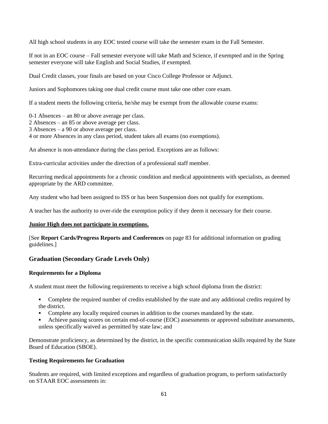All high school students in any EOC tested course will take the semester exam in the Fall Semester.

If not in an EOC course – Fall semester everyone will take Math and Science, if exempted and in the Spring semester everyone will take English and Social Studies, if exempted.

Dual Credit classes, your finals are based on your Cisco College Professor or Adjunct.

Juniors and Sophomores taking one dual credit course must take one other core exam.

If a student meets the following criteria, he/she may be exempt from the allowable course exams:

0-1 Absences – an 80 or above average per class.

2 Absences – an 85 or above average per class.

3 Absences – a 90 or above average per class.

4 or more Absences in any class period, student takes all exams (no exemptions).

An absence is non-attendance during the class period. Exceptions are as follows:

Extra-curricular activities under the direction of a professional staff member.

Recurring medical appointments for a chronic condition and medical appointments with specialists, as deemed appropriate by the ARD committee.

Any student who had been assigned to ISS or has been Suspension does not qualify for exemptions.

A teacher has the authority to over-ride the exemption policy if they deem it necessary for their course.

### **Junior High does not participate in exemptions.**

[See **Report Cards/Progress Reports and Conferences** on page 83 for additional information on grading guidelines.]

# **Graduation (Secondary Grade Levels Only)**

# **Requirements for a Diploma**

A student must meet the following requirements to receive a high school diploma from the district:

- Complete the required number of credits established by the state and any additional credits required by the district.
- Complete any locally required courses in addition to the courses mandated by the state.
- Achieve passing scores on certain end-of-course (EOC) assessments or approved substitute assessments, unless specifically waived as permitted by state law; and

Demonstrate proficiency, as determined by the district, in the specific communication skills required by the State Board of Education (SBOE).

# **Testing Requirements for Graduation**

Students are required, with limited exceptions and regardless of graduation program, to perform satisfactorily on STAAR EOC assessments in: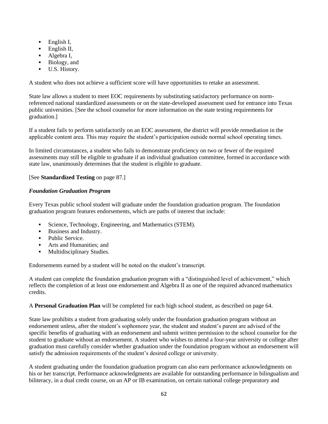- $\blacksquare$  English I,
- English II,
- Algebra I,
- Biology, and
- **■** U.S. History.

A student who does not achieve a sufficient score will have opportunities to retake an assessment.

State law allows a student to meet EOC requirements by substituting satisfactory performance on normreferenced national standardized assessments or on the state-developed assessment used for entrance into Texas public universities. [See the school counselor for more information on the state testing requirements for graduation.]

If a student fails to perform satisfactorily on an EOC assessment, the district will provide remediation in the applicable content area. This may require the student's participation outside normal school operating times.

In limited circumstances, a student who fails to demonstrate proficiency on two or fewer of the required assessments may still be eligible to graduate if an individual graduation committee, formed in accordance with state law, unanimously determines that the student is eligible to graduate.

# [See **Standardized Testing** on page 87.]

# *Foundation Graduation Program*

Every Texas public school student will graduate under the foundation graduation program. The foundation graduation program features endorsements, which are paths of interest that include:

- Science, Technology, Engineering, and Mathematics (STEM).
- Business and Industry.
- Public Service.
- Arts and Humanities; and
- **Multidisciplinary Studies.**

Endorsements earned by a student will be noted on the student's transcript.

A student can complete the foundation graduation program with a "distinguished level of achievement," which reflects the completion of at least one endorsement and Algebra II as one of the required advanced mathematics credits.

A **Personal Graduation Plan** will be completed for each high school student, as described on page 64.

State law prohibits a student from graduating solely under the foundation graduation program without an endorsement unless, after the student's sophomore year, the student and student's parent are advised of the specific benefits of graduating with an endorsement and submit written permission to the school counselor for the student to graduate without an endorsement. A student who wishes to attend a four-year university or college after graduation must carefully consider whether graduation under the foundation program without an endorsement will satisfy the admission requirements of the student's desired college or university.

A student graduating under the foundation graduation program can also earn performance acknowledgments on his or her transcript. Performance acknowledgments are available for outstanding performance in bilingualism and biliteracy, in a dual credit course, on an AP or IB examination, on certain national college preparatory and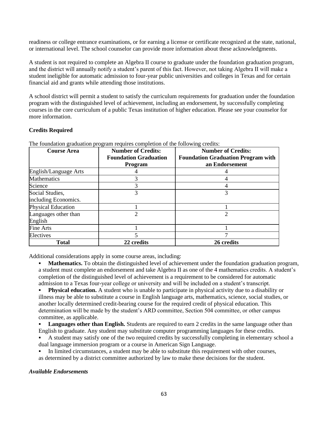readiness or college entrance examinations, or for earning a license or certificate recognized at the state, national, or international level. The school counselor can provide more information about these acknowledgments.

A student is not required to complete an Algebra II course to graduate under the foundation graduation program, and the district will annually notify a student's parent of this fact. However, not taking Algebra II will make a student ineligible for automatic admission to four-year public universities and colleges in Texas and for certain financial aid and grants while attending those institutions.

A school district will permit a student to satisfy the curriculum requirements for graduation under the foundation program with the distinguished level of achievement, including an endorsement, by successfully completing courses in the core curriculum of a public Texas institution of higher education. Please see your counselor for more information.

### **Credits Required**

| <b>Course Area</b>    | <b>Number of Credits:</b><br><b>Foundation Graduation</b> | <b>Number of Credits:</b><br><b>Foundation Graduation Program with</b> |
|-----------------------|-----------------------------------------------------------|------------------------------------------------------------------------|
|                       | <b>Program</b>                                            | an Endorsement                                                         |
| English/Language Arts |                                                           |                                                                        |
| Mathematics           |                                                           |                                                                        |
| Science               |                                                           |                                                                        |
| Social Studies,       | 3                                                         |                                                                        |
| including Economics.  |                                                           |                                                                        |
| Physical Education    |                                                           |                                                                        |
| Languages other than  |                                                           |                                                                        |
| English               |                                                           |                                                                        |
| Fine Arts             |                                                           |                                                                        |
| Electives             |                                                           |                                                                        |
| Total                 | 22 credits                                                | 26 credits                                                             |

The foundation graduation program requires completion of the following credits:

Additional considerations apply in some course areas, including:

- **Mathematics.** To obtain the distinguished level of achievement under the foundation graduation program, a student must complete an endorsement and take Algebra II as one of the 4 mathematics credits. A student's completion of the distinguished level of achievement is a requirement to be considered for automatic admission to a Texas four-year college or university and will be included on a student's transcript.
- **Physical education.** A student who is unable to participate in physical activity due to a disability or illness may be able to substitute a course in English language arts, mathematics, science, social studies, or another locally determined credit-bearing course for the required credit of physical education. This determination will be made by the student's ARD committee, Section 504 committee, or other campus committee, as applicable.
- **Languages other than English.** Students are required to earn 2 credits in the same language other than English to graduate. Any student may substitute computer programming languages for these credits.
- A student may satisfy one of the two required credits by successfully completing in elementary school a dual language immersion program or a course in American Sign Language.
- In limited circumstances, a student may be able to substitute this requirement with other courses, as determined by a district committee authorized by law to make these decisions for the student.

### *Available Endorsements*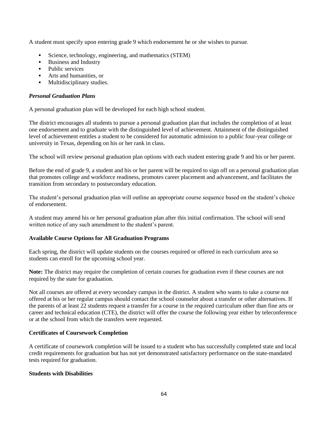A student must specify upon entering grade 9 which endorsement he or she wishes to pursue.

- Science, technology, engineering, and mathematics (STEM)
- **EXECUTE:** Business and Industry
- Public services
- Arts and humanities, or
- Multidisciplinary studies.

# *Personal Graduation Plans*

A personal graduation plan will be developed for each high school student.

The district encourages all students to pursue a personal graduation plan that includes the completion of at least one endorsement and to graduate with the distinguished level of achievement. Attainment of the distinguished level of achievement entitles a student to be considered for automatic admission to a public four-year college or university in Texas, depending on his or her rank in class.

The school will review personal graduation plan options with each student entering grade 9 and his or her parent.

Before the end of grade 9, a student and his or her parent will be required to sign off on a personal graduation plan that promotes college and workforce readiness, promotes career placement and advancement, and facilitates the transition from secondary to postsecondary education.

The student's personal graduation plan will outline an appropriate course sequence based on the student's choice of endorsement.

A student may amend his or her personal graduation plan after this initial confirmation. The school will send written notice of any such amendment to the student's parent.

# **Available Course Options for All Graduation Programs**

Each spring, the district will update students on the courses required or offered in each curriculum area so students can enroll for the upcoming school year.

**Note:** The district may require the completion of certain courses for graduation even if these courses are not required by the state for graduation.

Not all courses are offered at every secondary campus in the district. A student who wants to take a course not offered at his or her regular campus should contact the school counselor about a transfer or other alternatives. If the parents of at least 22 students request a transfer for a course in the required curriculum other than fine arts or career and technical education (CTE), the district will offer the course the following year either by teleconference or at the school from which the transfers were requested.

# **Certificates of Coursework Completion**

A certificate of coursework completion will be issued to a student who has successfully completed state and local credit requirements for graduation but has not yet demonstrated satisfactory performance on the state-mandated tests required for graduation.

### **Students with Disabilities**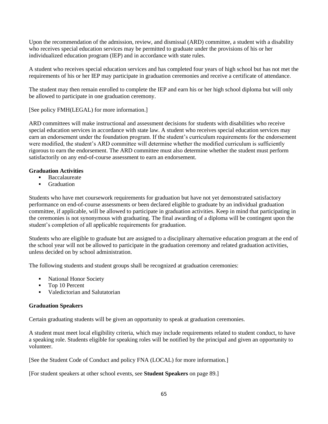Upon the recommendation of the admission, review, and dismissal (ARD) committee, a student with a disability who receives special education services may be permitted to graduate under the provisions of his or her individualized education program (IEP) and in accordance with state rules.

A student who receives special education services and has completed four years of high school but has not met the requirements of his or her IEP may participate in graduation ceremonies and receive a certificate of attendance.

The student may then remain enrolled to complete the IEP and earn his or her high school diploma but will only be allowed to participate in one graduation ceremony.

[See policy FMH(LEGAL) for more information.]

ARD committees will make instructional and assessment decisions for students with disabilities who receive special education services in accordance with state law. A student who receives special education services may earn an endorsement under the foundation program. If the student's curriculum requirements for the endorsement were modified, the student's ARD committee will determine whether the modified curriculum is sufficiently rigorous to earn the endorsement. The ARD committee must also determine whether the student must perform satisfactorily on any end-of-course assessment to earn an endorsement.

# **Graduation Activities**

- **Baccalaureate**
- **Graduation**

Students who have met coursework requirements for graduation but have not yet demonstrated satisfactory performance on end-of-course assessments or been declared eligible to graduate by an individual graduation committee, if applicable, will be allowed to participate in graduation activities. Keep in mind that participating in the ceremonies is not synonymous with graduating. The final awarding of a diploma will be contingent upon the student's completion of all applicable requirements for graduation.

Students who are eligible to graduate but are assigned to a disciplinary alternative education program at the end of the school year will not be allowed to participate in the graduation ceremony and related graduation activities, unless decided on by school administration.

The following students and student groups shall be recognized at graduation ceremonies:

- National Honor Society
- Top 10 Percent
- Valedictorian and Salutatorian

### **Graduation Speakers**

Certain graduating students will be given an opportunity to speak at graduation ceremonies.

A student must meet local eligibility criteria, which may include requirements related to student conduct, to have a speaking role. Students eligible for speaking roles will be notified by the principal and given an opportunity to volunteer.

[See the Student Code of Conduct and policy FNA (LOCAL) for more information.]

[For student speakers at other school events, see **Student Speakers** on page 89.]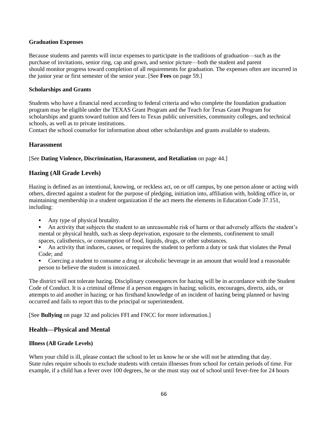### **Graduation Expenses**

Because students and parents will incur expenses to participate in the traditions of graduation—such as the purchase of invitations, senior ring, cap and gown, and senior picture—both the student and parent should monitor progress toward completion of all requirements for graduation. The expenses often are incurred in the junior year or first semester of the senior year. [See **Fees** on page 59.]

#### **Scholarships and Grants**

Students who have a financial need according to federal criteria and who complete the foundation graduation program may be eligible under the TEXAS Grant Program and the Teach for Texas Grant Program for scholarships and grants toward tuition and fees to Texas public universities, community colleges, and technical schools, as well as to private institutions.

Contact the school counselor for information about other scholarships and grants available to students.

### **Harassment**

[See **Dating Violence, Discrimination, Harassment, and Retaliation** on page 44.]

### **Hazing (All Grade Levels)**

Hazing is defined as an intentional, knowing, or reckless act, on or off campus, by one person alone or acting with others, directed against a student for the purpose of pledging, initiation into, affiliation with, holding office in, or maintaining membership in a student organization if the act meets the elements in Education Code 37.151, including:

Any type of physical brutality.

An activity that subjects the student to an unreasonable risk of harm or that adversely affects the student's mental or physical health, such as sleep deprivation, exposure to the elements, confinement to small spaces, calisthenics, or consumption of food, liquids, drugs, or other substances.

An activity that induces, causes, or requires the student to perform a duty or task that violates the Penal Code; and

Coercing a student to consume a drug or alcoholic beverage in an amount that would lead a reasonable person to believe the student is intoxicated.

The district will not tolerate hazing. Disciplinary consequences for hazing will be in accordance with the Student Code of Conduct. It is a criminal offense if a person engages in hazing; solicits, encourages, directs, aids, or attempts to aid another in hazing; or has firsthand knowledge of an incident of hazing being planned or having occurred and fails to report this to the principal or superintendent.

[See **Bullying** on page 32 and policies FFI and FNCC for more information.]

### **Health—Physical and Mental**

### **Illness (All Grade Levels)**

When your child is ill, please contact the school to let us know he or she will not be attending that day. State rules require schools to exclude students with certain illnesses from school for certain periods of time. For example, if a child has a fever over 100 degrees, he or she must stay out of school until fever-free for 24 hours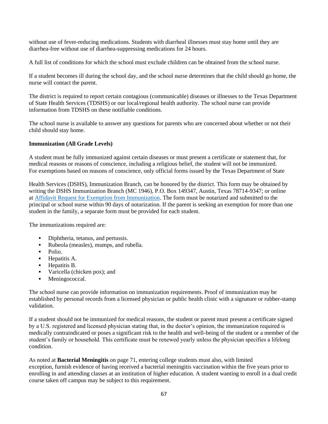without use of fever-reducing medications. Students with diarrheal illnesses must stay home until they are diarrhea-free without use of diarrhea-suppressing medications for 24 hours.

A full list of conditions for which the school must exclude children can be obtained from the school nurse.

If a student becomes ill during the school day, and the school nurse determines that the child should go home, the nurse will contact the parent.

The district is required to report certain contagious (communicable) diseases or illnesses to the Texas Department of State Health Services (TDSHS) or our local/regional health authority. The school nurse can provide information from TDSHS on these notifiable conditions.

The school nurse is available to answer any questions for parents who are concerned about whether or not their child should stay home.

### **Immunization (All Grade Levels)**

A student must be fully immunized against certain diseases or must present a certificate or statement that, for medical reasons or reasons of conscience, including a religious belief, the student will not be immunized. For exemptions based on reasons of conscience, only official forms issued by the Texas Department of State

Health Services (DSHS), Immunization Branch, can be honored by the district. This form may be obtained by writing the DSHS Immunization Branch (MC 1946), P.O. Box 149347, Austin, Texas 78714-9347; or online at [Affidavit Request for Exemption from Immunization.](https://corequest.dshs.texas.gov/) The form must be notarized and submitted to the principal or school nurse within 90 days of notarization. If the parent is seeking an exemption for more than one student in the family, a separate form must be provided for each student.

The immunizations required are:

- **•** Diphtheria, tetanus, and pertussis.
- Rubeola (measles), mumps, and rubella.
- Polio.
- Hepatitis A.
- Hepatitis B.
- Varicella (chicken pox); and
- Meningococcal.

The school nurse can provide information on immunization requirements. Proof of immunization may be established by personal records from a licensed physician or public health clinic with a signature or rubber-stamp validation.

If a student should not be immunized for medical reasons, the student or parent must present a certificate signed by a U.S. registered and licensed physician stating that, in the doctor's opinion, the immunization required is medically contraindicated or poses a significant risk to the health and well-being of the student or a member of the student's family or household. This certificate must be renewed yearly unless the physician specifies a lifelong condition.

As noted at **Bacterial Meningitis** on page 71, entering college students must also, with limited exception, furnish evidence of having received a bacterial meningitis vaccination within the five years prior to enrolling in and attending classes at an institution of higher education. A student wanting to enroll in a dual credit course taken off campus may be subject to this requirement.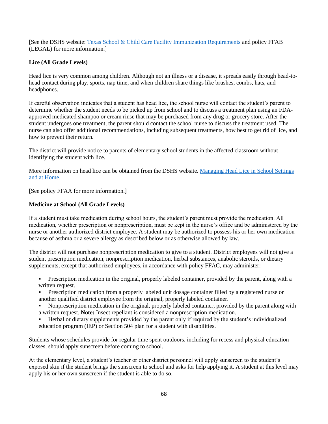[See the DSHS website: [Texas School & Child Care Facility Immunization Requirements](http://www.dshs.state.tx.us/immunize/school/default.shtm) and policy FFAB (LEGAL) for more information.]

# **Lice (All Grade Levels)**

Head lice is very common among children. Although not an illness or a disease, it spreads easily through head-tohead contact during play, sports, nap time, and when children share things like brushes, combs, hats, and headphones.

If careful observation indicates that a student has head lice, the school nurse will contact the student's parent to determine whether the student needs to be picked up from school and to discuss a treatment plan using an FDAapproved medicated shampoo or cream rinse that may be purchased from any drug or grocery store. After the student undergoes one treatment, the parent should contact the school nurse to discuss the treatment used. The nurse can also offer additional recommendations, including subsequent treatments, how best to get rid of lice, and how to prevent their return.

The district will provide notice to parents of elementary school students in the affected classroom without identifying the student with lice.

More information on head lice can be obtained from the DSHS website. [Managing Head Lice in School Settings](http://www.dshs.state.tx.us/schoolhealth/lice.shtm)  [and at Home.](http://www.dshs.state.tx.us/schoolhealth/lice.shtm)

[See policy FFAA for more information.]

# **Medicine at School (All Grade Levels)**

If a student must take medication during school hours, the student's parent must provide the medication. All medication, whether prescription or nonprescription, must be kept in the nurse's office and be administered by the nurse or another authorized district employee. A student may be authorized to possess his or her own medication because of asthma or a severe allergy as described below or as otherwise allowed by law.

The district will not purchase nonprescription medication to give to a student. District employees will not give a student prescription medication, nonprescription medication, herbal substances, anabolic steroids, or dietary supplements, except that authorized employees, in accordance with policy FFAC, may administer:

- Prescription medication in the original, properly labeled container, provided by the parent, along with a written request.
- Prescription medication from a properly labeled unit dosage container filled by a registered nurse or another qualified district employee from the original, properly labeled container.
- Nonprescription medication in the original, properly labeled container, provided by the parent along with a written request. **Note:** Insect repellant is considered a nonprescription medication.
- Herbal or dietary supplements provided by the parent only if required by the student's individualized education program (IEP) or Section 504 plan for a student with disabilities.

Students whose schedules provide for regular time spent outdoors, including for recess and physical education classes, should apply sunscreen before coming to school.

At the elementary level, a student's teacher or other district personnel will apply sunscreen to the student's exposed skin if the student brings the sunscreen to school and asks for help applying it. A student at this level may apply his or her own sunscreen if the student is able to do so.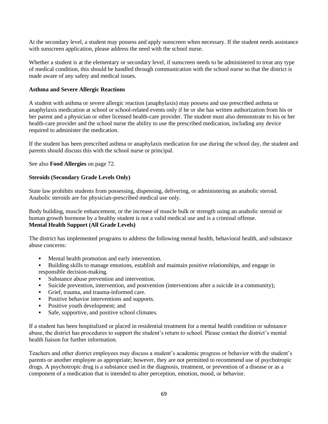At the secondary level, a student may possess and apply sunscreen when necessary. If the student needs assistance with sunscreen application, please address the need with the school nurse.

Whether a student is at the elementary or secondary level, if sunscreen needs to be administered to treat any type of medical condition, this should be handled through communication with the school nurse so that the district is made aware of any safety and medical issues.

### **Asthma and Severe Allergic Reactions**

A student with asthma or severe allergic reaction (anaphylaxis) may possess and use prescribed asthma or anaphylaxis medication at school or school-related events only if he or she has written authorization from his or her parent and a physician or other licensed health-care provider. The student must also demonstrate to his or her health-care provider and the school nurse the ability to use the prescribed medication, including any device required to administer the medication.

If the student has been prescribed asthma or anaphylaxis medication for use during the school day, the student and parents should discuss this with the school nurse or principal.

See also **Food Allergies** on page 72.

### **Steroids (Secondary Grade Levels Only)**

State law prohibits students from possessing, dispensing, delivering, or administering an anabolic steroid. Anabolic steroids are for physician-prescribed medical use only.

Body building, muscle enhancement, or the increase of muscle bulk or strength using an anabolic steroid or human growth hormone by a healthy student is not a valid medical use and is a criminal offense. **Mental Health Support (All Grade Levels)**

The district has implemented programs to address the following mental health, behavioral health, and substance abuse concerns:

- Mental health promotion and early intervention.
- Building skills to manage emotions, establish and maintain positive relationships, and engage in responsible decision-making.
- Substance abuse prevention and intervention.
- Suicide prevention, intervention, and postvention (interventions after a suicide in a community);
- **•** Grief, trauma, and trauma-informed care.
- Positive behavior interventions and supports.
- Positive youth development; and
- Safe, supportive, and positive school climates.

If a student has been hospitalized or placed in residential treatment for a mental health condition or substance abuse, the district has procedures to support the student's return to school. Please contact the district's mental health liaison for further information.

Teachers and other district employees may discuss a student's academic progress or behavior with the student's parents or another employee as appropriate; however, they are not permitted to recommend use of psychotropic drugs. A psychotropic drug is a substance used in the diagnosis, treatment, or prevention of a disease or as a component of a medication that is intended to alter perception, emotion, mood, or behavior.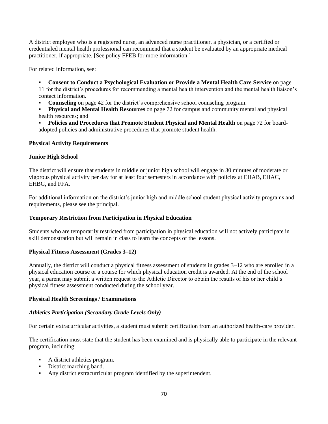A district employee who is a registered nurse, an advanced nurse practitioner, a physician, or a certified or credentialed mental health professional can recommend that a student be evaluated by an appropriate medical practitioner, if appropriate. [See policy FFEB for more information.]

For related information, see:

▪ **Consent to Conduct a Psychological Evaluation or Provide a Mental Health Care Service** on page 11 for the district's procedures for recommending a mental health intervention and the mental health liaison's contact information.

**Counseling** on page 42 for the district's comprehensive school counseling program.

▪ **Physical and Mental Health Resources** on page 72 for campus and community mental and physical health resources; and

**Policies and Procedures that Promote Student Physical and Mental Health** on page 72 for boardadopted policies and administrative procedures that promote student health.

### **Physical Activity Requirements**

### **Junior High School**

The district will ensure that students in middle or junior high school will engage in 30 minutes of moderate or vigorous physical activity per day for at least four semesters in accordance with policies at EHAB, EHAC, EHBG, and FFA.

For additional information on the district's junior high and middle school student physical activity programs and requirements, please see the principal.

### **Temporary Restriction from Participation in Physical Education**

Students who are temporarily restricted from participation in physical education will not actively participate in skill demonstration but will remain in class to learn the concepts of the lessons.

### **Physical Fitness Assessment (Grades 3–12)**

Annually, the district will conduct a physical fitness assessment of students in grades 3–12 who are enrolled in a physical education course or a course for which physical education credit is awarded. At the end of the school year, a parent may submit a written request to the Athletic Director to obtain the results of his or her child's physical fitness assessment conducted during the school year.

### **Physical Health Screenings / Examinations**

### *Athletics Participation (Secondary Grade Levels Only)*

For certain extracurricular activities, a student must submit certification from an authorized health-care provider.

The certification must state that the student has been examined and is physically able to participate in the relevant program, including:

- A district athletics program.
- District marching band.
- Any district extracurricular program identified by the superintendent.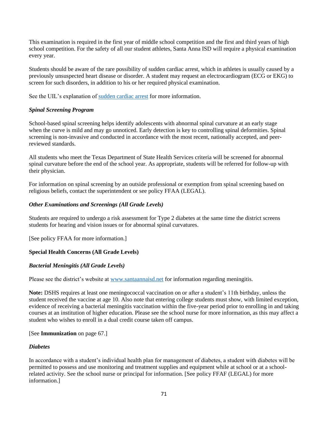This examination is required in the first year of middle school competition and the first and third years of high school competition. For the safety of all our student athletes, Santa Anna ISD will require a physical examination every year.

Students should be aware of the rare possibility of sudden cardiac arrest, which in athletes is usually caused by a previously unsuspected heart disease or disorder. A student may request an electrocardiogram (ECG or EKG) to screen for such disorders, in addition to his or her required physical examination.

See the UIL's explanation of [sudden cardiac arrest](https://www.uiltexas.org/health/info/sudden-cardiac-death) for more information.

# *Spinal Screening Program*

School-based spinal screening helps identify adolescents with abnormal spinal curvature at an early stage when the curve is mild and may go unnoticed. Early detection is key to controlling spinal deformities. Spinal screening is non-invasive and conducted in accordance with the most recent, nationally accepted, and peerreviewed standards.

All students who meet the Texas Department of State Health Services criteria will be screened for abnormal spinal curvature before the end of the school year. As appropriate, students will be referred for follow-up with their physician.

For information on spinal screening by an outside professional or exemption from spinal screening based on religious beliefs, contact the superintendent or see policy FFAA (LEGAL).

# *Other Examinations and Screenings (All Grade Levels)*

Students are required to undergo a risk assessment for Type 2 diabetes at the same time the district screens students for hearing and vision issues or for abnormal spinal curvatures.

[See policy FFAA for more information.]

# **Special Health Concerns (All Grade Levels)**

# *Bacterial Meningitis (All Grade Levels)*

Please see the district's website at [www.santaannaisd.net](http://www.santaannaisd.net/) for information regarding meningitis.

**Note:** DSHS requires at least one meningococcal vaccination on or after a student's 11th birthday, unless the student received the vaccine at age 10. Also note that entering college students must show, with limited exception, evidence of receiving a bacterial meningitis vaccination within the five-year period prior to enrolling in and taking courses at an institution of higher education. Please see the school nurse for more information, as this may affect a student who wishes to enroll in a dual credit course taken off campus.

[See **Immunization** on page 67.]

### *Diabetes*

In accordance with a student's individual health plan for management of diabetes, a student with diabetes will be permitted to possess and use monitoring and treatment supplies and equipment while at school or at a schoolrelated activity. See the school nurse or principal for information. [See policy FFAF (LEGAL) for more information.]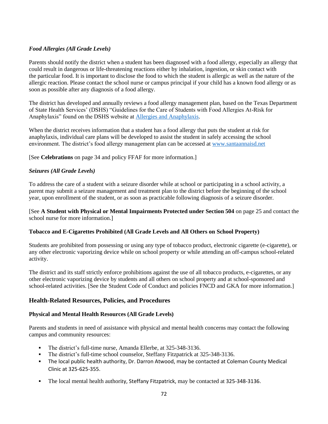# *Food Allergies (All Grade Levels)*

Parents should notify the district when a student has been diagnosed with a food allergy, especially an allergy that could result in dangerous or life-threatening reactions either by inhalation, ingestion, or skin contact with the particular food. It is important to disclose the food to which the student is allergic as well as the nature of the allergic reaction. Please contact the school nurse or campus principal if your child has a known food allergy or as soon as possible after any diagnosis of a food allergy.

The district has developed and annually reviews a food allergy management plan, based on the Texas Department of State Health Services' (DSHS) "Guidelines for the Care of Students with Food Allergies At-Risk for Anaphylaxis" found on the DSHS website at [Allergies and Anaphylaxis.](https://www.dshs.texas.gov/schoolhealth/allergiesandanaphylaxis/)

When the district receives information that a student has a food allergy that puts the student at risk for anaphylaxis, individual care plans will be developed to assist the student in safely accessing the school environment. The district's food allergy management plan can be accessed at [www.santaannaisd.net](http://www.santaannaisd.net/)

[See **Celebrations** on page 34 and policy FFAF for more information.]

# *Seizures (All Grade Levels)*

To address the care of a student with a seizure disorder while at school or participating in a school activity, a parent may submit a seizure management and treatment plan to the district before the beginning of the school year, upon enrollment of the student, or as soon as practicable following diagnosis of a seizure disorder.

[See **A Student with Physical or Mental Impairments Protected under Section 504** on page 25 and contact the school nurse for more information.]

# **Tobacco and E-Cigarettes Prohibited (All Grade Levels and All Others on School Property)**

Students are prohibited from possessing or using any type of tobacco product, electronic cigarette (e-cigarette), or any other electronic vaporizing device while on school property or while attending an off-campus school-related activity.

The district and its staff strictly enforce prohibitions against the use of all tobacco products, e-cigarettes, or any other electronic vaporizing device by students and all others on school property and at school-sponsored and school-related activities. [See the Student Code of Conduct and policies FNCD and GKA for more information.]

# **Health-Related Resources, Policies, and Procedures**

# **Physical and Mental Health Resources (All Grade Levels)**

Parents and students in need of assistance with physical and mental health concerns may contact the following campus and community resources:

- The district's full-time nurse, Amanda Ellerbe, at 325-348-3136.
- The district's full-time school counselor, Steffany Fitzpatrick at 325-348-3136.
- The local public health authority, Dr. Darron Atwood, may be contacted at Coleman County Medical Clinic at 325-625-355.
- The local mental health authority, Steffany Fitzpatrick, may be contacted at 325-348-3136.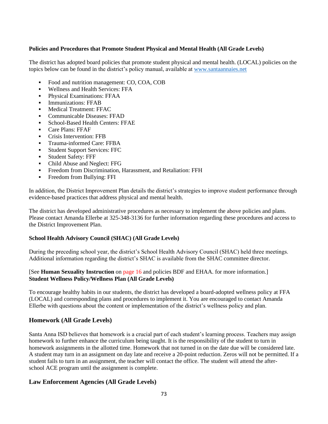# **Policies and Procedures that Promote Student Physical and Mental Health (All Grade Levels)**

The district has adopted board policies that promote student physical and mental health. (LOCAL) policies on the topics below can be found in the district's policy manual, available at www*.*[santaannaies.net](http://www.santaannaies.net/)

- Food and nutrition management: CO, COA, COB
- Wellness and Health Services: FFA
- Physical Examinations: FFAA
- **•** Immunizations: FFAB
- **Medical Treatment: FFAC**
- Communicable Diseases: FFAD
- School-Based Health Centers: FFAE
- Care Plans: FFAF
- **•** Crisis Intervention: FFB
- Trauma-informed Care: FFBA
- Student Support Services: FFC
- Student Safety: FFF
- Child Abuse and Neglect: FFG
- Freedom from Discrimination, Harassment, and Retaliation: FFH
- Freedom from Bullying: FFI

In addition, the District Improvement Plan details the district's strategies to improve student performance through evidence-based practices that address physical and mental health.

The district has developed administrative procedures as necessary to implement the above policies and plans. Please contact Amanda Ellerbe at 325-348-3136 for further information regarding these procedures and access to the District Improvement Plan.

### **School Health Advisory Council (SHAC) (All Grade Levels)**

During the preceding school year, the district's School Health Advisory Council (SHAC) held three meetings. Additional information regarding the district's SHAC is available from the SHAC committee director.

#### [See **Human Sexuality Instruction** on page 16 and policies BDF and EHAA. for more information.] **Student Wellness Policy/Wellness Plan (All Grade Levels)**

To encourage healthy habits in our students, the district has developed a board-adopted wellness policy at FFA (LOCAL) and corresponding plans and procedures to implement it. You are encouraged to contact Amanda Ellerbe with questions about the content or implementation of the district's wellness policy and plan.

#### **Homework (All Grade Levels)**

Santa Anna ISD believes that homework is a crucial part of each student's learning process. Teachers may assign homework to further enhance the curriculum being taught. It is the responsibility of the student to turn in homework assignments in the allotted time. Homework that not turned in on the date due will be considered late. A student may turn in an assignment on day late and receive a 20-point reduction. Zeros will not be permitted. If a student fails to turn in an assignment, the teacher will contact the office. The student will attend the afterschool ACE program until the assignment is complete.

#### **Law Enforcement Agencies (All Grade Levels)**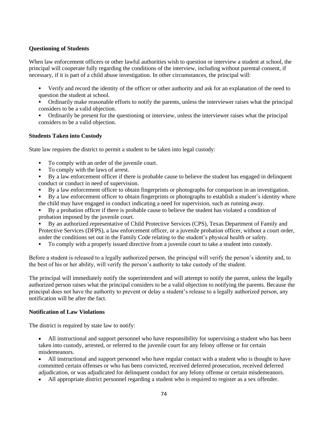# **Questioning of Students**

When law enforcement officers or other lawful authorities wish to question or interview a student at school, the principal will cooperate fully regarding the conditions of the interview, including without parental consent, if necessary, if it is part of a child abuse investigation. In other circumstances, the principal will:

- Verify and record the identity of the officer or other authority and ask for an explanation of the need to question the student at school.
- Ordinarily make reasonable efforts to notify the parents, unless the interviewer raises what the principal considers to be a valid objection.
- Ordinarily be present for the questioning or interview, unless the interviewer raises what the principal considers to be a valid objection.

#### **Students Taken into Custody**

State law requires the district to permit a student to be taken into legal custody:

- To comply with an order of the juvenile court.
- To comply with the laws of arrest.
- By a law enforcement officer if there is probable cause to believe the student has engaged in delinquent conduct or conduct in need of supervision.
- By a law enforcement officer to obtain fingerprints or photographs for comparison in an investigation.
- By a law enforcement officer to obtain fingerprints or photographs to establish a student's identity where the child may have engaged in conduct indicating a need for supervision, such as running away.
- By a probation officer if there is probable cause to believe the student has violated a condition of probation imposed by the juvenile court.
- By an authorized representative of Child Protective Services (CPS), Texas Department of Family and Protective Services (DFPS), a law enforcement officer, or a juvenile probation officer, without a court order, under the conditions set out in the Family Code relating to the student's physical health or safety.
- To comply with a properly issued directive from a juvenile court to take a student into custody.

Before a student is released to a legally authorized person, the principal will verify the person's identity and, to the best of his or her ability, will verify the person's authority to take custody of the student.

The principal will immediately notify the superintendent and will attempt to notify the parent, unless the legally authorized person raises what the principal considers to be a valid objection to notifying the parents. Because the principal does not have the authority to prevent or delay a student's release to a legally authorized person, any notification will be after the fact.

#### **Notification of Law Violations**

The district is required by state law to notify:

- All instructional and support personnel who have responsibility for supervising a student who has been taken into custody, arrested, or referred to the juvenile court for any felony offense or for certain misdemeanors.
- All instructional and support personnel who have regular contact with a student who is thought to have committed certain offenses or who has been convicted, received deferred prosecution, received deferred adjudication, or was adjudicated for delinquent conduct for any felony offense or certain misdemeanors.
- All appropriate district personnel regarding a student who is required to register as a sex offender.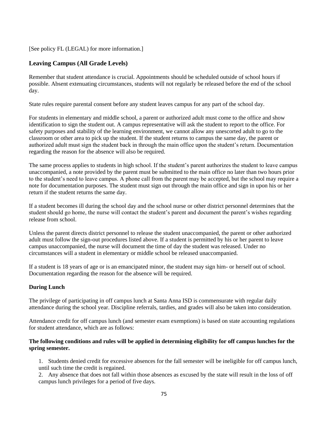[See policy FL (LEGAL) for more information.]

# **Leaving Campus (All Grade Levels)**

Remember that student attendance is crucial. Appointments should be scheduled outside of school hours if possible. Absent extenuating circumstances, students will not regularly be released before the end of the school day.

State rules require parental consent before any student leaves campus for any part of the school day.

For students in elementary and middle school, a parent or authorized adult must come to the office and show identification to sign the student out. A campus representative will ask the student to report to the office. For safety purposes and stability of the learning environment, we cannot allow any unescorted adult to go to the classroom or other area to pick up the student. If the student returns to campus the same day, the parent or authorized adult must sign the student back in through the main office upon the student's return. Documentation regarding the reason for the absence will also be required.

The same process applies to students in high school. If the student's parent authorizes the student to leave campus unaccompanied, a note provided by the parent must be submitted to the main office no later than two hours prior to the student's need to leave campus. A phone call from the parent may be accepted, but the school may require a note for documentation purposes. The student must sign out through the main office and sign in upon his or her return if the student returns the same day.

If a student becomes ill during the school day and the school nurse or other district personnel determines that the student should go home, the nurse will contact the student's parent and document the parent's wishes regarding release from school.

Unless the parent directs district personnel to release the student unaccompanied, the parent or other authorized adult must follow the sign-out procedures listed above. If a student is permitted by his or her parent to leave campus unaccompanied, the nurse will document the time of day the student was released. Under no circumstances will a student in elementary or middle school be released unaccompanied.

If a student is 18 years of age or is an emancipated minor, the student may sign him- or herself out of school. Documentation regarding the reason for the absence will be required.

# **During Lunch**

The privilege of participating in off campus lunch at Santa Anna ISD is commensurate with regular daily attendance during the school year. Discipline referrals, tardies, and grades will also be taken into consideration.

Attendance credit for off campus lunch (and semester exam exemptions) is based on state accounting regulations for student attendance, which are as follows:

# **The following conditions and rules will be applied in determining eligibility for off campus lunches for the spring semester.**

1. Students denied credit for excessive absences for the fall semester will be ineligible for off campus lunch, until such time the credit is regained.

2. Any absence that does not fall within those absences as excused by the state will result in the loss of off campus lunch privileges for a period of five days.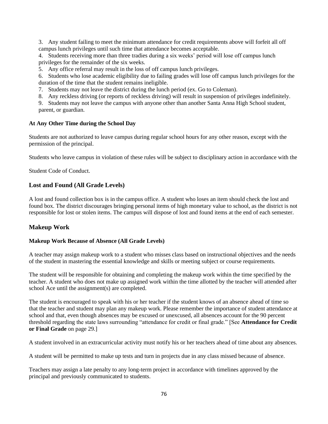3. Any student failing to meet the minimum attendance for credit requirements above will forfeit all off campus lunch privileges until such time that attendance becomes acceptable.

4. Students receiving more than three tradies during a six weeks' period will lose off campus lunch privileges for the remainder of the six weeks.

5. Any office referral may result in the loss of off campus lunch privileges.

6. Students who lose academic eligibility due to failing grades will lose off campus lunch privileges for the duration of the time that the student remains ineligible.

- 7. Students may not leave the district during the lunch period (ex. Go to Coleman).
- 8. Any reckless driving (or reports of reckless driving) will result in suspension of privileges indefinitely.
- 9. Students may not leave the campus with anyone other than another Santa Anna High School student, parent, or guardian.

#### **At Any Other Time during the School Day**

Students are not authorized to leave campus during regular school hours for any other reason, except with the permission of the principal.

Students who leave campus in violation of these rules will be subject to disciplinary action in accordance with the

Student Code of Conduct.

# **Lost and Found (All Grade Levels)**

A lost and found collection box is in the campus office. A student who loses an item should check the lost and found box. The district discourages bringing personal items of high monetary value to school, as the district is not responsible for lost or stolen items. The campus will dispose of lost and found items at the end of each semester.

#### **Makeup Work**

#### **Makeup Work Because of Absence (All Grade Levels)**

A teacher may assign makeup work to a student who misses class based on instructional objectives and the needs of the student in mastering the essential knowledge and skills or meeting subject or course requirements.

The student will be responsible for obtaining and completing the makeup work within the time specified by the teacher. A student who does not make up assigned work within the time allotted by the teacher will attended after school Ace until the assignment(s) are completed.

The student is encouraged to speak with his or her teacher if the student knows of an absence ahead of time so that the teacher and student may plan any makeup work. Please remember the importance of student attendance at school and that, even though absences may be excused or unexcused, all absences account for the 90 percent threshold regarding the state laws surrounding "attendance for credit or final grade." [See **Attendance for Credit or Final Grade** on page 29.]

A student involved in an extracurricular activity must notify his or her teachers ahead of time about any absences.

A student will be permitted to make up tests and turn in projects due in any class missed because of absence.

Teachers may assign a late penalty to any long-term project in accordance with timelines approved by the principal and previously communicated to students.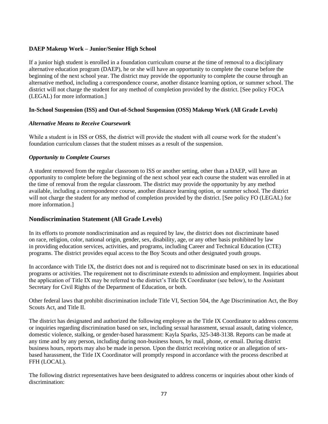# **DAEP Makeup Work – Junior/Senior High School**

If a junior high student is enrolled in a foundation curriculum course at the time of removal to a disciplinary alternative education program (DAEP), he or she will have an opportunity to complete the course before the beginning of the next school year. The district may provide the opportunity to complete the course through an alternative method, including a correspondence course, another distance learning option, or summer school. The district will not charge the student for any method of completion provided by the district. [See policy FOCA (LEGAL) for more information.]

# **In-School Suspension (ISS) and Out-of-School Suspension (OSS) Makeup Work (All Grade Levels)**

# *Alternative Means to Receive Coursework*

While a student is in ISS or OSS, the district will provide the student with all course work for the student's foundation curriculum classes that the student misses as a result of the suspension.

# *Opportunity to Complete Courses*

A student removed from the regular classroom to ISS or another setting, other than a DAEP, will have an opportunity to complete before the beginning of the next school year each course the student was enrolled in at the time of removal from the regular classroom. The district may provide the opportunity by any method available, including a correspondence course, another distance learning option, or summer school. The district will not charge the student for any method of completion provided by the district. [See policy FO (LEGAL) for more information.]

# **Nondiscrimination Statement (All Grade Levels)**

In its efforts to promote nondiscrimination and as required by law, the district does not discriminate based on race, religion, color, national origin, gender, sex, disability, age, or any other basis prohibited by law in providing education services, activities, and programs, including Career and Technical Education (CTE) programs. The district provides equal access to the Boy Scouts and other designated youth groups.

In accordance with Title IX, the district does not and is required not to discriminate based on sex in its educational programs or activities. The requirement not to discriminate extends to admission and employment. Inquiries about the application of Title IX may be referred to the district's Title IX Coordinator (see below), to the Assistant Secretary for Civil Rights of the Department of Education, or both.

Other federal laws that prohibit discrimination include Title VI, Section 504, the Age Discrimination Act, the Boy Scouts Act, and Title II.

The district has designated and authorized the following employee as the Title IX Coordinator to address concerns or inquiries regarding discrimination based on sex, including sexual harassment, sexual assault, dating violence, domestic violence, stalking, or gender-based harassment: Kayla Sparks, 325-348-3138. Reports can be made at any time and by any person, including during non-business hours, by mail, phone, or email. During district business hours, reports may also be made in person. Upon the district receiving notice or an allegation of sexbased harassment, the Title IX Coordinator will promptly respond in accordance with the process described at FFH (LOCAL).

The following district representatives have been designated to address concerns or inquiries about other kinds of discrimination: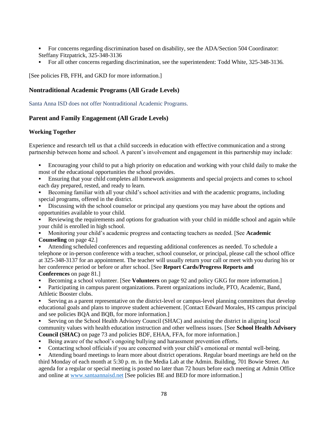- For concerns regarding discrimination based on disability, see the ADA/Section 504 Coordinator: Steffany Fitzpatrick, 325-348-3136
- For all other concerns regarding discrimination, see the superintendent: Todd White, 325-348-3136*.*

[See policies FB, FFH, and GKD for more information.]

# **Nontraditional Academic Programs (All Grade Levels)**

Santa Anna ISD does not offer Nontraditional Academic Programs.

# **Parent and Family Engagement (All Grade Levels)**

# **Working Together**

Experience and research tell us that a child succeeds in education with effective communication and a strong partnership between home and school. A parent's involvement and engagement in this partnership may include:

Encouraging your child to put a high priority on education and working with your child daily to make the most of the educational opportunities the school provides.

Ensuring that your child completes all homework assignments and special projects and comes to school each day prepared, rested, and ready to learn.

- Becoming familiar with all your child's school activities and with the academic programs, including special programs, offered in the district.
- Discussing with the school counselor or principal any questions you may have about the options and opportunities available to your child.

Reviewing the requirements and options for graduation with your child in middle school and again while your child is enrolled in high school.

- Monitoring your child's academic progress and contacting teachers as needed. [See **Academic Counseling** on page 42.]
- Attending scheduled conferences and requesting additional conferences as needed. To schedule a telephone or in-person conference with a teacher, school counselor, or principal, please call the school office at 325-348-3137 for an appointment. The teacher will usually return your call or meet with you during his or her conference period or before or after school. [See **Report Cards/Progress Reports and Conferences** on page 81.]
- Becoming a school volunteer. [See **Volunteers** on page 92 and policy GKG for more information.]
- Participating in campus parent organizations. Parent organizations include, PTO, Academic, Band, Athletic Booster clubs.
- Serving as a parent representative on the district-level or campus-level planning committees that develop educational goals and plans to improve student achievement. [Contact Edward Morales, HS campus principal and see policies BQA and BQB, for more information.]
- Serving on the School Health Advisory Council (SHAC) and assisting the district in aligning local community values with health education instruction and other wellness issues. [See **School Health Advisory Council (SHAC)** on page 73 and policies BDF, EHAA, FFA, for more information.]
- Being aware of the school's ongoing bullying and harassment prevention efforts.
- Contacting school officials if you are concerned with your child's emotional or mental well-being.
- Attending board meetings to learn more about district operations. Regular board meetings are held on the third Monday of each month at 5:30 p. m. in the Media Lab at the Admin. Building, 701 Bowie Street*.* An agenda for a regular or special meeting is posted no later than 72 hours before each meeting at Admin Office and online at [www.santaannaisd.net](http://www.santaannaisd.net/) [See policies BE and BED for more information.]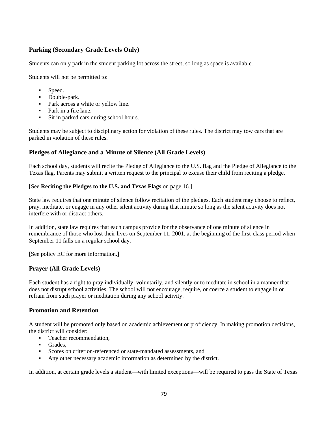# **Parking (Secondary Grade Levels Only)**

Students can only park in the student parking lot across the street; so long as space is available.

Students will not be permitted to:

- Speed.
- Double-park.
- Park across a white or yellow line.
- Park in a fire lane.
- Sit in parked cars during school hours.

Students may be subject to disciplinary action for violation of these rules. The district may tow cars that are parked in violation of these rules.

# **Pledges of Allegiance and a Minute of Silence (All Grade Levels)**

Each school day, students will recite the Pledge of Allegiance to the U.S. flag and the Pledge of Allegiance to the Texas flag. Parents may submit a written request to the principal to excuse their child from reciting a pledge.

# [See **Reciting the Pledges to the U.S. and Texas Flags** on page 16.]

State law requires that one minute of silence follow recitation of the pledges. Each student may choose to reflect, pray, meditate, or engage in any other silent activity during that minute so long as the silent activity does not interfere with or distract others.

In addition, state law requires that each campus provide for the observance of one minute of silence in remembrance of those who lost their lives on September 11, 2001, at the beginning of the first-class period when September 11 falls on a regular school day.

[See policy EC for more information.]

# **Prayer (All Grade Levels)**

Each student has a right to pray individually, voluntarily, and silently or to meditate in school in a manner that does not disrupt school activities. The school will not encourage, require, or coerce a student to engage in or refrain from such prayer or meditation during any school activity.

# **Promotion and Retention**

A student will be promoted only based on academic achievement or proficiency. In making promotion decisions, the district will consider:

- Teacher recommendation.
- Grades,
- Scores on criterion-referenced or state-mandated assessments, and
- Any other necessary academic information as determined by the district.

In addition, at certain grade levels a student—with limited exceptions—will be required to pass the State of Texas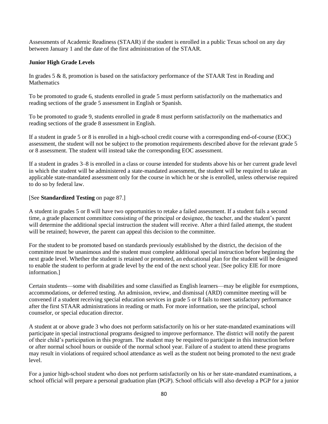Assessments of Academic Readiness (STAAR) if the student is enrolled in a public Texas school on any day between January 1 and the date of the first administration of the STAAR.

### **Junior High Grade Levels**

In grades 5 & 8, promotion is based on the satisfactory performance of the STAAR Test in Reading and **Mathematics** 

To be promoted to grade 6, students enrolled in grade 5 must perform satisfactorily on the mathematics and reading sections of the grade 5 assessment in English or Spanish.

To be promoted to grade 9, students enrolled in grade 8 must perform satisfactorily on the mathematics and reading sections of the grade 8 assessment in English.

If a student in grade 5 or 8 is enrolled in a high-school credit course with a corresponding end-of-course (EOC) assessment, the student will not be subject to the promotion requirements described above for the relevant grade 5 or 8 assessment. The student will instead take the corresponding EOC assessment.

If a student in grades 3–8 is enrolled in a class or course intended for students above his or her current grade level in which the student will be administered a state-mandated assessment, the student will be required to take an applicable state-mandated assessment only for the course in which he or she is enrolled, unless otherwise required to do so by federal law.

#### [See **Standardized Testing** on page 87.]

A student in grades 5 or 8 will have two opportunities to retake a failed assessment. If a student fails a second time, a grade placement committee consisting of the principal or designee, the teacher, and the student's parent will determine the additional special instruction the student will receive. After a third failed attempt, the student will be retained; however, the parent can appeal this decision to the committee.

For the student to be promoted based on standards previously established by the district, the decision of the committee must be unanimous and the student must complete additional special instruction before beginning the next grade level. Whether the student is retained or promoted, an educational plan for the student will be designed to enable the student to perform at grade level by the end of the next school year. [See policy EIE for more information.]

Certain students—some with disabilities and some classified as English learners—may be eligible for exemptions, accommodations, or deferred testing. An admission, review, and dismissal (ARD) committee meeting will be convened if a student receiving special education services in grade 5 or 8 fails to meet satisfactory performance after the first STAAR administrations in reading or math. For more information, see the principal, school counselor, or special education director.

A student at or above grade 3 who does not perform satisfactorily on his or her state-mandated examinations will participate in special instructional programs designed to improve performance. The district will notify the parent of their child's participation in this program. The student may be required to participate in this instruction before or after normal school hours or outside of the normal school year. Failure of a student to attend these programs may result in violations of required school attendance as well as the student not being promoted to the next grade level.

For a junior high-school student who does not perform satisfactorily on his or her state-mandated examinations, a school official will prepare a personal graduation plan (PGP). School officials will also develop a PGP for a junior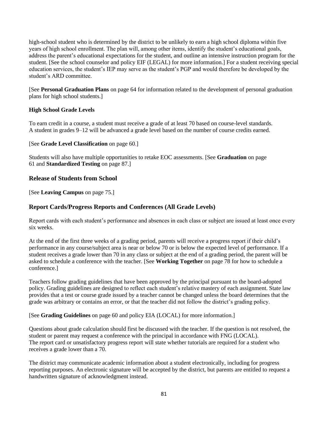high-school student who is determined by the district to be unlikely to earn a high school diploma within five years of high school enrollment. The plan will, among other items, identify the student's educational goals, address the parent's educational expectations for the student, and outline an intensive instruction program for the student. [See the school counselor and policy EIF (LEGAL) for more information.] For a student receiving special education services, the student's IEP may serve as the student's PGP and would therefore be developed by the student's ARD committee.

[See **Personal Graduation Plans** on page 64 for information related to the development of personal graduation plans for high school students.]

# **High School Grade Levels**

To earn credit in a course, a student must receive a grade of at least 70 based on course-level standards. A student in grades 9–12 will be advanced a grade level based on the number of course credits earned.

#### [See **Grade Level Classification** on page 60.]

Students will also have multiple opportunities to retake EOC assessments. [See **Graduation** on page 61 and **Standardized Testing** on page 87.]

# **Release of Students from School**

[See **Leaving Campus** on page 75.]

# **Report Cards/Progress Reports and Conferences (All Grade Levels)**

Report cards with each student's performance and absences in each class or subject are issued at least once every six weeks.

At the end of the first three weeks of a grading period, parents will receive a progress report if their child's performance in any course/subject area is near or below 70 or is below the expected level of performance. If a student receives a grade lower than 70 in any class or subject at the end of a grading period, the parent will be asked to schedule a conference with the teacher. [See **Working Together** on page 78 for how to schedule a conference.]

Teachers follow grading guidelines that have been approved by the principal pursuant to the board-adopted policy. Grading guidelines are designed to reflect each student's relative mastery of each assignment. State law provides that a test or course grade issued by a teacher cannot be changed unless the board determines that the grade was arbitrary or contains an error, or that the teacher did not follow the district's grading policy.

#### [See **Grading Guidelines** on page 60 and policy EIA (LOCAL) for more information.]

Questions about grade calculation should first be discussed with the teacher. If the question is not resolved, the student or parent may request a conference with the principal in accordance with FNG (LOCAL). The report card or unsatisfactory progress report will state whether tutorials are required for a student who receives a grade lower than a 70.

The district may communicate academic information about a student electronically, including for progress reporting purposes. An electronic signature will be accepted by the district, but parents are entitled to request a handwritten signature of acknowledgment instead.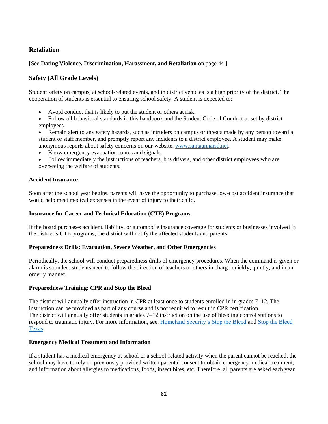# **Retaliation**

# [See **Dating Violence, Discrimination, Harassment, and Retaliation** on page 44.]

# **Safety (All Grade Levels)**

Student safety on campus, at school-related events, and in district vehicles is a high priority of the district. The cooperation of students is essential to ensuring school safety. A student is expected to:

- Avoid conduct that is likely to put the student or others at risk.
- Follow all behavioral standards in this handbook and the Student Code of Conduct or set by district employees.
- Remain alert to any safety hazards, such as intruders on campus or threats made by any person toward a student or staff member, and promptly report any incidents to a district employee. A student may make anonymous reports about safety concerns on our website. [www.santaannaisd.net.](http://www.santaannaisd.net/)
- Know emergency evacuation routes and signals.
- Follow immediately the instructions of teachers, bus drivers, and other district employees who are overseeing the welfare of students.

#### **Accident Insurance**

Soon after the school year begins, parents will have the opportunity to purchase low-cost accident insurance that would help meet medical expenses in the event of injury to their child.

#### **Insurance for Career and Technical Education (CTE) Programs**

If the board purchases accident, liability, or automobile insurance coverage for students or businesses involved in the district's CTE programs, the district will notify the affected students and parents.

#### **Preparedness Drills: Evacuation, Severe Weather, and Other Emergencies**

Periodically, the school will conduct preparedness drills of emergency procedures. When the command is given or alarm is sounded, students need to follow the direction of teachers or others in charge quickly, quietly, and in an orderly manner.

#### **Preparedness Training: CPR and Stop the Bleed**

The district will annually offer instruction in CPR at least once to students enrolled in in grades 7–12. The instruction can be provided as part of any course and is not required to result in CPR certification. The district will annually offer students in grades 7–12 instruction on the use of bleeding control stations to respond to traumatic injury. For more information, see. [Homeland Security's Stop the Bleed](https://www.dhs.gov/stopthebleed) and [Stop the Bleed](https://stopthebleedtx.org/)  [Texas.](https://stopthebleedtx.org/)

#### **Emergency Medical Treatment and Information**

If a student has a medical emergency at school or a school-related activity when the parent cannot be reached, the school may have to rely on previously provided written parental consent to obtain emergency medical treatment, and information about allergies to medications, foods, insect bites, etc. Therefore, all parents are asked each year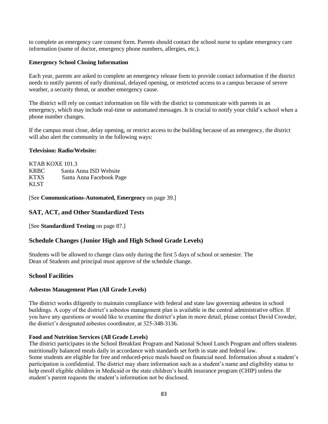to complete an emergency care consent form. Parents should contact the school nurse to update emergency care information (name of doctor, emergency phone numbers, allergies, etc.).

#### **Emergency School Closing Information**

Each year, parents are asked to complete an emergency release form to provide contact information if the district needs to notify parents of early dismissal, delayed opening, or restricted access to a campus because of severe weather, a security threat, or another emergency cause.

The district will rely on contact information on file with the district to communicate with parents in an emergency, which may include real-time or automated messages. It is crucial to notify your child's school when a phone number changes.

If the campus must close, delay opening, or restrict access to the building because of an emergency, the district will also alert the community in the following ways:

#### **Television: Radio/Website:**

KTAB KOXE 101.3 KRBC Santa Anna ISD Website KTXS Santa Anna Facebook Page KLST

[See **Communications-Automated, Emergency** on page 39.]

### **SAT, ACT, and Other Standardized Tests**

[See **Standardized Testing** on page 87.]

# **Schedule Changes (Junior High and High School Grade Levels)**

Students will be allowed to change class only during the first 5 days of school or semester. The Dean of Students and principal must approve of the schedule change.

#### **School Facilities**

#### **Asbestos Management Plan (All Grade Levels)**

The district works diligently to maintain compliance with federal and state law governing asbestos in school buildings. A copy of the district's asbestos management plan is available in the central administrative office. If you have any questions or would like to examine the district's plan in more detail, please contact David Crowder, the district's designated asbestos coordinator, at 325-348-3136.

#### **Food and Nutrition Services (All Grade Levels)**

The district participates in the School Breakfast Program and National School Lunch Program and offers students nutritionally balanced meals daily in accordance with standards set forth in state and federal law. Some students are eligible for free and reduced-price meals based on financial need. Information about a student's participation is confidential. The district may share information such as a student's name and eligibility status to help enroll eligible children in Medicaid or the state children's health insurance program (CHIP) unless the student's parent requests the student's information not be disclosed.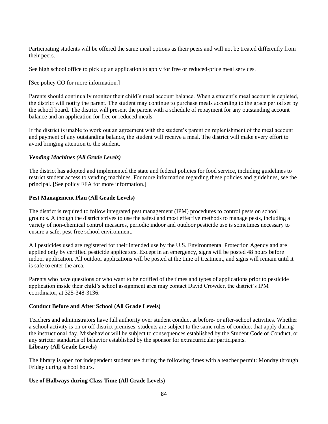Participating students will be offered the same meal options as their peers and will not be treated differently from their peers.

See high school office to pick up an application to apply for free or reduced-price meal services.

[See policy CO for more information.]

Parents should continually monitor their child's meal account balance. When a student's meal account is depleted, the district will notify the parent. The student may continue to purchase meals according to the grace period set by the school board. The district will present the parent with a schedule of repayment for any outstanding account balance and an application for free or reduced meals.

If the district is unable to work out an agreement with the student's parent on replenishment of the meal account and payment of any outstanding balance, the student will receive a meal. The district will make every effort to avoid bringing attention to the student.

#### *Vending Machines (All Grade Levels)*

The district has adopted and implemented the state and federal policies for food service, including guidelines to restrict student access to vending machines. For more information regarding these policies and guidelines, see the principal*.* [See policy FFA for more information.]

#### **Pest Management Plan (All Grade Levels)**

The district is required to follow integrated pest management (IPM) procedures to control pests on school grounds. Although the district strives to use the safest and most effective methods to manage pests, including a variety of non-chemical control measures, periodic indoor and outdoor pesticide use is sometimes necessary to ensure a safe, pest-free school environment.

All pesticides used are registered for their intended use by the U.S. Environmental Protection Agency and are applied only by certified pesticide applicators. Except in an emergency, signs will be posted 48 hours before indoor application. All outdoor applications will be posted at the time of treatment, and signs will remain until it is safe to enter the area.

Parents who have questions or who want to be notified of the times and types of applications prior to pesticide application inside their child's school assignment area may contact David Crowder, the district's IPM coordinator, at 325-348-3136.

#### **Conduct Before and After School (All Grade Levels)**

Teachers and administrators have full authority over student conduct at before- or after-school activities. Whether a school activity is on or off district premises, students are subject to the same rules of conduct that apply during the instructional day. Misbehavior will be subject to consequences established by the Student Code of Conduct, or any stricter standards of behavior established by the sponsor for extracurricular participants. **Library (All Grade Levels)**

The library is open for independent student use during the following times with a teacher permit: Monday through Friday during school hours.

#### **Use of Hallways during Class Time (All Grade Levels)**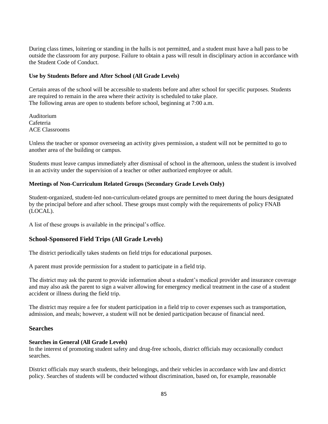During class times, loitering or standing in the halls is not permitted, and a student must have a hall pass to be outside the classroom for any purpose. Failure to obtain a pass will result in disciplinary action in accordance with the Student Code of Conduct.

#### **Use by Students Before and After School (All Grade Levels)**

Certain areas of the school will be accessible to students before and after school for specific purposes. Students are required to remain in the area where their activity is scheduled to take place. The following areas are open to students before school, beginning at 7:00 a.m.

Auditorium Cafeteria ACE Classrooms

Unless the teacher or sponsor overseeing an activity gives permission, a student will not be permitted to go to another area of the building or campus.

Students must leave campus immediately after dismissal of school in the afternoon, unless the student is involved in an activity under the supervision of a teacher or other authorized employee or adult.

#### **Meetings of Non-Curriculum Related Groups (Secondary Grade Levels Only)**

Student-organized, student-led non-curriculum-related groups are permitted to meet during the hours designated by the principal before and after school. These groups must comply with the requirements of policy FNAB (LOCAL).

A list of these groups is available in the principal's office.

#### **School-Sponsored Field Trips (All Grade Levels)**

The district periodically takes students on field trips for educational purposes.

A parent must provide permission for a student to participate in a field trip.

The district may ask the parent to provide information about a student's medical provider and insurance coverage and may also ask the parent to sign a waiver allowing for emergency medical treatment in the case of a student accident or illness during the field trip.

The district may require a fee for student participation in a field trip to cover expenses such as transportation, admission, and meals; however, a student will not be denied participation because of financial need.

#### **Searches**

#### **Searches in General (All Grade Levels)**

In the interest of promoting student safety and drug-free schools, district officials may occasionally conduct searches.

District officials may search students, their belongings, and their vehicles in accordance with law and district policy. Searches of students will be conducted without discrimination, based on, for example, reasonable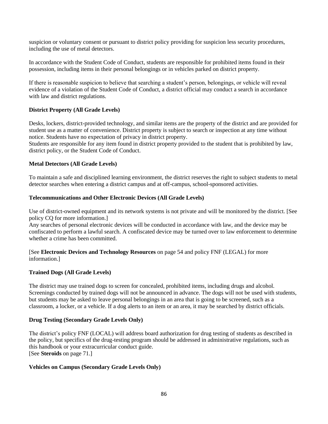suspicion or voluntary consent or pursuant to district policy providing for suspicion less security procedures, including the use of metal detectors.

In accordance with the Student Code of Conduct, students are responsible for prohibited items found in their possession, including items in their personal belongings or in vehicles parked on district property.

If there is reasonable suspicion to believe that searching a student's person, belongings, or vehicle will reveal evidence of a violation of the Student Code of Conduct, a district official may conduct a search in accordance with law and district regulations.

# **District Property (All Grade Levels)**

Desks, lockers, district-provided technology, and similar items are the property of the district and are provided for student use as a matter of convenience. District property is subject to search or inspection at any time without notice. Students have no expectation of privacy in district property.

Students are responsible for any item found in district property provided to the student that is prohibited by law, district policy, or the Student Code of Conduct.

#### **Metal Detectors (All Grade Levels)**

To maintain a safe and disciplined learning environment, the district reserves the right to subject students to metal detector searches when entering a district campus and at off-campus, school-sponsored activities.

#### **Telecommunications and Other Electronic Devices (All Grade Levels)**

Use of district-owned equipment and its network systems is not private and will be monitored by the district. [See policy CQ for more information.]

Any searches of personal electronic devices will be conducted in accordance with law, and the device may be confiscated to perform a lawful search. A confiscated device may be turned over to law enforcement to determine whether a crime has been committed.

[See **Electronic Devices and Technology Resources** on page 54 and policy FNF (LEGAL) for more information.]

#### **Trained Dogs (All Grade Levels)**

The district may use trained dogs to screen for concealed, prohibited items, including drugs and alcohol. Screenings conducted by trained dogs will not be announced in advance. The dogs will not be used with students, but students may be asked to leave personal belongings in an area that is going to be screened, such as a classroom, a locker, or a vehicle. If a dog alerts to an item or an area, it may be searched by district officials.

#### **Drug Testing (Secondary Grade Levels Only)**

The district's policy FNF (LOCAL) will address board authorization for drug testing of students as described in the policy, but specifics of the drug-testing program should be addressed in administrative regulations, such as this handbook or your extracurricular conduct guide. [See **Steroids** on page 71.]

#### **Vehicles on Campus (Secondary Grade Levels Only)**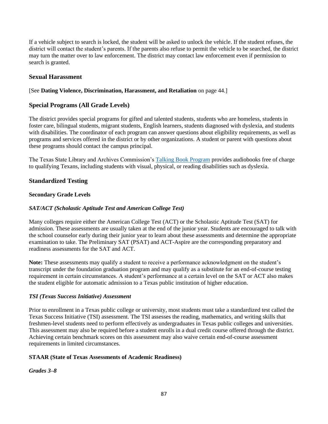If a vehicle subject to search is locked, the student will be asked to unlock the vehicle. If the student refuses, the district will contact the student's parents. If the parents also refuse to permit the vehicle to be searched, the district may turn the matter over to law enforcement. The district may contact law enforcement even if permission to search is granted.

# **Sexual Harassment**

### [See **Dating Violence, Discrimination, Harassment, and Retaliation** on page 44.]

# **Special Programs (All Grade Levels)**

The district provides special programs for gifted and talented students, students who are homeless, students in foster care, bilingual students, migrant students, English learners, students diagnosed with dyslexia, and students with disabilities. The coordinator of each program can answer questions about eligibility requirements, as well as programs and services offered in the district or by other organizations. A student or parent with questions about these programs should contact the campus principal.

The Texas State Library and Archives Commission's [Talking Book Program](https://www.tsl.texas.gov/tbp/index.html) provides audiobooks free of charge to qualifying Texans, including students with visual, physical, or reading disabilities such as dyslexia.

# **Standardized Testing**

#### **Secondary Grade Levels**

#### *SAT/ACT (Scholastic Aptitude Test and American College Test)*

Many colleges require either the American College Test (ACT) or the Scholastic Aptitude Test (SAT) for admission. These assessments are usually taken at the end of the junior year. Students are encouraged to talk with the school counselor early during their junior year to learn about these assessments and determine the appropriate examination to take. The Preliminary SAT (PSAT) and ACT-Aspire are the corresponding preparatory and readiness assessments for the SAT and ACT.

**Note:** These assessments may qualify a student to receive a performance acknowledgment on the student's transcript under the foundation graduation program and may qualify as a substitute for an end-of-course testing requirement in certain circumstances. A student's performance at a certain level on the SAT or ACT also makes the student eligible for automatic admission to a Texas public institution of higher education.

#### *TSI (Texas Success Initiative) Assessment*

Prior to enrollment in a Texas public college or university, most students must take a standardized test called the Texas Success Initiative (TSI) assessment. The TSI assesses the reading, mathematics, and writing skills that freshmen-level students need to perform effectively as undergraduates in Texas public colleges and universities. This assessment may also be required before a student enrolls in a dual credit course offered through the district. Achieving certain benchmark scores on this assessment may also waive certain end-of-course assessment requirements in limited circumstances.

#### **STAAR (State of Texas Assessments of Academic Readiness)**

#### *Grades 3–8*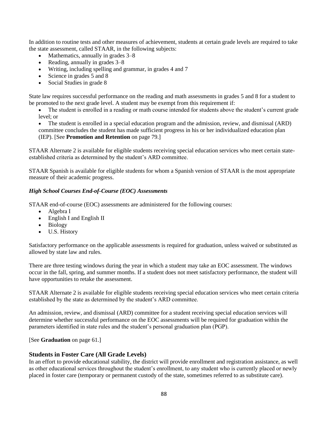In addition to routine tests and other measures of achievement, students at certain grade levels are required to take the state assessment, called STAAR, in the following subjects:

- Mathematics, annually in grades  $3-8$
- Reading, annually in grades  $3-8$
- Writing, including spelling and grammar, in grades 4 and 7
- Science in grades 5 and 8
- Social Studies in grade 8

State law requires successful performance on the reading and math assessments in grades 5 and 8 for a student to be promoted to the next grade level. A student may be exempt from this requirement if:

The student is enrolled in a reading or math course intended for students above the student's current grade level; or

• The student is enrolled in a special education program and the admission, review, and dismissal (ARD) committee concludes the student has made sufficient progress in his or her individualized education plan (IEP). [See **Promotion and Retention** on page 79.]

STAAR Alternate 2 is available for eligible students receiving special education services who meet certain stateestablished criteria as determined by the student's ARD committee.

STAAR Spanish is available for eligible students for whom a Spanish version of STAAR is the most appropriate measure of their academic progress.

# *High School Courses End-of-Course (EOC) Assessments*

STAAR end-of-course (EOC) assessments are administered for the following courses:

- Algebra I
- English I and English II
- Biology
- U.S. History

Satisfactory performance on the applicable assessments is required for graduation, unless waived or substituted as allowed by state law and rules.

There are three testing windows during the year in which a student may take an EOC assessment. The windows occur in the fall, spring, and summer months. If a student does not meet satisfactory performance, the student will have opportunities to retake the assessment.

STAAR Alternate 2 is available for eligible students receiving special education services who meet certain criteria established by the state as determined by the student's ARD committee.

An admission, review, and dismissal (ARD) committee for a student receiving special education services will determine whether successful performance on the EOC assessments will be required for graduation within the parameters identified in state rules and the student's personal graduation plan (PGP).

[See **Graduation** on page 61.]

#### **Students in Foster Care (All Grade Levels)**

In an effort to provide educational stability, the district will provide enrollment and registration assistance, as well as other educational services throughout the student's enrollment, to any student who is currently placed or newly placed in foster care (temporary or permanent custody of the state, sometimes referred to as substitute care).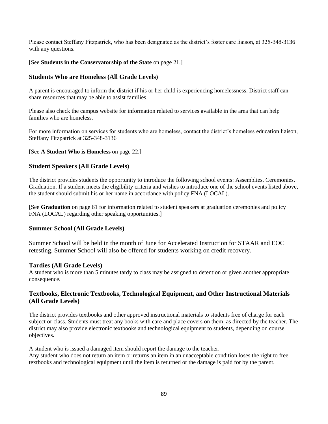Please contact Steffany Fitzpatrick, who has been designated as the district's foster care liaison, at 325-348-3136 with any questions.

### [See **Students in the Conservatorship of the State** on page 21.]

# **Students Who are Homeless (All Grade Levels)**

A parent is encouraged to inform the district if his or her child is experiencing homelessness. District staff can share resources that may be able to assist families.

Please also check the campus website for information related to services available in the area that can help families who are homeless.

For more information on services for students who are homeless, contact the district's homeless education liaison, Steffany Fitzpatrick at 325-348-3136

#### [See **A Student Who is Homeless** on page 22.]

# **Student Speakers (All Grade Levels)**

The district provides students the opportunity to introduce the following school events: Assemblies, Ceremonies, Graduation. If a student meets the eligibility criteria and wishes to introduce one of the school events listed above, the student should submit his or her name in accordance with policy FNA (LOCAL).

[See **Graduation** on page 61 for information related to student speakers at graduation ceremonies and policy FNA (LOCAL) regarding other speaking opportunities.]

#### **Summer School (All Grade Levels)**

Summer School will be held in the month of June for Accelerated Instruction for STAAR and EOC retesting. Summer School will also be offered for students working on credit recovery.

#### **Tardies (All Grade Levels)**

A student who is more than 5 minutes tardy to class may be assigned to detention or given another appropriate consequence.

# **Textbooks, Electronic Textbooks, Technological Equipment, and Other Instructional Materials (All Grade Levels)**

The district provides textbooks and other approved instructional materials to students free of charge for each subject or class. Students must treat any books with care and place covers on them, as directed by the teacher. The district may also provide electronic textbooks and technological equipment to students, depending on course objectives.

A student who is issued a damaged item should report the damage to the teacher. Any student who does not return an item or returns an item in an unacceptable condition loses the right to free textbooks and technological equipment until the item is returned or the damage is paid for by the parent.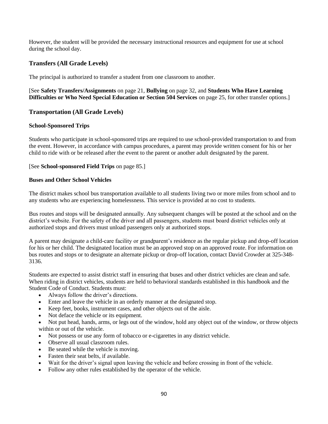However, the student will be provided the necessary instructional resources and equipment for use at school during the school day.

# **Transfers (All Grade Levels)**

The principal is authorized to transfer a student from one classroom to another.

# [See **Safety Transfers/Assignments** on page 21, **Bullying** on page 32, and **Students Who Have Learning Difficulties or Who Need Special Education or Section 504 Services** on page 25, for other transfer options.]

# **Transportation (All Grade Levels)**

#### **School-Sponsored Trips**

Students who participate in school-sponsored trips are required to use school-provided transportation to and from the event. However, in accordance with campus procedures, a parent may provide written consent for his or her child to ride with or be released after the event to the parent or another adult designated by the parent.

#### [See **School-sponsored Field Trips** on page 85.]

#### **Buses and Other School Vehicles**

The district makes school bus transportation available to all students living two or more miles from school and to any students who are experiencing homelessness. This service is provided at no cost to students.

Bus routes and stops will be designated annually. Any subsequent changes will be posted at the school and on the district's website. For the safety of the driver and all passengers, students must board district vehicles only at authorized stops and drivers must unload passengers only at authorized stops.

A parent may designate a child-care facility or grandparent's residence as the regular pickup and drop-off location for his or her child. The designated location must be an approved stop on an approved route. For information on bus routes and stops or to designate an alternate pickup or drop-off location, contact David Crowder at 325-348- 3136.

Students are expected to assist district staff in ensuring that buses and other district vehicles are clean and safe. When riding in district vehicles, students are held to behavioral standards established in this handbook and the Student Code of Conduct. Students must:

- Always follow the driver's directions.
- Enter and leave the vehicle in an orderly manner at the designated stop.
- Keep feet, books, instrument cases, and other objects out of the aisle.
- Not deface the vehicle or its equipment.
- Not put head, hands, arms, or legs out of the window, hold any object out of the window, or throw objects within or out of the vehicle.
- Not possess or use any form of tobacco or e-cigarettes in any district vehicle.
- Observe all usual classroom rules.
- Be seated while the vehicle is moving.
- Fasten their seat belts, if available.
- Wait for the driver's signal upon leaving the vehicle and before crossing in front of the vehicle.
- Follow any other rules established by the operator of the vehicle.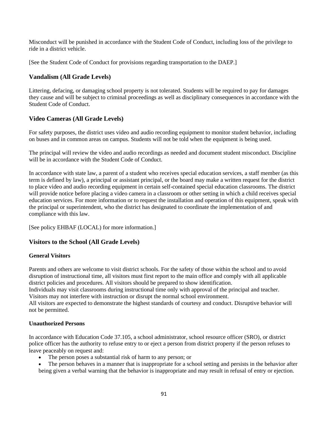Misconduct will be punished in accordance with the Student Code of Conduct, including loss of the privilege to ride in a district vehicle.

[See the Student Code of Conduct for provisions regarding transportation to the DAEP.]

# **Vandalism (All Grade Levels)**

Littering, defacing, or damaging school property is not tolerated. Students will be required to pay for damages they cause and will be subject to criminal proceedings as well as disciplinary consequences in accordance with the Student Code of Conduct.

# **Video Cameras (All Grade Levels)**

For safety purposes, the district uses video and audio recording equipment to monitor student behavior, including on buses and in common areas on campus. Students will not be told when the equipment is being used.

The principal will review the video and audio recordings as needed and document student misconduct. Discipline will be in accordance with the Student Code of Conduct.

In accordance with state law, a parent of a student who receives special education services, a staff member (as this term is defined by law), a principal or assistant principal, or the board may make a written request for the district to place video and audio recording equipment in certain self-contained special education classrooms. The district will provide notice before placing a video camera in a classroom or other setting in which a child receives special education services. For more information or to request the installation and operation of this equipment, speak with the principal or superintendent, who the district has designated to coordinate the implementation of and compliance with this law.

[See policy EHBAF (LOCAL) for more information.]

# **Visitors to the School (All Grade Levels)**

#### **General Visitors**

Parents and others are welcome to visit district schools. For the safety of those within the school and to avoid disruption of instructional time, all visitors must first report to the main office and comply with all applicable district policies and procedures. All visitors should be prepared to show identification.

Individuals may visit classrooms during instructional time only with approval of the principal and teacher. Visitors may not interfere with instruction or disrupt the normal school environment.

All visitors are expected to demonstrate the highest standards of courtesy and conduct. Disruptive behavior will not be permitted.

#### **Unauthorized Persons**

In accordance with Education Code 37.105, a school administrator, school resource officer (SRO), or district police officer has the authority to refuse entry to or eject a person from district property if the person refuses to leave peaceably on request and:

- The person poses a substantial risk of harm to any person; or
- The person behaves in a manner that is inappropriate for a school setting and persists in the behavior after being given a verbal warning that the behavior is inappropriate and may result in refusal of entry or ejection.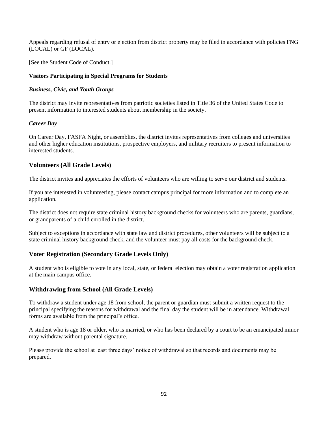Appeals regarding refusal of entry or ejection from district property may be filed in accordance with policies FNG (LOCAL) or GF (LOCAL).

[See the Student Code of Conduct.]

#### **Visitors Participating in Special Programs for Students**

#### *Business, Civic, and Youth Groups*

The district may invite representatives from patriotic societies listed in Title 36 of the United States Code to present information to interested students about membership in the society.

#### *Career Day*

On Career Day, FASFA Night, or assemblies, the district invites representatives from colleges and universities and other higher education institutions, prospective employers, and military recruiters to present information to interested students.

# **Volunteers (All Grade Levels)**

The district invites and appreciates the efforts of volunteers who are willing to serve our district and students.

If you are interested in volunteering, please contact campus principal for more information and to complete an application.

The district does not require state criminal history background checks for volunteers who are parents, guardians, or grandparents of a child enrolled in the district.

Subject to exceptions in accordance with state law and district procedures, other volunteers will be subject to a state criminal history background check, and the volunteer must pay all costs for the background check.

#### **Voter Registration (Secondary Grade Levels Only)**

A student who is eligible to vote in any local, state, or federal election may obtain a voter registration application at the main campus office.

#### **Withdrawing from School (All Grade Levels)**

To withdraw a student under age 18 from school, the parent or guardian must submit a written request to the principal specifying the reasons for withdrawal and the final day the student will be in attendance. Withdrawal forms are available from the principal's office.

A student who is age 18 or older, who is married, or who has been declared by a court to be an emancipated minor may withdraw without parental signature.

Please provide the school at least three days' notice of withdrawal so that records and documents may be prepared.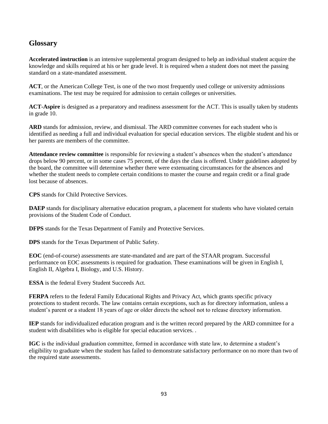# **Glossary**

**Accelerated instruction** is an intensive supplemental program designed to help an individual student acquire the knowledge and skills required at his or her grade level. It is required when a student does not meet the passing standard on a state-mandated assessment.

**ACT**, or the American College Test, is one of the two most frequently used college or university admissions examinations. The test may be required for admission to certain colleges or universities.

**ACT-Aspire** is designed as a preparatory and readiness assessment for the ACT. This is usually taken by students in grade 10.

**ARD** stands for admission, review, and dismissal. The ARD committee convenes for each student who is identified as needing a full and individual evaluation for special education services. The eligible student and his or her parents are members of the committee.

**Attendance review committee** is responsible for reviewing a student's absences when the student's attendance drops below 90 percent, or in some cases 75 percent, of the days the class is offered. Under guidelines adopted by the board, the committee will determine whether there were extenuating circumstances for the absences and whether the student needs to complete certain conditions to master the course and regain credit or a final grade lost because of absences.

**CPS** stands for Child Protective Services.

**DAEP** stands for disciplinary alternative education program, a placement for students who have violated certain provisions of the Student Code of Conduct.

**DFPS** stands for the Texas Department of Family and Protective Services.

**DPS** stands for the Texas Department of Public Safety.

**EOC** (end-of-course) assessments are state-mandated and are part of the STAAR program. Successful performance on EOC assessments is required for graduation. These examinations will be given in English I, English II, Algebra I, Biology, and U.S. History.

**ESSA** is the federal Every Student Succeeds Act.

**FERPA** refers to the federal Family Educational Rights and Privacy Act, which grants specific privacy protections to student records. The law contains certain exceptions, such as for directory information, unless a student's parent or a student 18 years of age or older directs the school not to release directory information.

**IEP** stands for individualized education program and is the written record prepared by the ARD committee for a student with disabilities who is eligible for special education services. .

**IGC** is the individual graduation committee, formed in accordance with state law, to determine a student's eligibility to graduate when the student has failed to demonstrate satisfactory performance on no more than two of the required state assessments.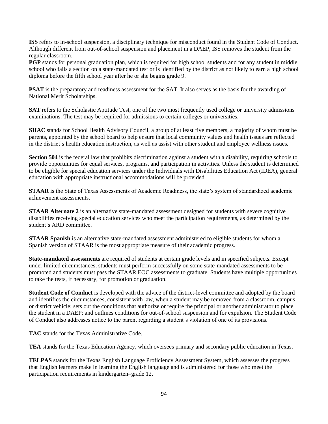**ISS** refers to in-school suspension, a disciplinary technique for misconduct found in the Student Code of Conduct. Although different from out-of-school suspension and placement in a DAEP, ISS removes the student from the regular classroom.

**PGP** stands for personal graduation plan, which is required for high school students and for any student in middle school who fails a section on a state-mandated test or is identified by the district as not likely to earn a high school diploma before the fifth school year after he or she begins grade 9.

**PSAT** is the preparatory and readiness assessment for the SAT. It also serves as the basis for the awarding of National Merit Scholarships.

**SAT** refers to the Scholastic Aptitude Test, one of the two most frequently used college or university admissions examinations. The test may be required for admissions to certain colleges or universities.

**SHAC** stands for School Health Advisory Council, a group of at least five members, a majority of whom must be parents, appointed by the school board to help ensure that local community values and health issues are reflected in the district's health education instruction, as well as assist with other student and employee wellness issues.

**Section 504** is the federal law that prohibits discrimination against a student with a disability, requiring schools to provide opportunities for equal services, programs, and participation in activities. Unless the student is determined to be eligible for special education services under the Individuals with Disabilities Education Act (IDEA), general education with appropriate instructional accommodations will be provided.

**STAAR** is the State of Texas Assessments of Academic Readiness, the state's system of standardized academic achievement assessments.

**STAAR Alternate 2** is an alternative state-mandated assessment designed for students with severe cognitive disabilities receiving special education services who meet the participation requirements, as determined by the student's ARD committee.

**STAAR Spanish** is an alternative state-mandated assessment administered to eligible students for whom a Spanish version of STAAR is the most appropriate measure of their academic progress.

**State-mandated assessments** are required of students at certain grade levels and in specified subjects. Except under limited circumstances, students must perform successfully on some state-mandated assessments to be promoted and students must pass the STAAR EOC assessments to graduate. Students have multiple opportunities to take the tests, if necessary, for promotion or graduation.

**Student Code of Conduct** is developed with the advice of the district-level committee and adopted by the board and identifies the circumstances, consistent with law, when a student may be removed from a classroom, campus, or district vehicle; sets out the conditions that authorize or require the principal or another administrator to place the student in a DAEP; and outlines conditions for out-of-school suspension and for expulsion. The Student Code of Conduct also addresses notice to the parent regarding a student's violation of one of its provisions.

**TAC** stands for the Texas Administrative Code.

**TEA** stands for the Texas Education Agency, which oversees primary and secondary public education in Texas.

**TELPAS** stands for the Texas English Language Proficiency Assessment System, which assesses the progress that English learners make in learning the English language and is administered for those who meet the participation requirements in kindergarten–grade 12.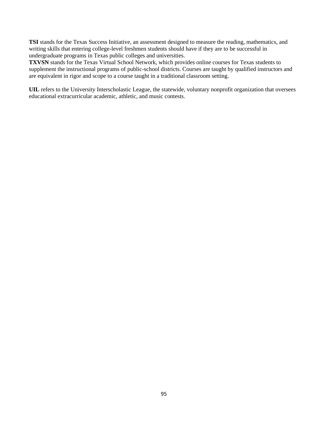**TSI** stands for the Texas Success Initiative, an assessment designed to measure the reading, mathematics, and writing skills that entering college-level freshmen students should have if they are to be successful in undergraduate programs in Texas public colleges and universities.

**TXVSN** stands for the Texas Virtual School Network, which provides online courses for Texas students to supplement the instructional programs of public-school districts. Courses are taught by qualified instructors and are equivalent in rigor and scope to a course taught in a traditional classroom setting.

**UIL** refers to the University Interscholastic League, the statewide, voluntary nonprofit organization that oversees educational extracurricular academic, athletic, and music contests.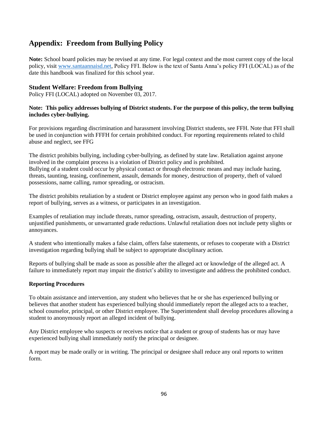# **Appendix: Freedom from Bullying Policy**

**Note:** School board policies may be revised at any time. For legal context and the most current copy of the local policy, visit [www.santaannaisd.net,](http://www.santaannaisd.net/) Policy FFI. Below is the text of Santa Anna's policy FFI (LOCAL) as of the date this handbook was finalized for this school year.

# **Student Welfare: Freedom from Bullying**

Policy FFI (LOCAL) adopted on November 03, 2017.

### **Note: This policy addresses bullying of District students. For the purpose of this policy, the term bullying includes cyber-bullying.**

For provisions regarding discrimination and harassment involving District students, see FFH. Note that FFI shall be used in conjunction with FFFH for certain prohibited conduct. For reporting requirements related to child abuse and neglect, see FFG

The district prohibits bullying, including cyber-bullying, as defined by state law. Retaliation against anyone involved in the complaint process is a violation of District policy and is prohibited. Bullying of a student could occur by physical contact or through electronic means and may include hazing, threats, taunting, teasing, confinement, assault, demands for money, destruction of property, theft of valued possessions, name calling, rumor spreading, or ostracism.

The district prohibits retaliation by a student or District employee against any person who in good faith makes a report of bullying, serves as a witness, or participates in an investigation.

Examples of retaliation may include threats, rumor spreading, ostracism, assault, destruction of property, unjustified punishments, or unwarranted grade reductions. Unlawful retaliation does not include petty slights or annoyances.

A student who intentionally makes a false claim, offers false statements, or refuses to cooperate with a District investigation regarding bullying shall be subject to appropriate disciplinary action.

Reports of bullying shall be made as soon as possible after the alleged act or knowledge of the alleged act. A failure to immediately report may impair the district's ability to investigate and address the prohibited conduct.

#### **Reporting Procedures**

To obtain assistance and intervention, any student who believes that he or she has experienced bullying or believes that another student has experienced bullying should immediately report the alleged acts to a teacher, school counselor, principal, or other District employee. The Superintendent shall develop procedures allowing a student to anonymously report an alleged incident of bullying.

Any District employee who suspects or receives notice that a student or group of students has or may have experienced bullying shall immediately notify the principal or designee.

A report may be made orally or in writing. The principal or designee shall reduce any oral reports to written form.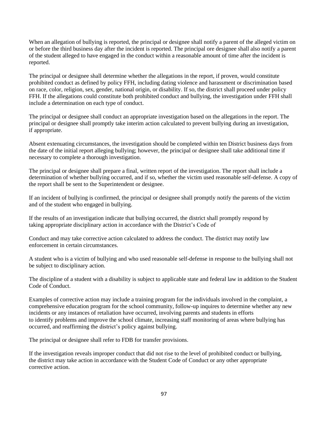When an allegation of bullying is reported, the principal or designee shall notify a parent of the alleged victim on or before the third business day after the incident is reported. The principal ore designee shall also notify a parent of the student alleged to have engaged in the conduct within a reasonable amount of time after the incident is reported.

The principal or designee shall determine whether the allegations in the report, if proven, would constitute prohibited conduct as defined by policy FFH, including dating violence and harassment or discrimination based on race, color, religion, sex, gender, national origin, or disability. If so, the district shall proceed under policy FFH. If the allegations could constitute both prohibited conduct and bullying, the investigation under FFH shall include a determination on each type of conduct.

The principal or designee shall conduct an appropriate investigation based on the allegations in the report. The principal or designee shall promptly take interim action calculated to prevent bullying during an investigation, if appropriate.

Absent extenuating circumstances, the investigation should be completed within ten District business days from the date of the initial report alleging bullying; however, the principal or designee shall take additional time if necessary to complete a thorough investigation.

The principal or designee shall prepare a final, written report of the investigation. The report shall include a determination of whether bullying occurred, and if so, whether the victim used reasonable self-defense. A copy of the report shall be sent to the Superintendent or designee.

If an incident of bullying is confirmed, the principal or designee shall promptly notify the parents of the victim and of the student who engaged in bullying.

If the results of an investigation indicate that bullying occurred, the district shall promptly respond by taking appropriate disciplinary action in accordance with the District's Code of

Conduct and may take corrective action calculated to address the conduct. The district may notify law enforcement in certain circumstances.

A student who is a victim of bullying and who used reasonable self-defense in response to the bullying shall not be subject to disciplinary action.

The discipline of a student with a disability is subject to applicable state and federal law in addition to the Student Code of Conduct.

Examples of corrective action may include a training program for the individuals involved in the complaint, a comprehensive education program for the school community, follow-up inquires to determine whether any new incidents or any instances of retaliation have occurred, involving parents and students in efforts to identify problems and improve the school climate, increasing staff monitoring of areas where bullying has occurred, and reaffirming the district's policy against bullying.

The principal or designee shall refer to FDB for transfer provisions.

If the investigation reveals improper conduct that did not rise to the level of prohibited conduct or bullying, the district may take action in accordance with the Student Code of Conduct or any other appropriate corrective action.